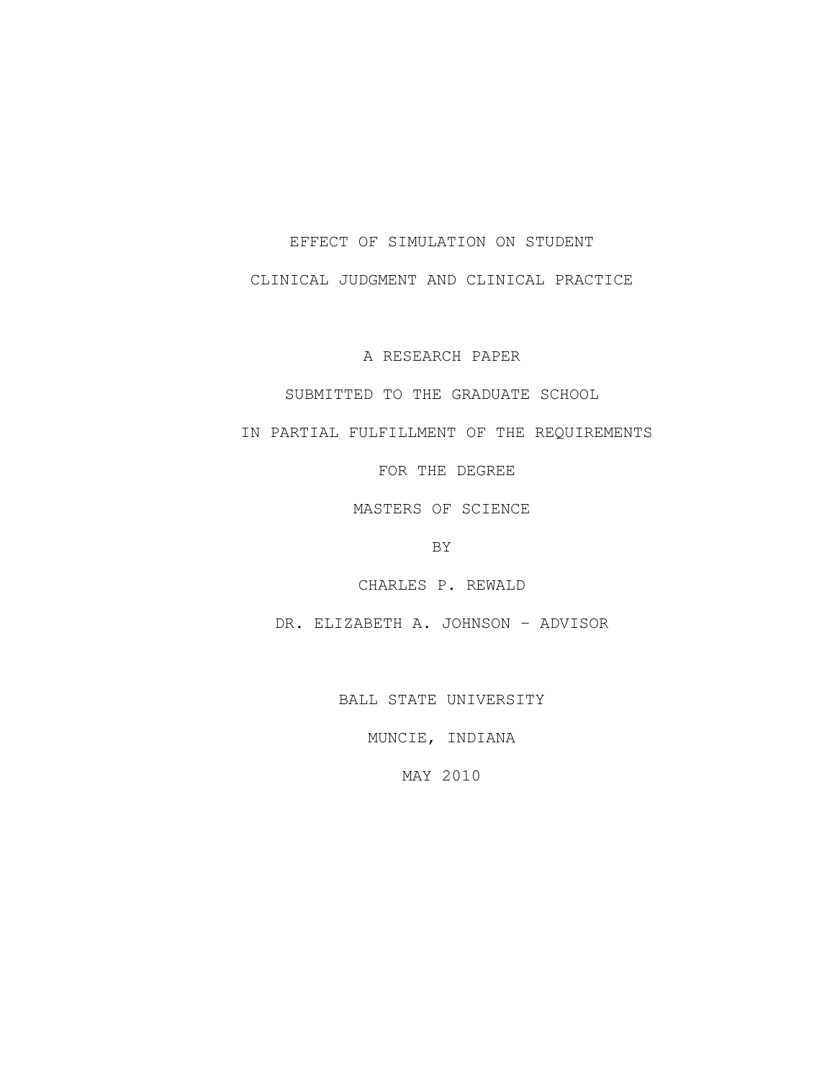#### EFFECT OF SIMULATION ON STUDENT

CLINICAL JUDGMENT AND CLINICAL PRACTICE

A RESEARCH PAPER

SUBMITTED TO THE GRADUATE SCHOOL

IN PARTIAL FULFILLMENT OF THE REQUIREMENTS

FOR THE DEGREE

MASTERS OF SCIENCE

BY

CHARLES P. REWALD

DR. ELIZABETH A. JOHNSON – ADVISOR

BALL STATE UNIVERSITY

MUNCIE, INDIANA

MAY 2010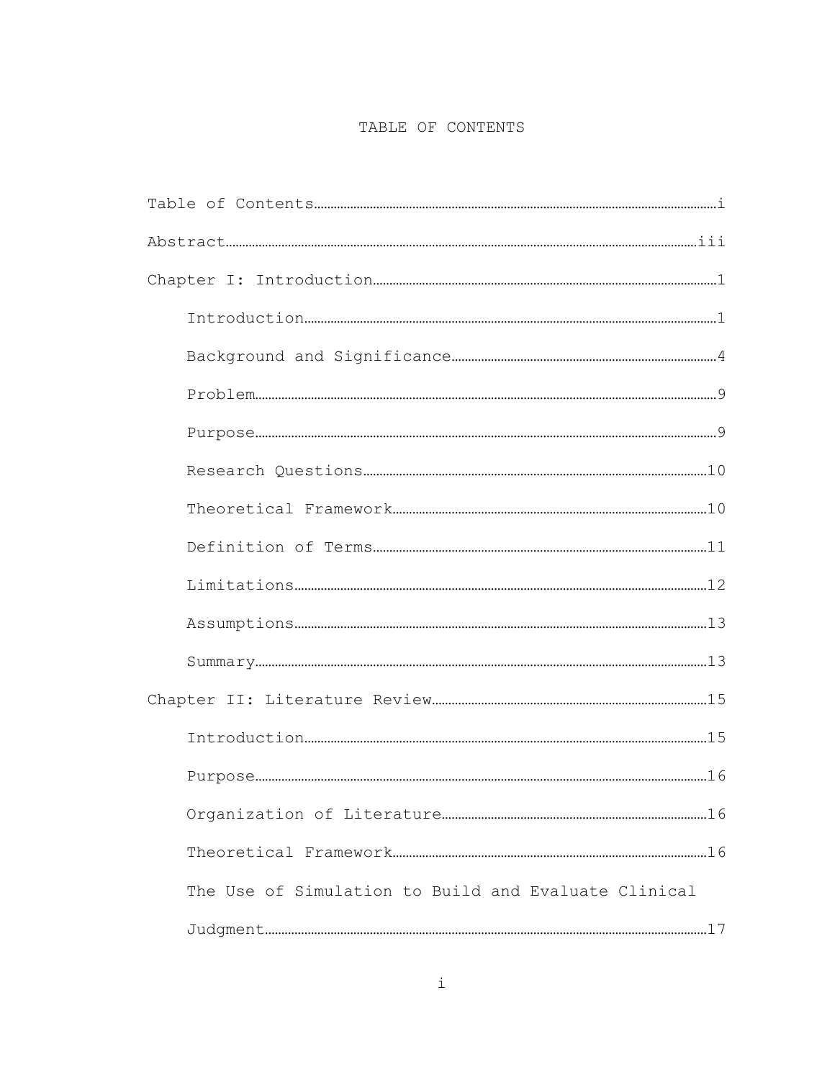# TABLE OF CONTENTS

| The Use of Simulation to Build and Evaluate Clinical |  |
|------------------------------------------------------|--|
|                                                      |  |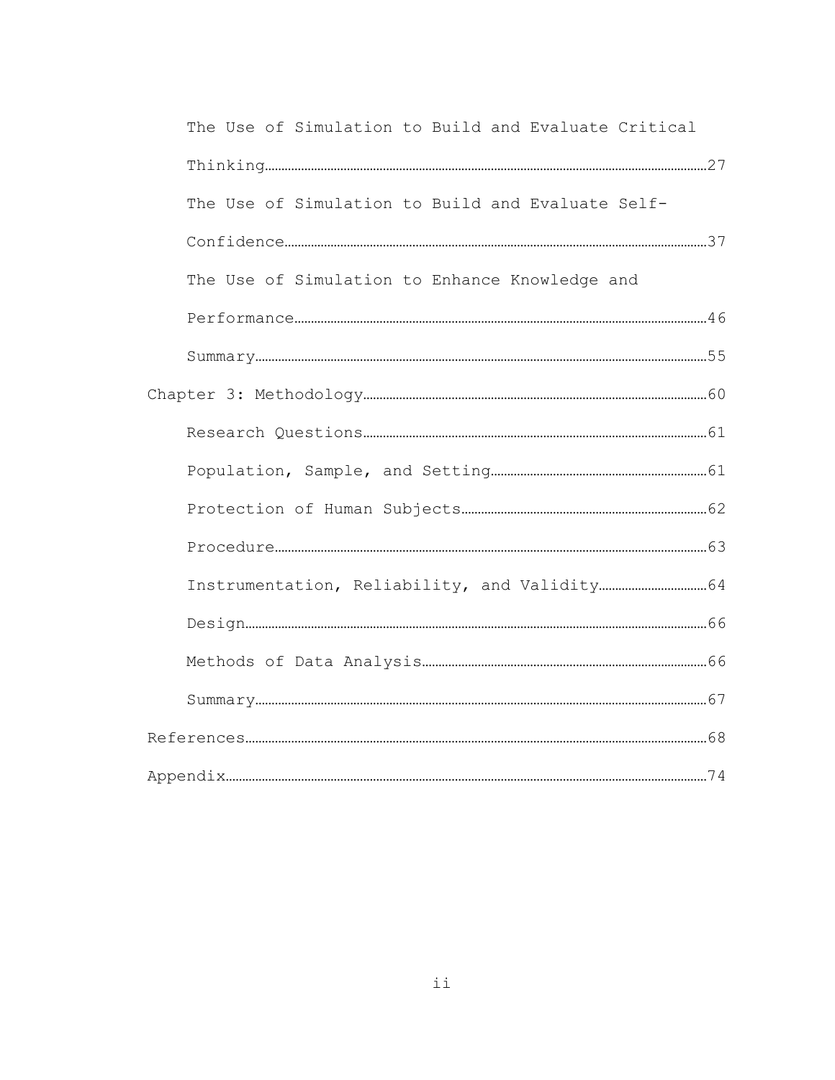| The Use of Simulation to Build and Evaluate Critical |  |
|------------------------------------------------------|--|
|                                                      |  |
| The Use of Simulation to Build and Evaluate Self-    |  |
|                                                      |  |
| The Use of Simulation to Enhance Knowledge and       |  |
|                                                      |  |
|                                                      |  |
|                                                      |  |
|                                                      |  |
|                                                      |  |
|                                                      |  |
|                                                      |  |
|                                                      |  |
|                                                      |  |
|                                                      |  |
|                                                      |  |
|                                                      |  |
|                                                      |  |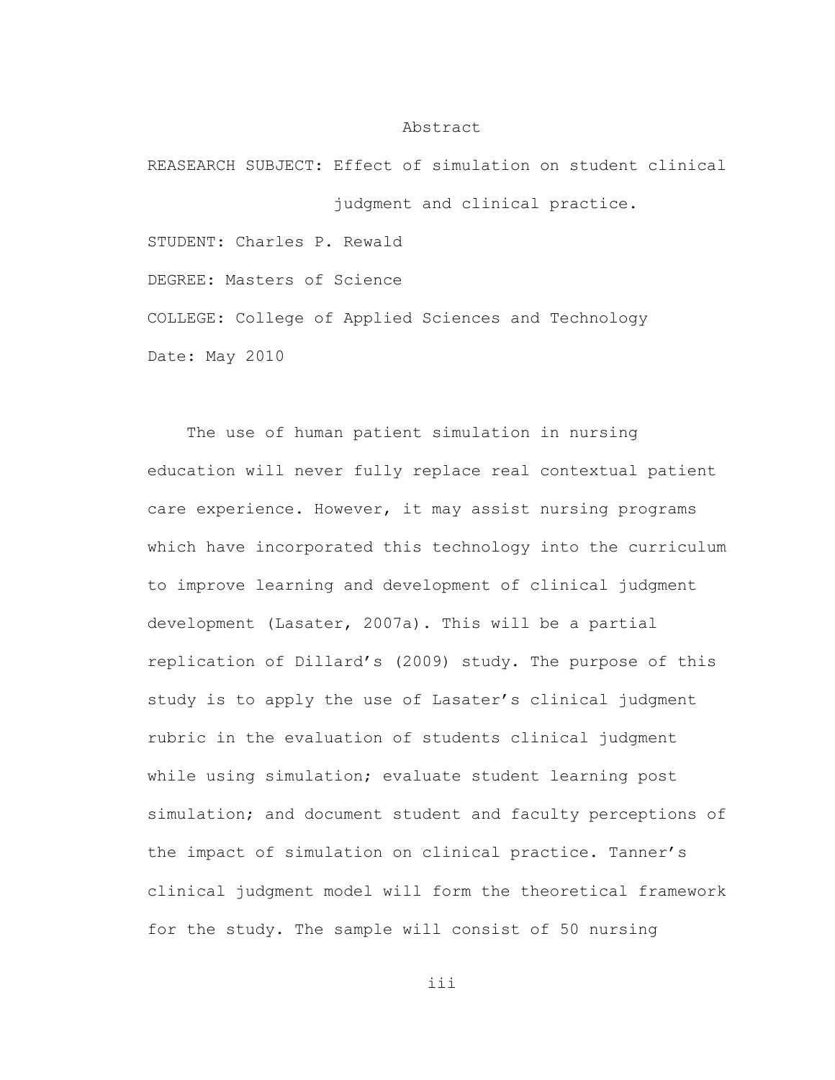#### Abstract

REASEARCH SUBJECT: Effect of simulation on student clinical judgment and clinical practice. STUDENT: Charles P. Rewald DEGREE: Masters of Science COLLEGE: College of Applied Sciences and Technology Date: May 2010

The use of human patient simulation in nursing education will never fully replace real contextual patient care experience. However, it may assist nursing programs which have incorporated this technology into the curriculum to improve learning and development of clinical judgment development (Lasater, 2007a). This will be a partial replication of Dillard's (2009) study. The purpose of this study is to apply the use of Lasater's clinical judgment rubric in the evaluation of students clinical judgment while using simulation; evaluate student learning post simulation; and document student and faculty perceptions of the impact of simulation on clinical practice. Tanner's clinical judgment model will form the theoretical framework for the study. The sample will consist of 50 nursing

iii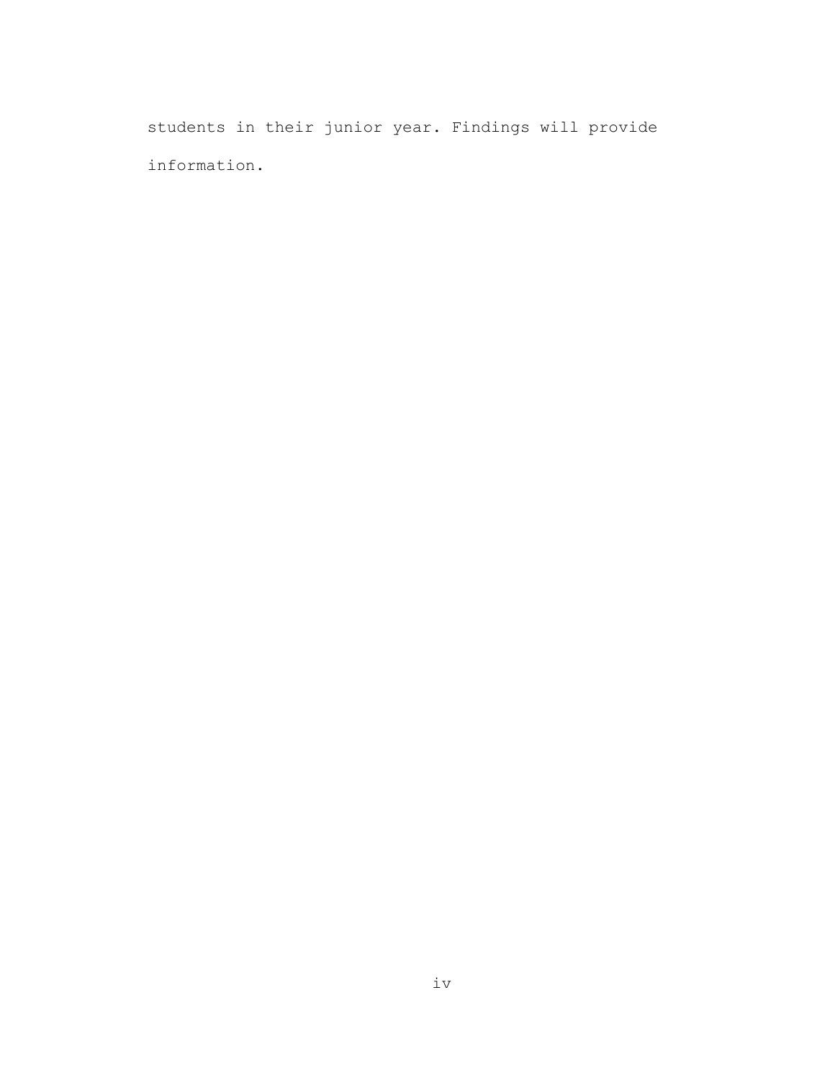students in their junior year. Findings will provide information.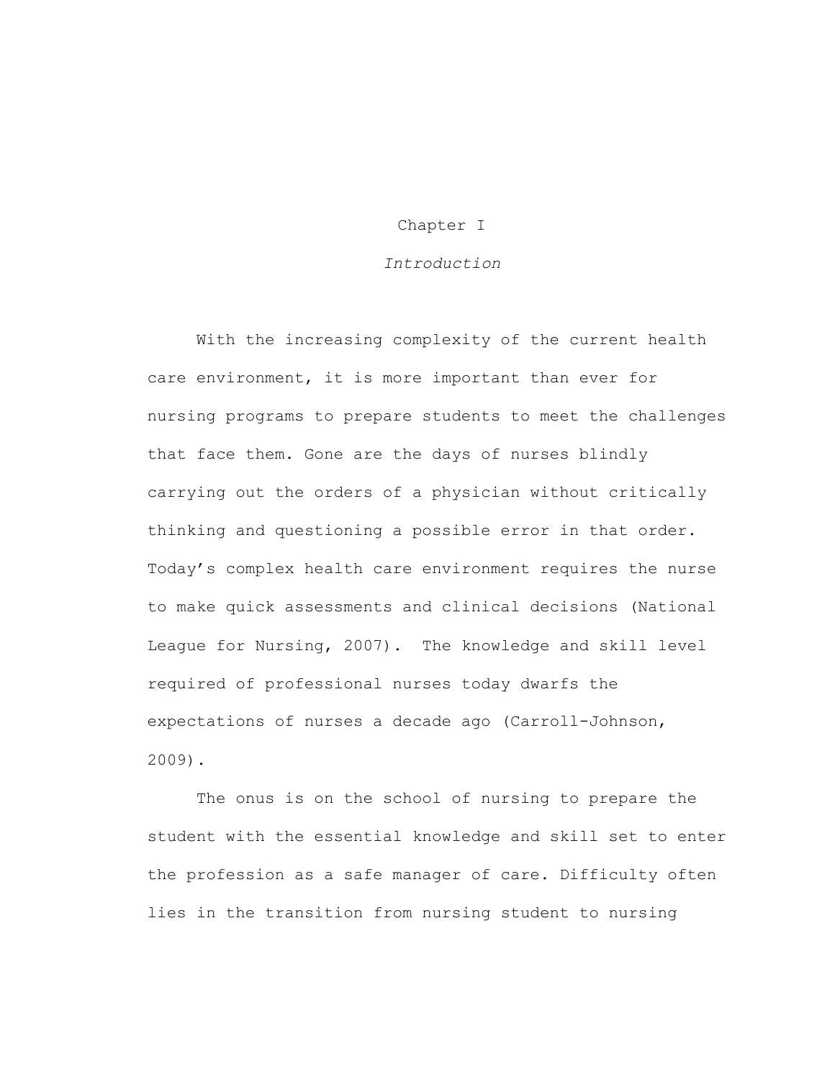## Chapter I

## *Introduction*

With the increasing complexity of the current health care environment, it is more important than ever for nursing programs to prepare students to meet the challenges that face them. Gone are the days of nurses blindly carrying out the orders of a physician without critically thinking and questioning a possible error in that order. Today's complex health care environment requires the nurse to make quick assessments and clinical decisions (National League for Nursing, 2007). The knowledge and skill level required of professional nurses today dwarfs the expectations of nurses a decade ago (Carroll-Johnson, 2009).

The onus is on the school of nursing to prepare the student with the essential knowledge and skill set to enter the profession as a safe manager of care. Difficulty often lies in the transition from nursing student to nursing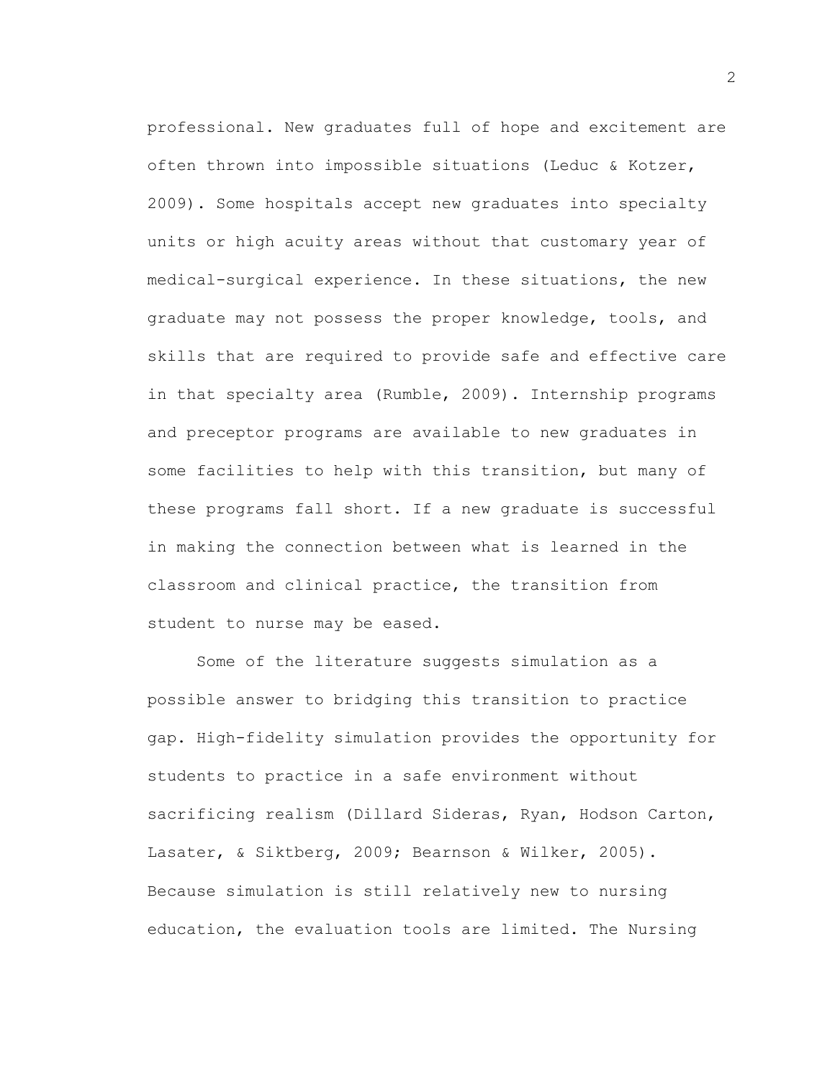professional. New graduates full of hope and excitement are often thrown into impossible situations (Leduc & Kotzer, 2009). Some hospitals accept new graduates into specialty units or high acuity areas without that customary year of medical-surgical experience. In these situations, the new graduate may not possess the proper knowledge, tools, and skills that are required to provide safe and effective care in that specialty area (Rumble, 2009). Internship programs and preceptor programs are available to new graduates in some facilities to help with this transition, but many of these programs fall short. If a new graduate is successful in making the connection between what is learned in the classroom and clinical practice, the transition from student to nurse may be eased.

Some of the literature suggests simulation as a possible answer to bridging this transition to practice gap. High-fidelity simulation provides the opportunity for students to practice in a safe environment without sacrificing realism (Dillard Sideras, Ryan, Hodson Carton, Lasater, & Siktberg, 2009; Bearnson & Wilker, 2005). Because simulation is still relatively new to nursing education, the evaluation tools are limited. The Nursing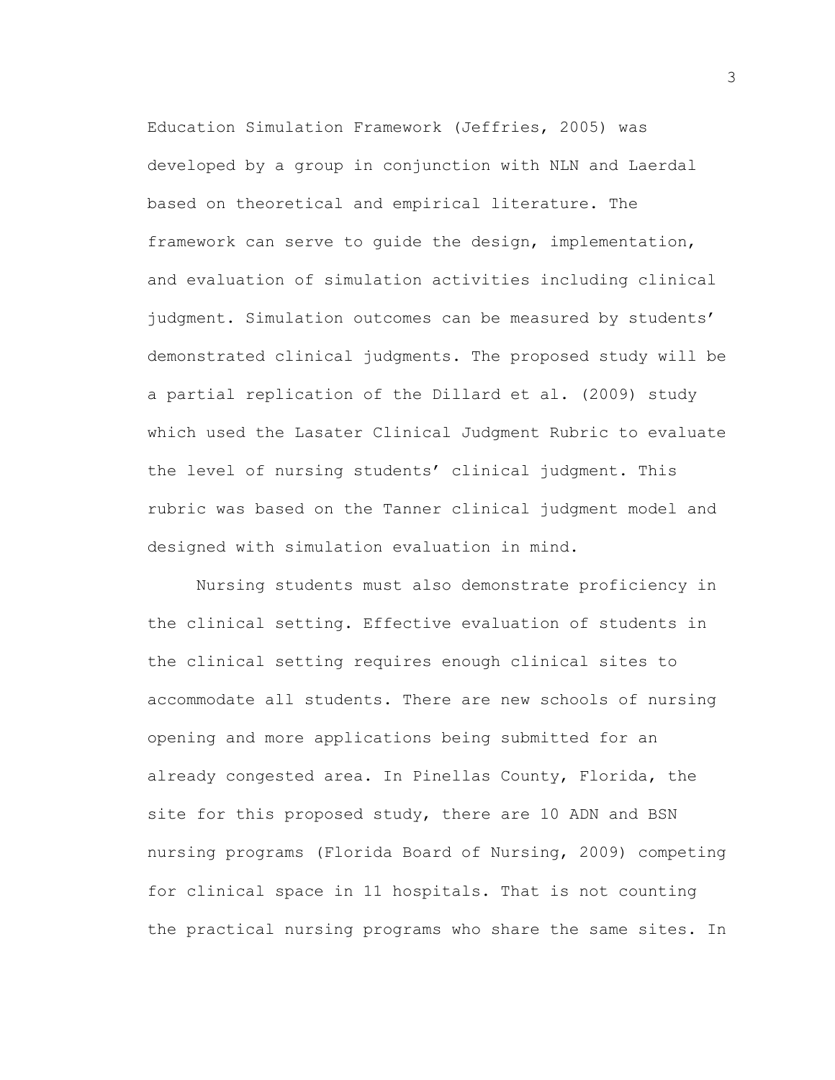Education Simulation Framework (Jeffries, 2005) was developed by a group in conjunction with NLN and Laerdal based on theoretical and empirical literature. The framework can serve to guide the design, implementation, and evaluation of simulation activities including clinical judgment. Simulation outcomes can be measured by students' demonstrated clinical judgments. The proposed study will be a partial replication of the Dillard et al. (2009) study which used the Lasater Clinical Judgment Rubric to evaluate the level of nursing students' clinical judgment. This rubric was based on the Tanner clinical judgment model and designed with simulation evaluation in mind.

Nursing students must also demonstrate proficiency in the clinical setting. Effective evaluation of students in the clinical setting requires enough clinical sites to accommodate all students. There are new schools of nursing opening and more applications being submitted for an already congested area. In Pinellas County, Florida, the site for this proposed study, there are 10 ADN and BSN nursing programs (Florida Board of Nursing, 2009) competing for clinical space in 11 hospitals. That is not counting the practical nursing programs who share the same sites. In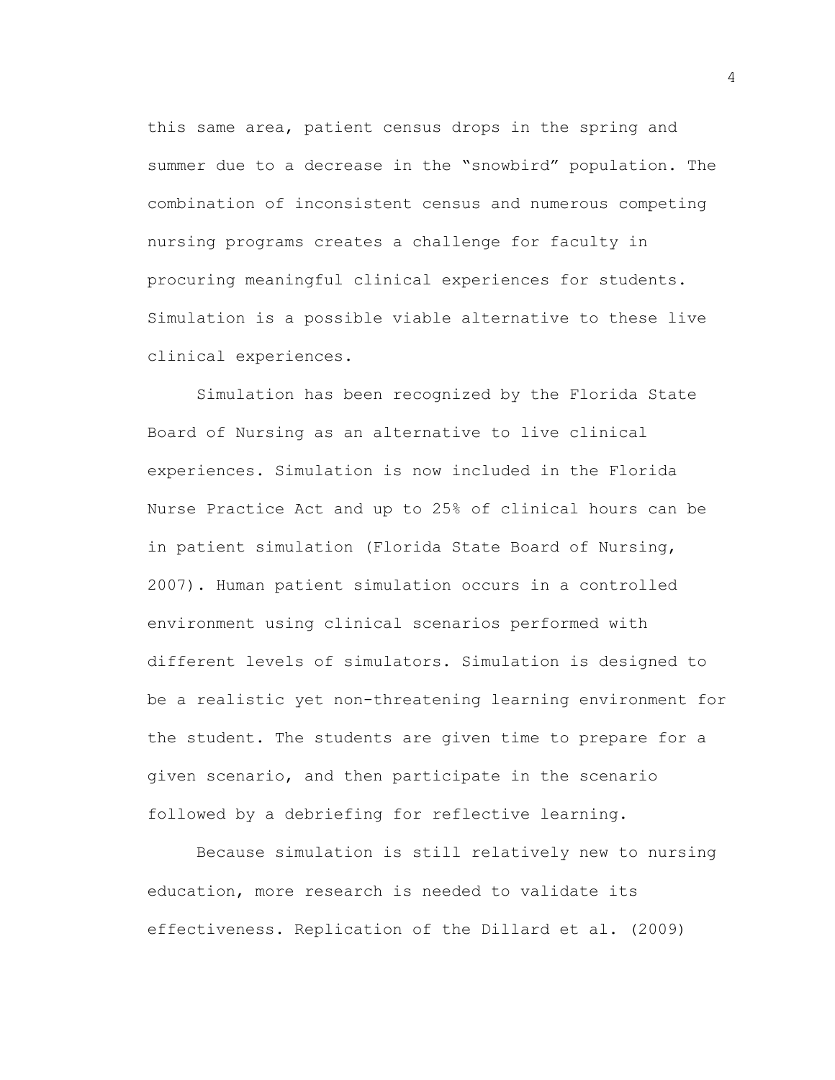this same area, patient census drops in the spring and summer due to a decrease in the "snowbird" population. The combination of inconsistent census and numerous competing nursing programs creates a challenge for faculty in procuring meaningful clinical experiences for students. Simulation is a possible viable alternative to these live clinical experiences.

Simulation has been recognized by the Florida State Board of Nursing as an alternative to live clinical experiences. Simulation is now included in the Florida Nurse Practice Act and up to 25% of clinical hours can be in patient simulation (Florida State Board of Nursing, 2007). Human patient simulation occurs in a controlled environment using clinical scenarios performed with different levels of simulators. Simulation is designed to be a realistic yet non-threatening learning environment for the student. The students are given time to prepare for a given scenario, and then participate in the scenario followed by a debriefing for reflective learning.

Because simulation is still relatively new to nursing education, more research is needed to validate its effectiveness. Replication of the Dillard et al. (2009)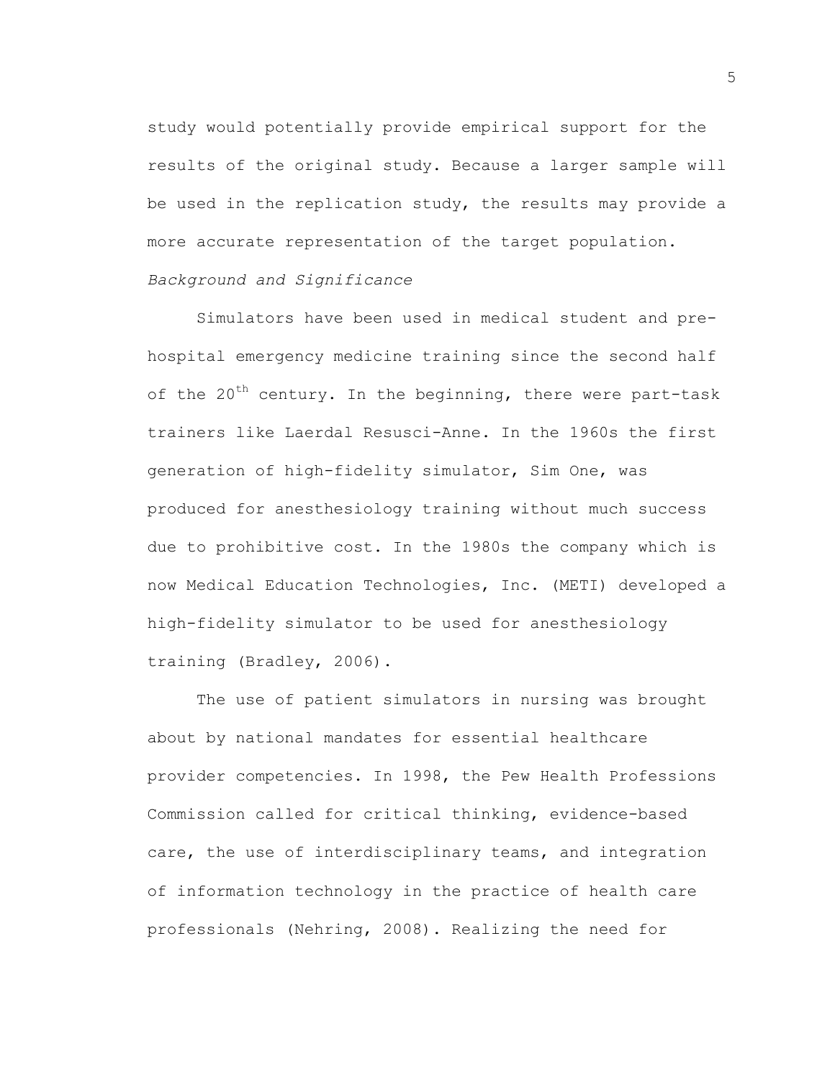study would potentially provide empirical support for the results of the original study. Because a larger sample will be used in the replication study, the results may provide a more accurate representation of the target population. *Background and Significance*

Simulators have been used in medical student and prehospital emergency medicine training since the second half of the 20<sup>th</sup> century. In the beginning, there were part-task trainers like Laerdal Resusci-Anne. In the 1960s the first generation of high-fidelity simulator, Sim One, was produced for anesthesiology training without much success due to prohibitive cost. In the 1980s the company which is now Medical Education Technologies, Inc. (METI) developed a high-fidelity simulator to be used for anesthesiology training (Bradley, 2006).

The use of patient simulators in nursing was brought about by national mandates for essential healthcare provider competencies. In 1998, the Pew Health Professions Commission called for critical thinking, evidence-based care, the use of interdisciplinary teams, and integration of information technology in the practice of health care professionals (Nehring, 2008). Realizing the need for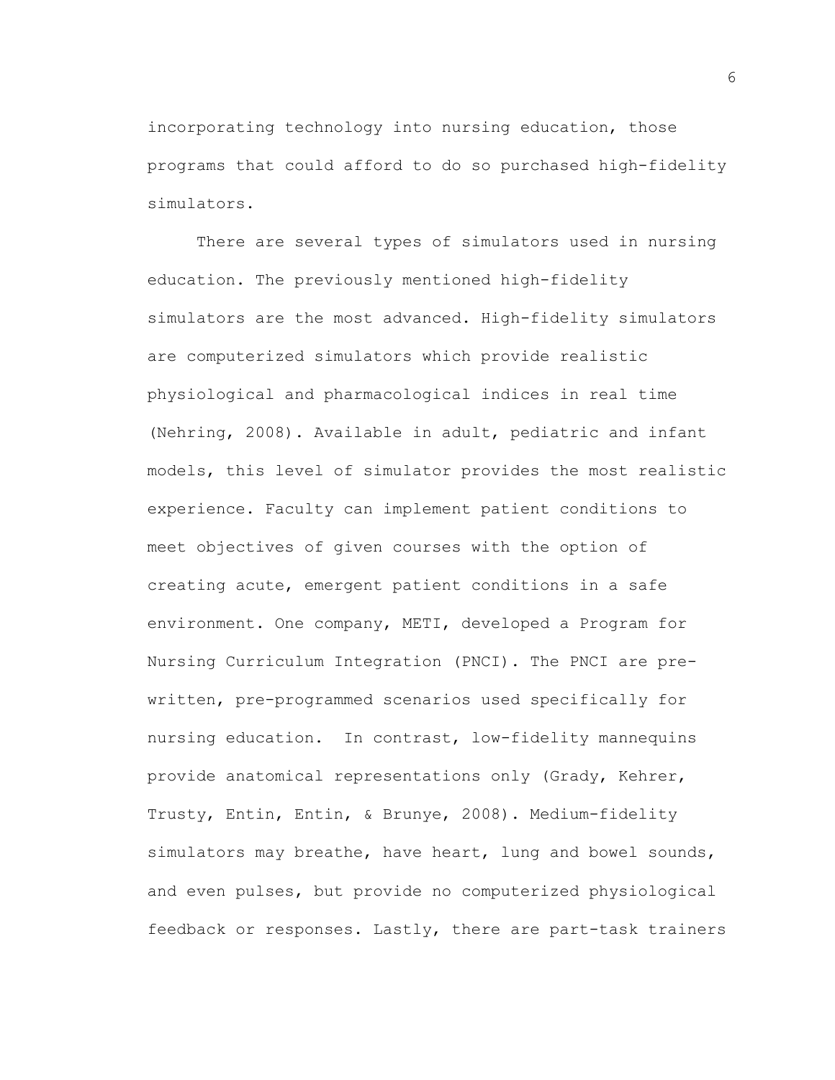incorporating technology into nursing education, those programs that could afford to do so purchased high-fidelity simulators.

There are several types of simulators used in nursing education. The previously mentioned high-fidelity simulators are the most advanced. High-fidelity simulators are computerized simulators which provide realistic physiological and pharmacological indices in real time (Nehring, 2008). Available in adult, pediatric and infant models, this level of simulator provides the most realistic experience. Faculty can implement patient conditions to meet objectives of given courses with the option of creating acute, emergent patient conditions in a safe environment. One company, METI, developed a Program for Nursing Curriculum Integration (PNCI). The PNCI are prewritten, pre-programmed scenarios used specifically for nursing education. In contrast, low-fidelity mannequins provide anatomical representations only (Grady, Kehrer, Trusty, Entin, Entin, & Brunye, 2008). Medium-fidelity simulators may breathe, have heart, lung and bowel sounds, and even pulses, but provide no computerized physiological feedback or responses. Lastly, there are part-task trainers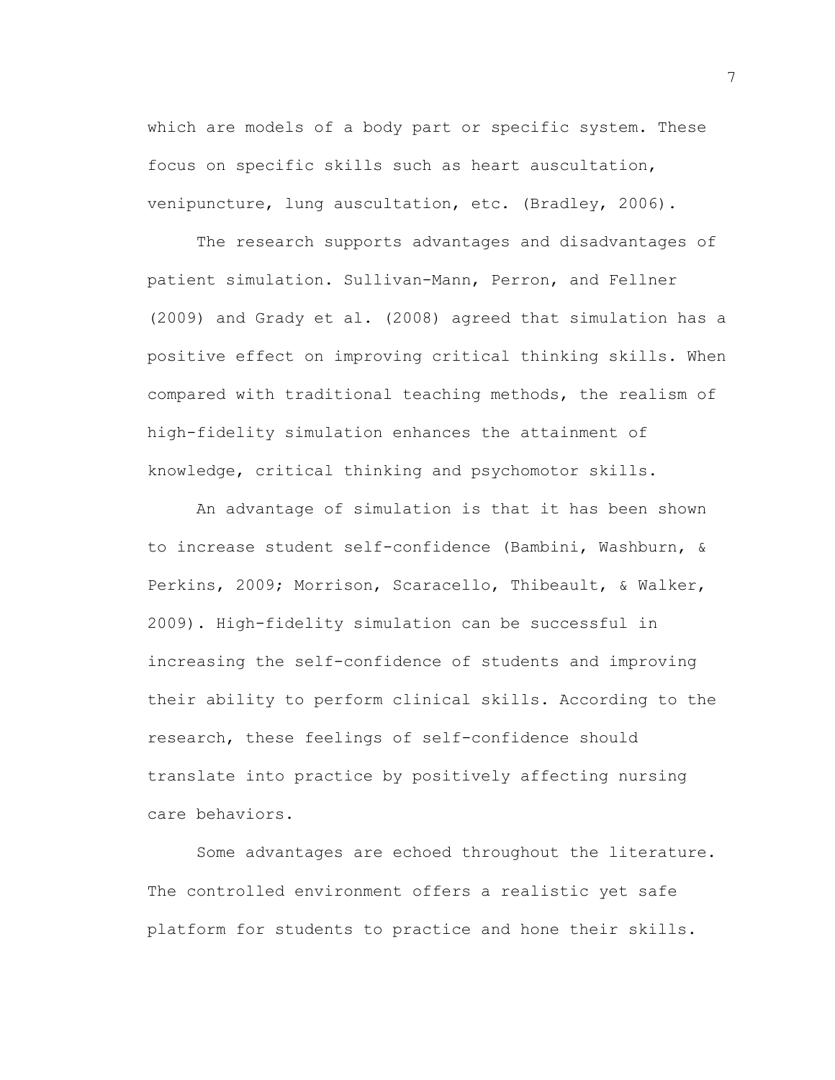which are models of a body part or specific system. These focus on specific skills such as heart auscultation, venipuncture, lung auscultation, etc. (Bradley, 2006).

The research supports advantages and disadvantages of patient simulation. Sullivan-Mann, Perron, and Fellner (2009) and Grady et al. (2008) agreed that simulation has a positive effect on improving critical thinking skills. When compared with traditional teaching methods, the realism of high-fidelity simulation enhances the attainment of knowledge, critical thinking and psychomotor skills.

An advantage of simulation is that it has been shown to increase student self-confidence (Bambini, Washburn, & Perkins, 2009; Morrison, Scaracello, Thibeault, & Walker, 2009). High-fidelity simulation can be successful in increasing the self-confidence of students and improving their ability to perform clinical skills. According to the research, these feelings of self-confidence should translate into practice by positively affecting nursing care behaviors.

Some advantages are echoed throughout the literature. The controlled environment offers a realistic yet safe platform for students to practice and hone their skills.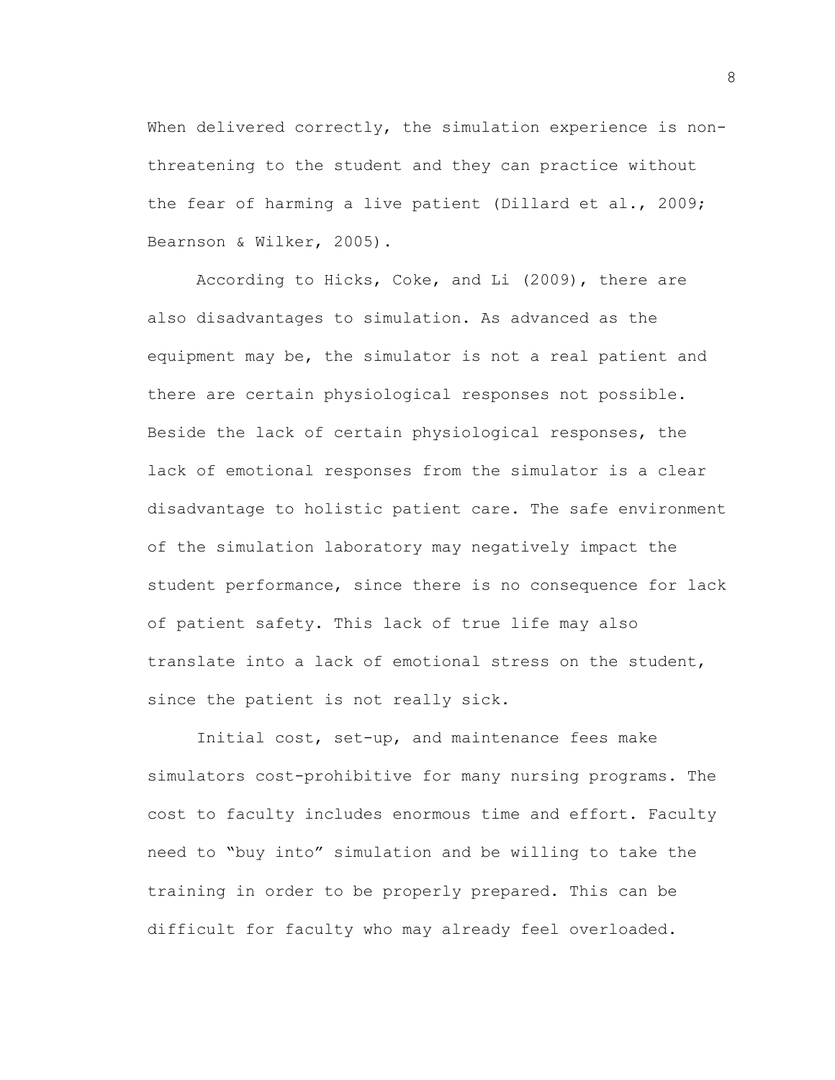When delivered correctly, the simulation experience is nonthreatening to the student and they can practice without the fear of harming a live patient (Dillard et al., 2009; Bearnson & Wilker, 2005).

According to Hicks, Coke, and Li (2009), there are also disadvantages to simulation. As advanced as the equipment may be, the simulator is not a real patient and there are certain physiological responses not possible. Beside the lack of certain physiological responses, the lack of emotional responses from the simulator is a clear disadvantage to holistic patient care. The safe environment of the simulation laboratory may negatively impact the student performance, since there is no consequence for lack of patient safety. This lack of true life may also translate into a lack of emotional stress on the student, since the patient is not really sick.

Initial cost, set-up, and maintenance fees make simulators cost-prohibitive for many nursing programs. The cost to faculty includes enormous time and effort. Faculty need to "buy into" simulation and be willing to take the training in order to be properly prepared. This can be difficult for faculty who may already feel overloaded.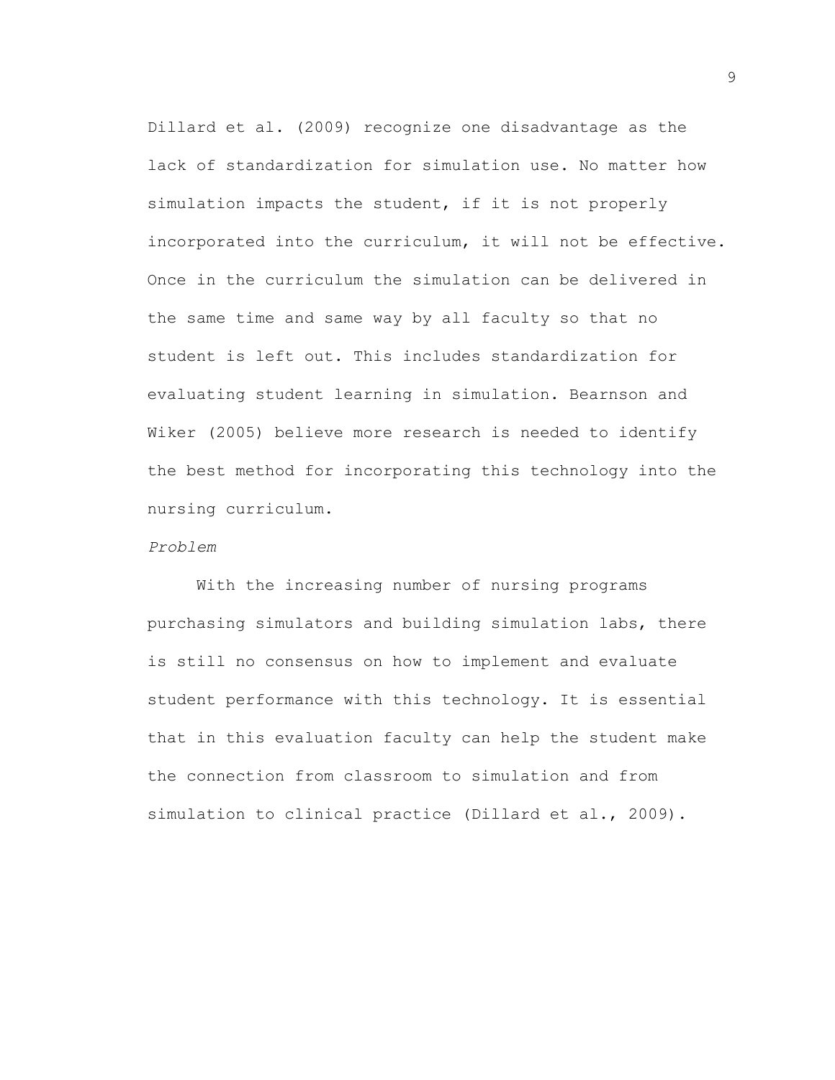Dillard et al. (2009) recognize one disadvantage as the lack of standardization for simulation use. No matter how simulation impacts the student, if it is not properly incorporated into the curriculum, it will not be effective. Once in the curriculum the simulation can be delivered in the same time and same way by all faculty so that no student is left out. This includes standardization for evaluating student learning in simulation. Bearnson and Wiker (2005) believe more research is needed to identify the best method for incorporating this technology into the nursing curriculum.

### *Problem*

With the increasing number of nursing programs purchasing simulators and building simulation labs, there is still no consensus on how to implement and evaluate student performance with this technology. It is essential that in this evaluation faculty can help the student make the connection from classroom to simulation and from simulation to clinical practice (Dillard et al., 2009).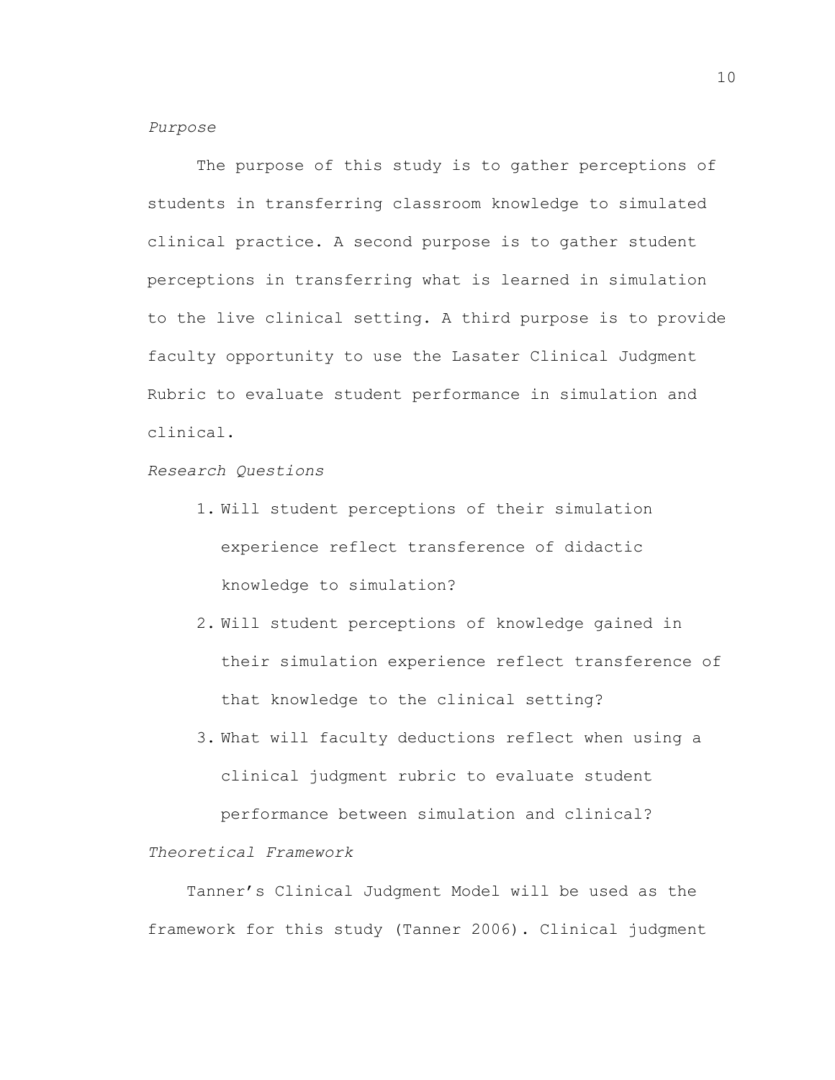# *Purpose*

The purpose of this study is to gather perceptions of students in transferring classroom knowledge to simulated clinical practice. A second purpose is to gather student perceptions in transferring what is learned in simulation to the live clinical setting. A third purpose is to provide faculty opportunity to use the Lasater Clinical Judgment Rubric to evaluate student performance in simulation and clinical.

*Research Questions*

- 1. Will student perceptions of their simulation experience reflect transference of didactic knowledge to simulation?
- 2. Will student perceptions of knowledge gained in their simulation experience reflect transference of that knowledge to the clinical setting?
- 3. What will faculty deductions reflect when using a clinical judgment rubric to evaluate student performance between simulation and clinical?

### *Theoretical Framework*

Tanner's Clinical Judgment Model will be used as the framework for this study (Tanner 2006). Clinical judgment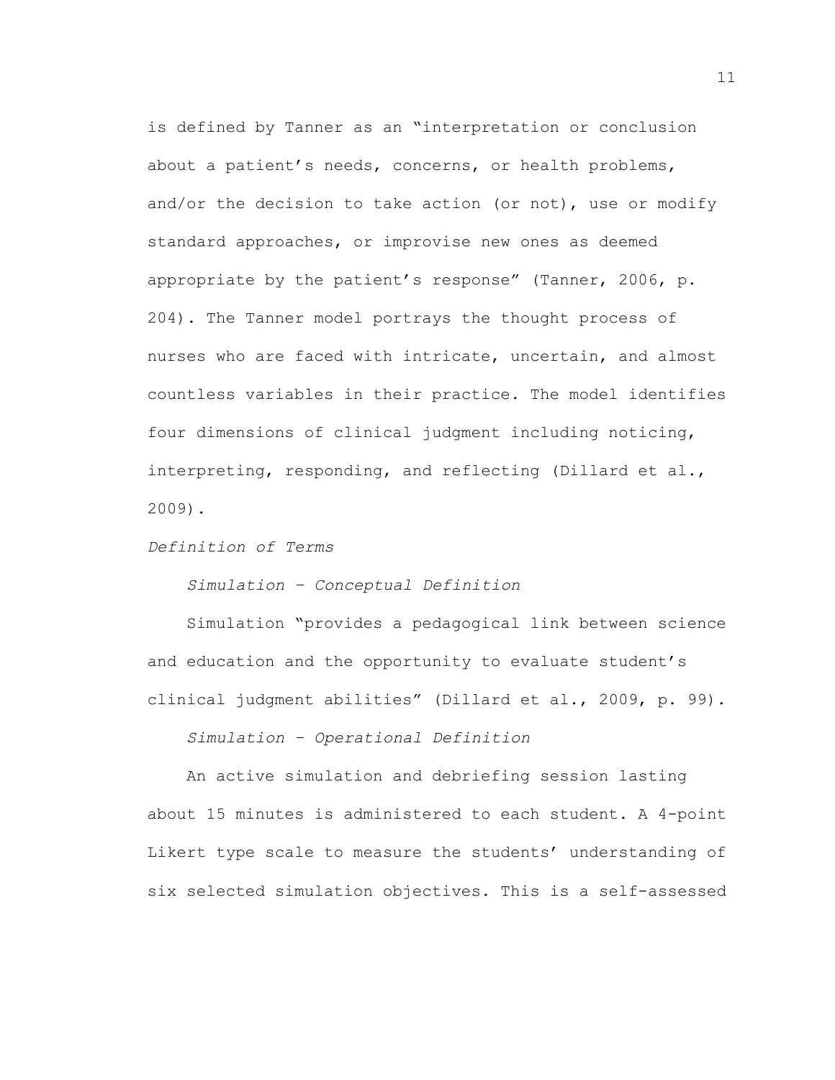is defined by Tanner as an "interpretation or conclusion about a patient's needs, concerns, or health problems, and/or the decision to take action (or not), use or modify standard approaches, or improvise new ones as deemed appropriate by the patient's response" (Tanner, 2006, p. 204). The Tanner model portrays the thought process of nurses who are faced with intricate, uncertain, and almost countless variables in their practice. The model identifies four dimensions of clinical judgment including noticing, interpreting, responding, and reflecting (Dillard et al., 2009).

*Definition of Terms*

*Simulation – Conceptual Definition*

Simulation "provides a pedagogical link between science and education and the opportunity to evaluate student's clinical judgment abilities" (Dillard et al., 2009, p. 99).

*Simulation – Operational Definition*

An active simulation and debriefing session lasting about 15 minutes is administered to each student. A 4-point Likert type scale to measure the students' understanding of six selected simulation objectives. This is a self-assessed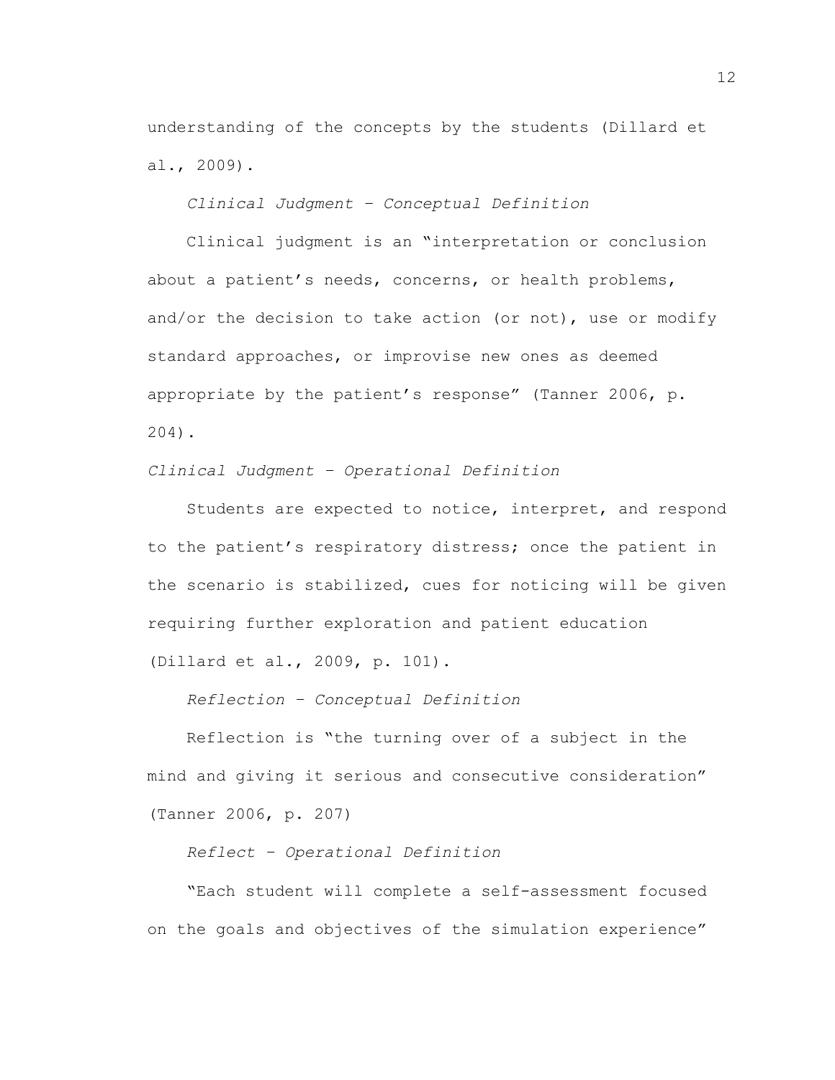understanding of the concepts by the students (Dillard et al., 2009).

*Clinical Judgment – Conceptual Definition*

Clinical judgment is an "interpretation or conclusion about a patient's needs, concerns, or health problems, and/or the decision to take action (or not), use or modify standard approaches, or improvise new ones as deemed appropriate by the patient's response" (Tanner 2006, p. 204).

*Clinical Judgment – Operational Definition*

Students are expected to notice, interpret, and respond to the patient's respiratory distress; once the patient in the scenario is stabilized, cues for noticing will be given requiring further exploration and patient education (Dillard et al., 2009, p. 101).

*Reflection – Conceptual Definition*

Reflection is "the turning over of a subject in the mind and giving it serious and consecutive consideration" (Tanner 2006, p. 207)

*Reflect – Operational Definition*

"Each student will complete a self-assessment focused on the goals and objectives of the simulation experience"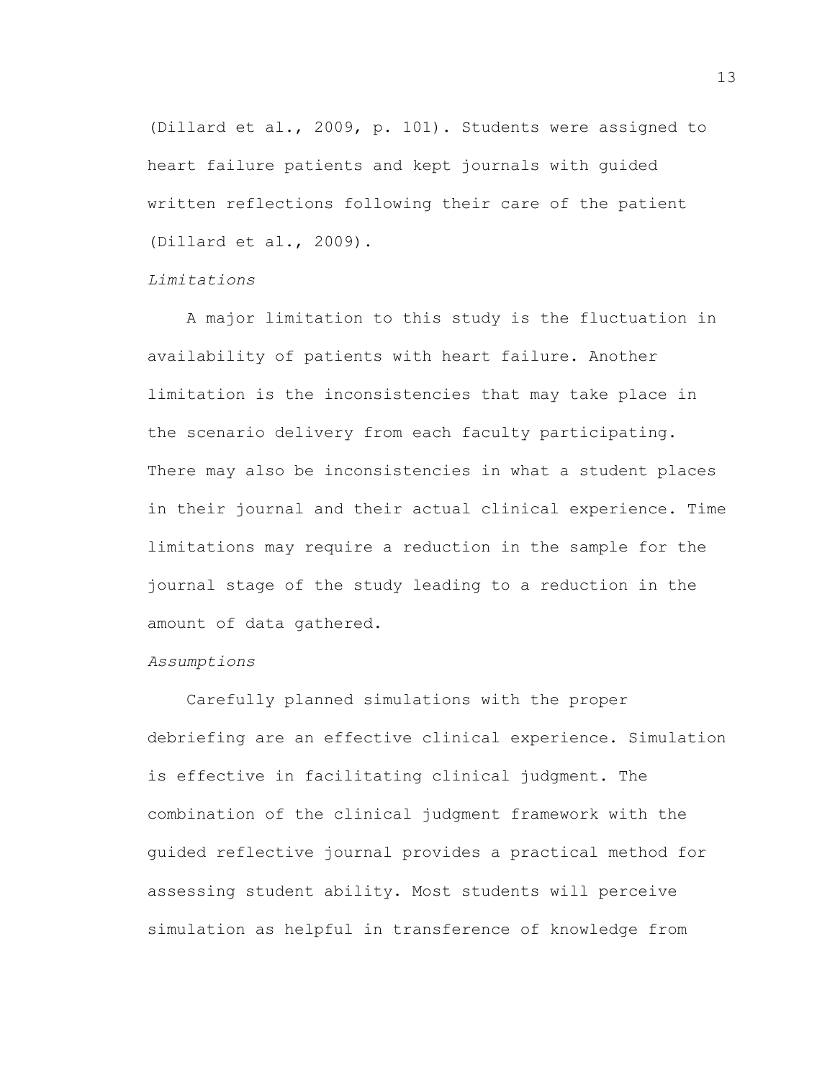(Dillard et al., 2009, p. 101). Students were assigned to heart failure patients and kept journals with guided written reflections following their care of the patient (Dillard et al., 2009).

### *Limitations*

A major limitation to this study is the fluctuation in availability of patients with heart failure. Another limitation is the inconsistencies that may take place in the scenario delivery from each faculty participating. There may also be inconsistencies in what a student places in their journal and their actual clinical experience. Time limitations may require a reduction in the sample for the journal stage of the study leading to a reduction in the amount of data gathered.

#### *Assumptions*

Carefully planned simulations with the proper debriefing are an effective clinical experience. Simulation is effective in facilitating clinical judgment. The combination of the clinical judgment framework with the guided reflective journal provides a practical method for assessing student ability. Most students will perceive simulation as helpful in transference of knowledge from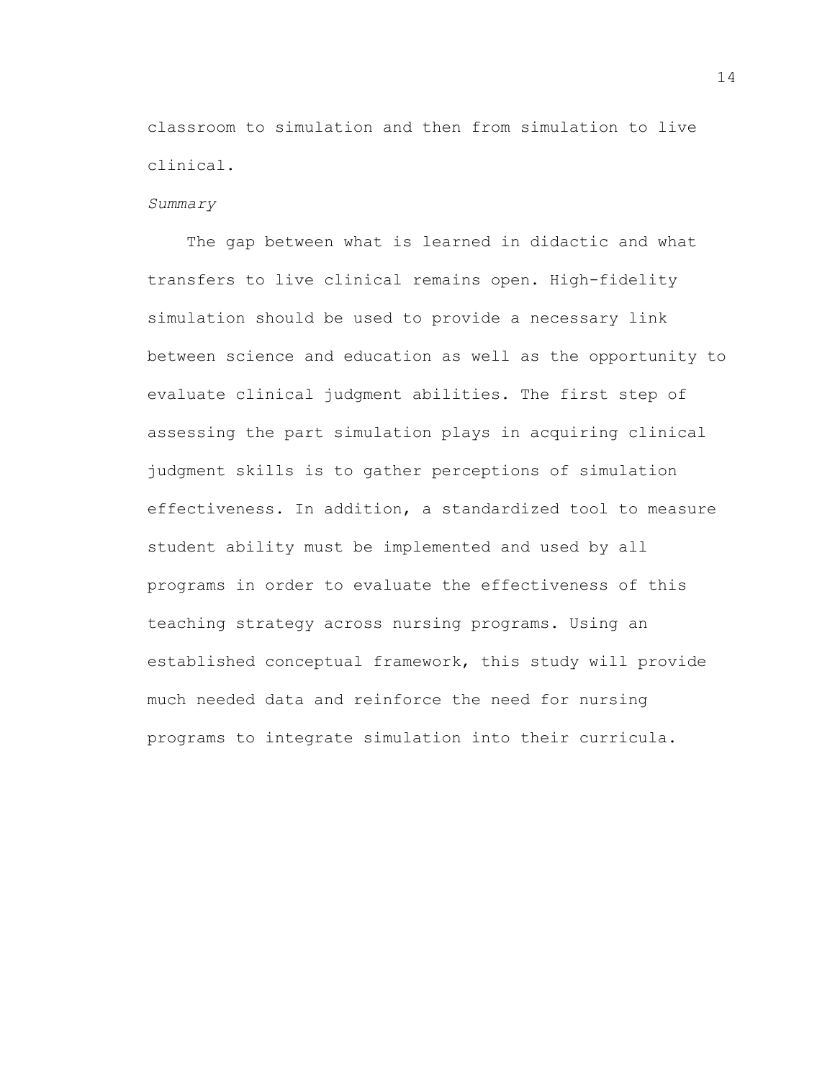classroom to simulation and then from simulation to live clinical.

#### *Summary*

The gap between what is learned in didactic and what transfers to live clinical remains open. High-fidelity simulation should be used to provide a necessary link between science and education as well as the opportunity to evaluate clinical judgment abilities. The first step of assessing the part simulation plays in acquiring clinical judgment skills is to gather perceptions of simulation effectiveness. In addition, a standardized tool to measure student ability must be implemented and used by all programs in order to evaluate the effectiveness of this teaching strategy across nursing programs. Using an established conceptual framework, this study will provide much needed data and reinforce the need for nursing programs to integrate simulation into their curricula.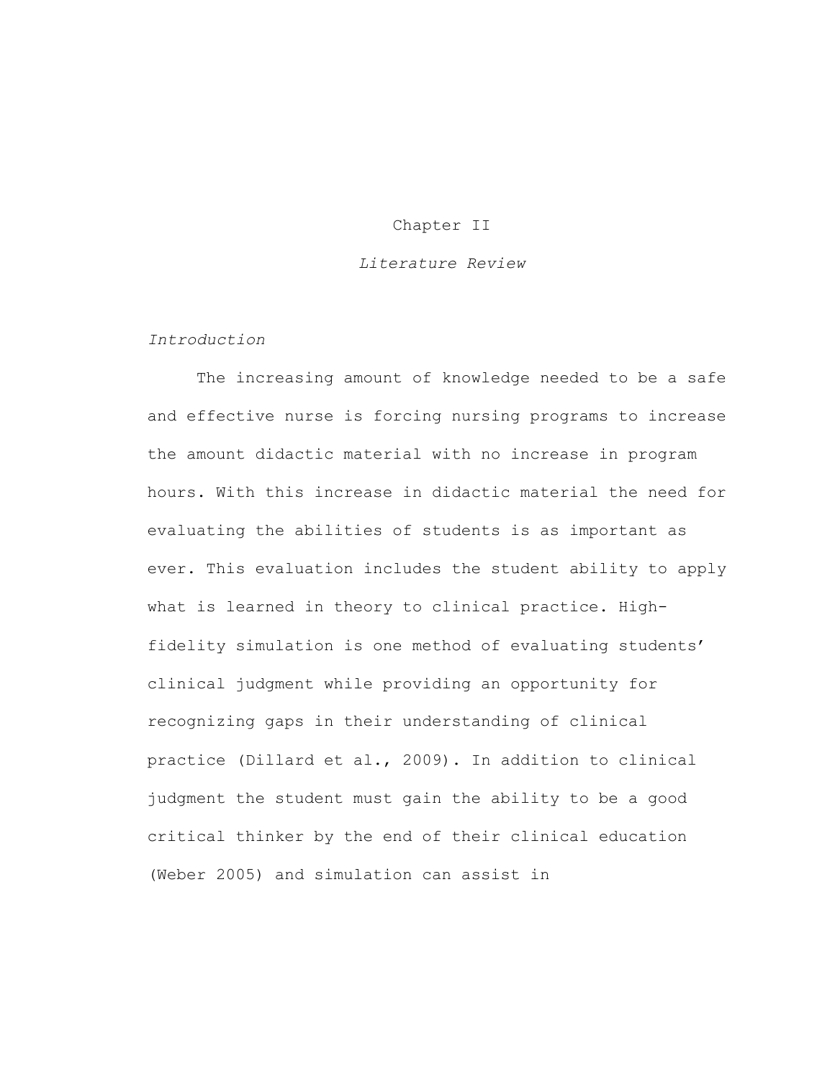# Chapter II

### *Literature Review*

### *Introduction*

The increasing amount of knowledge needed to be a safe and effective nurse is forcing nursing programs to increase the amount didactic material with no increase in program hours. With this increase in didactic material the need for evaluating the abilities of students is as important as ever. This evaluation includes the student ability to apply what is learned in theory to clinical practice. Highfidelity simulation is one method of evaluating students' clinical judgment while providing an opportunity for recognizing gaps in their understanding of clinical practice (Dillard et al., 2009). In addition to clinical judgment the student must gain the ability to be a good critical thinker by the end of their clinical education (Weber 2005) and simulation can assist in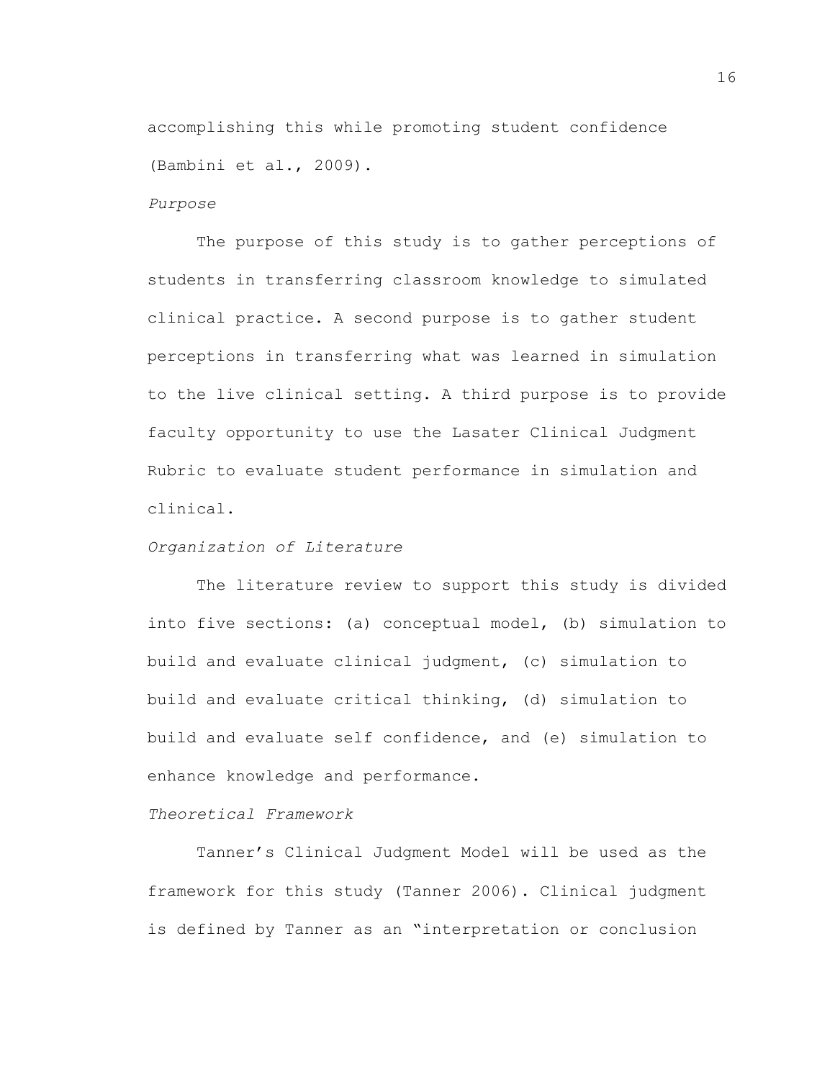accomplishing this while promoting student confidence (Bambini et al., 2009).

#### *Purpose*

The purpose of this study is to gather perceptions of students in transferring classroom knowledge to simulated clinical practice. A second purpose is to gather student perceptions in transferring what was learned in simulation to the live clinical setting. A third purpose is to provide faculty opportunity to use the Lasater Clinical Judgment Rubric to evaluate student performance in simulation and clinical.

# *Organization of Literature*

The literature review to support this study is divided into five sections: (a) conceptual model, (b) simulation to build and evaluate clinical judgment, (c) simulation to build and evaluate critical thinking, (d) simulation to build and evaluate self confidence, and (e) simulation to enhance knowledge and performance.

# *Theoretical Framework*

Tanner's Clinical Judgment Model will be used as the framework for this study (Tanner 2006). Clinical judgment is defined by Tanner as an "interpretation or conclusion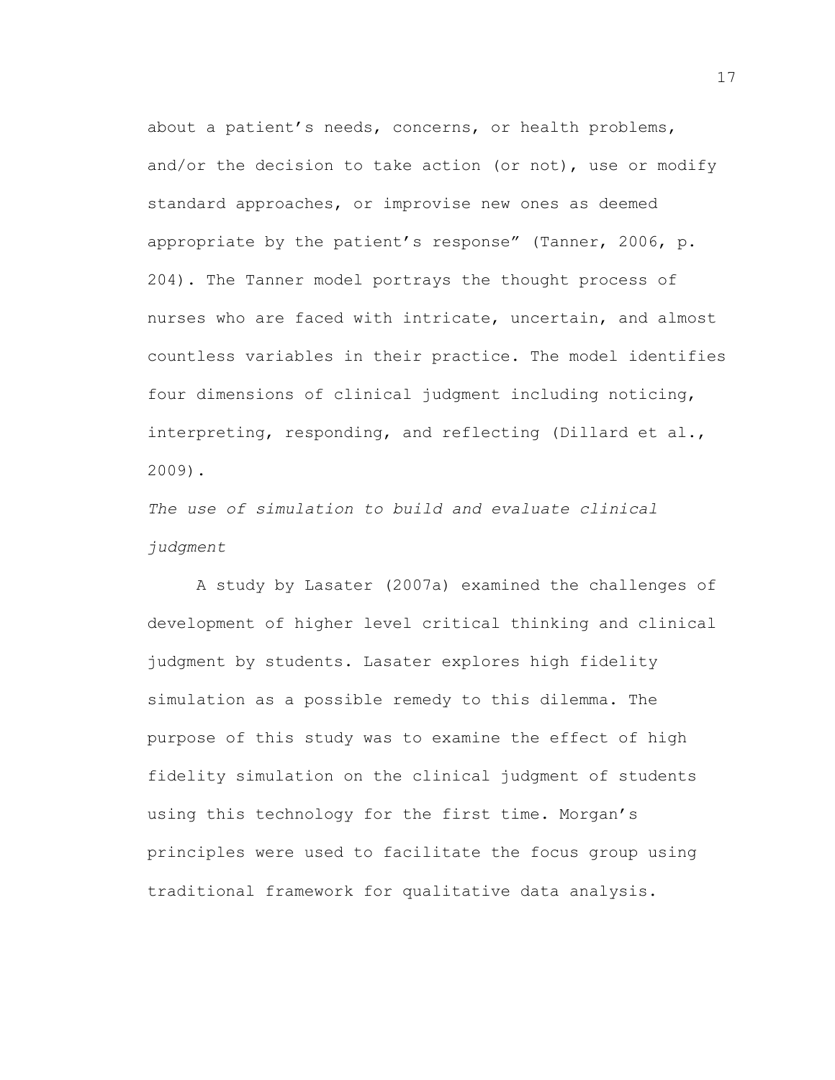about a patient's needs, concerns, or health problems, and/or the decision to take action (or not), use or modify standard approaches, or improvise new ones as deemed appropriate by the patient's response" (Tanner, 2006, p. 204). The Tanner model portrays the thought process of nurses who are faced with intricate, uncertain, and almost countless variables in their practice. The model identifies four dimensions of clinical judgment including noticing, interpreting, responding, and reflecting (Dillard et al., 2009).

*The use of simulation to build and evaluate clinical judgment*

A study by Lasater (2007a) examined the challenges of development of higher level critical thinking and clinical judgment by students. Lasater explores high fidelity simulation as a possible remedy to this dilemma. The purpose of this study was to examine the effect of high fidelity simulation on the clinical judgment of students using this technology for the first time. Morgan's principles were used to facilitate the focus group using traditional framework for qualitative data analysis.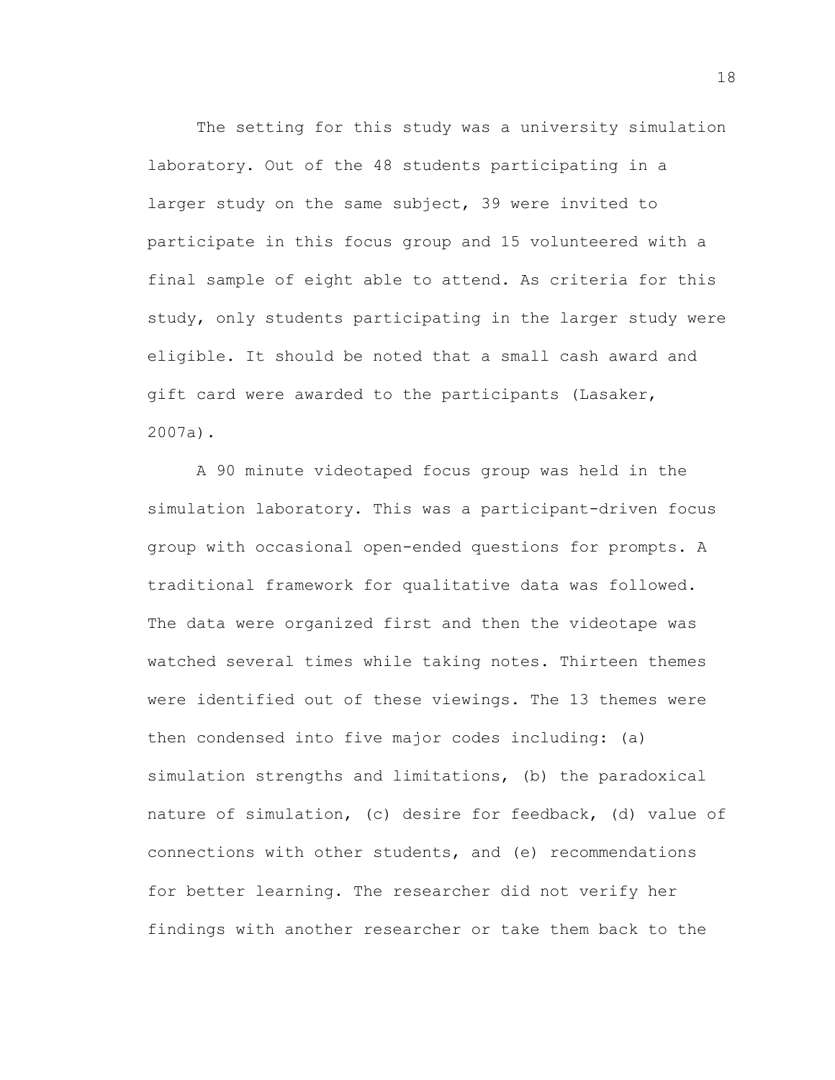The setting for this study was a university simulation laboratory. Out of the 48 students participating in a larger study on the same subject, 39 were invited to participate in this focus group and 15 volunteered with a final sample of eight able to attend. As criteria for this study, only students participating in the larger study were eligible. It should be noted that a small cash award and gift card were awarded to the participants (Lasaker, 2007a).

A 90 minute videotaped focus group was held in the simulation laboratory. This was a participant-driven focus group with occasional open-ended questions for prompts. A traditional framework for qualitative data was followed. The data were organized first and then the videotape was watched several times while taking notes. Thirteen themes were identified out of these viewings. The 13 themes were then condensed into five major codes including: (a) simulation strengths and limitations, (b) the paradoxical nature of simulation, (c) desire for feedback, (d) value of connections with other students, and (e) recommendations for better learning. The researcher did not verify her findings with another researcher or take them back to the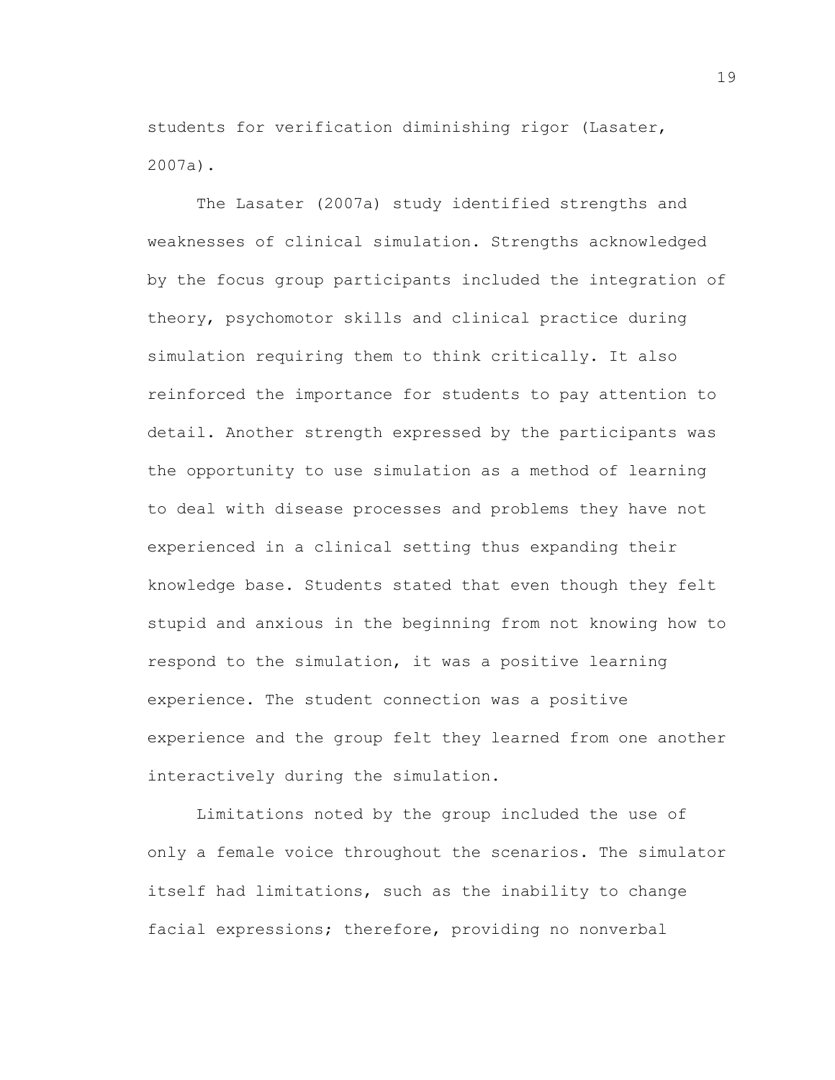students for verification diminishing rigor (Lasater, 2007a).

The Lasater (2007a) study identified strengths and weaknesses of clinical simulation. Strengths acknowledged by the focus group participants included the integration of theory, psychomotor skills and clinical practice during simulation requiring them to think critically. It also reinforced the importance for students to pay attention to detail. Another strength expressed by the participants was the opportunity to use simulation as a method of learning to deal with disease processes and problems they have not experienced in a clinical setting thus expanding their knowledge base. Students stated that even though they felt stupid and anxious in the beginning from not knowing how to respond to the simulation, it was a positive learning experience. The student connection was a positive experience and the group felt they learned from one another interactively during the simulation.

Limitations noted by the group included the use of only a female voice throughout the scenarios. The simulator itself had limitations, such as the inability to change facial expressions; therefore, providing no nonverbal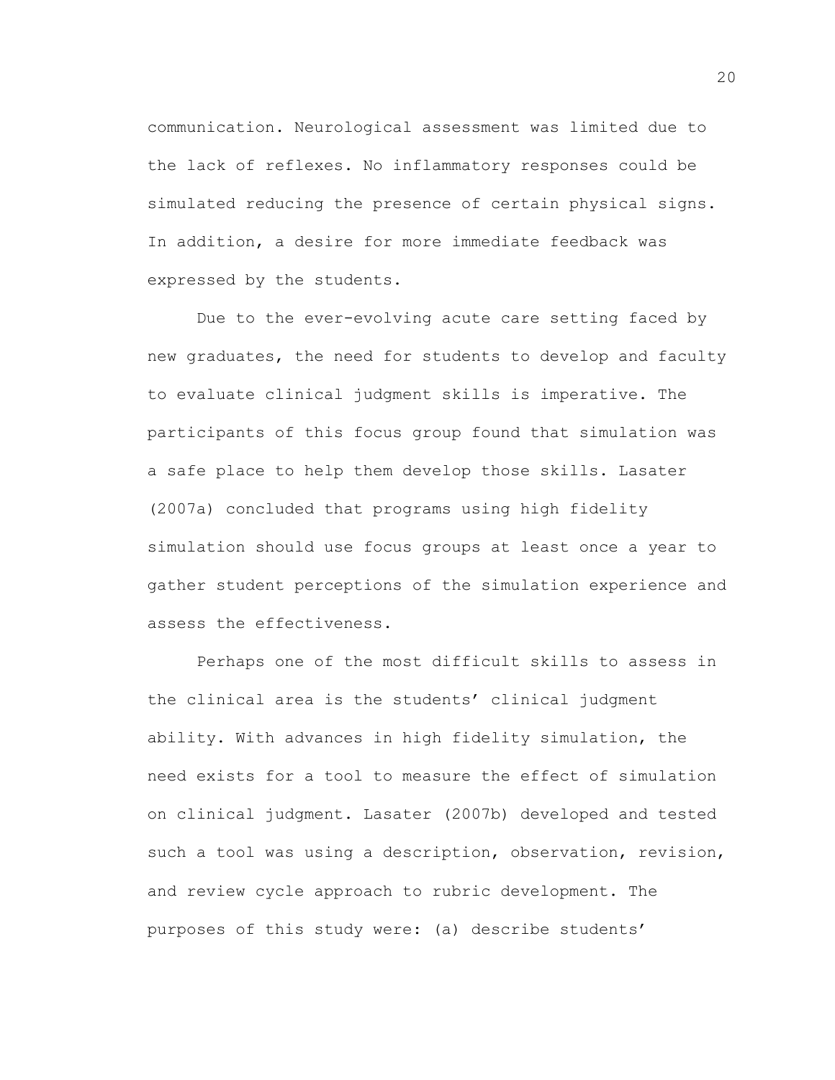communication. Neurological assessment was limited due to the lack of reflexes. No inflammatory responses could be simulated reducing the presence of certain physical signs. In addition, a desire for more immediate feedback was expressed by the students.

Due to the ever-evolving acute care setting faced by new graduates, the need for students to develop and faculty to evaluate clinical judgment skills is imperative. The participants of this focus group found that simulation was a safe place to help them develop those skills. Lasater (2007a) concluded that programs using high fidelity simulation should use focus groups at least once a year to gather student perceptions of the simulation experience and assess the effectiveness.

Perhaps one of the most difficult skills to assess in the clinical area is the students' clinical judgment ability. With advances in high fidelity simulation, the need exists for a tool to measure the effect of simulation on clinical judgment. Lasater (2007b) developed and tested such a tool was using a description, observation, revision, and review cycle approach to rubric development. The purposes of this study were: (a) describe students'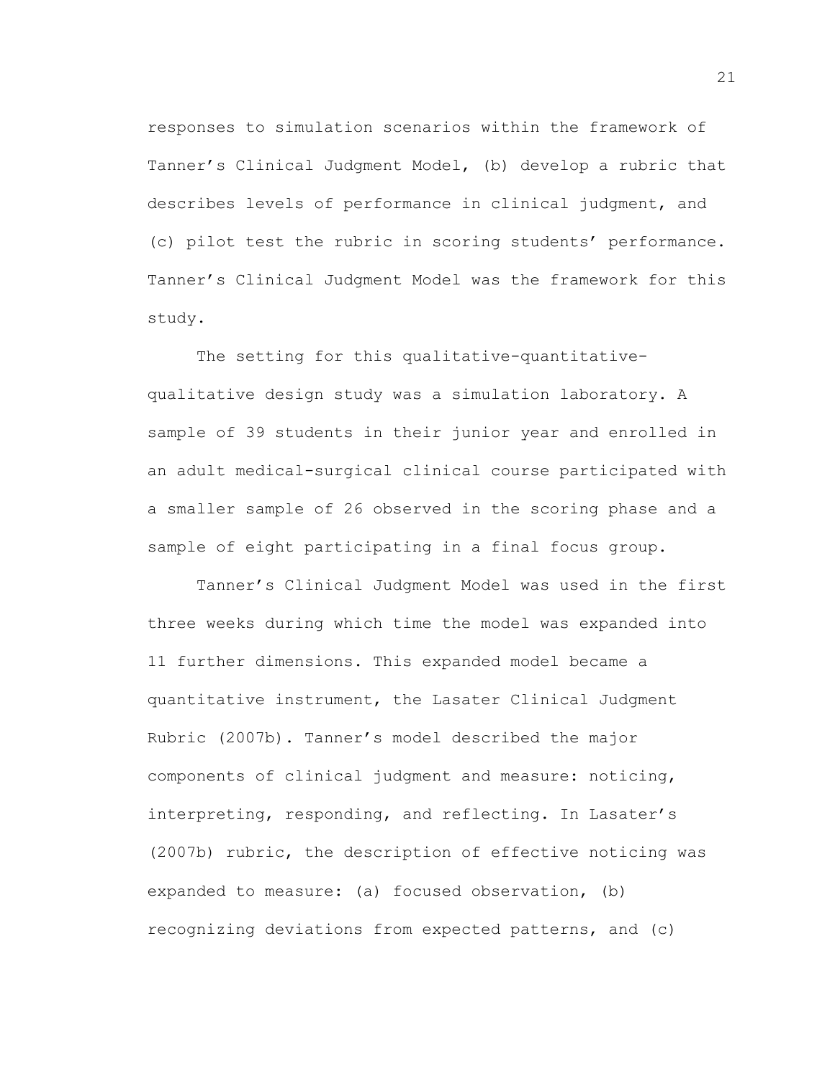responses to simulation scenarios within the framework of Tanner's Clinical Judgment Model, (b) develop a rubric that describes levels of performance in clinical judgment, and (c) pilot test the rubric in scoring students' performance. Tanner's Clinical Judgment Model was the framework for this study.

The setting for this qualitative-quantitativequalitative design study was a simulation laboratory. A sample of 39 students in their junior year and enrolled in an adult medical-surgical clinical course participated with a smaller sample of 26 observed in the scoring phase and a sample of eight participating in a final focus group.

Tanner's Clinical Judgment Model was used in the first three weeks during which time the model was expanded into 11 further dimensions. This expanded model became a quantitative instrument, the Lasater Clinical Judgment Rubric (2007b). Tanner's model described the major components of clinical judgment and measure: noticing, interpreting, responding, and reflecting. In Lasater's (2007b) rubric, the description of effective noticing was expanded to measure: (a) focused observation, (b) recognizing deviations from expected patterns, and (c)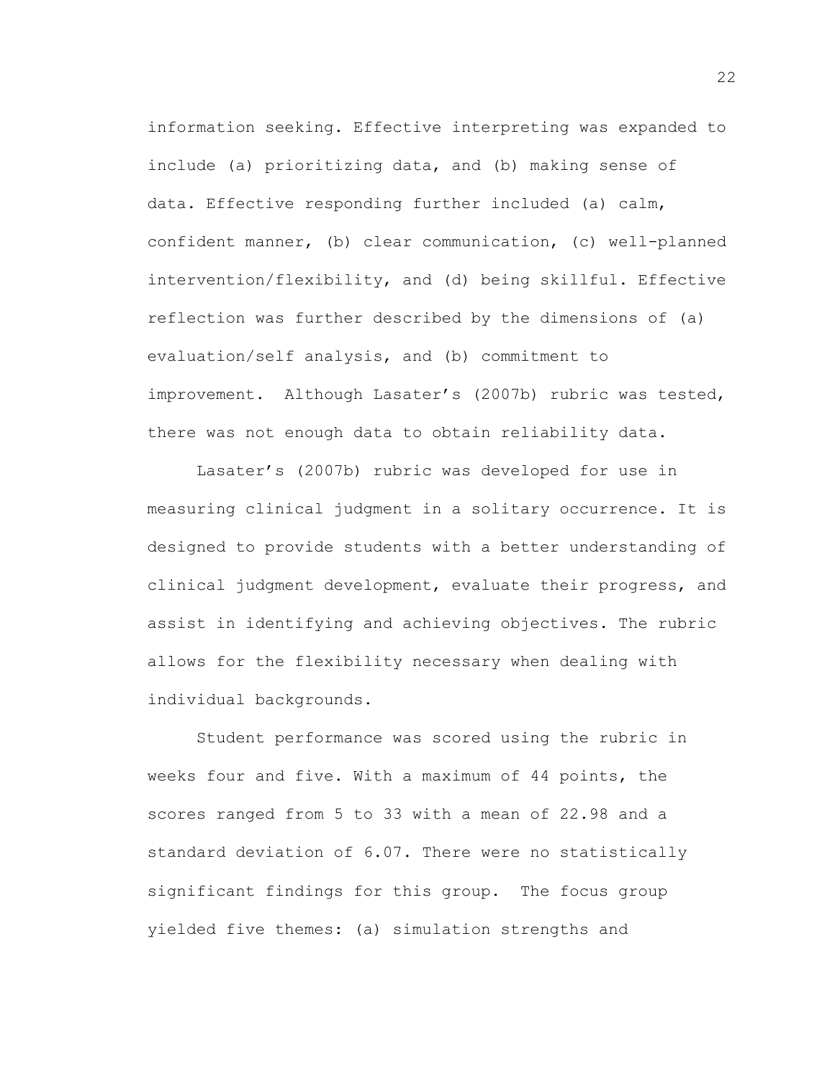information seeking. Effective interpreting was expanded to include (a) prioritizing data, and (b) making sense of data. Effective responding further included (a) calm, confident manner, (b) clear communication, (c) well-planned intervention/flexibility, and (d) being skillful. Effective reflection was further described by the dimensions of (a) evaluation/self analysis, and (b) commitment to improvement. Although Lasater's (2007b) rubric was tested, there was not enough data to obtain reliability data.

Lasater's (2007b) rubric was developed for use in measuring clinical judgment in a solitary occurrence. It is designed to provide students with a better understanding of clinical judgment development, evaluate their progress, and assist in identifying and achieving objectives. The rubric allows for the flexibility necessary when dealing with individual backgrounds.

Student performance was scored using the rubric in weeks four and five. With a maximum of 44 points, the scores ranged from 5 to 33 with a mean of 22.98 and a standard deviation of 6.07. There were no statistically significant findings for this group. The focus group yielded five themes: (a) simulation strengths and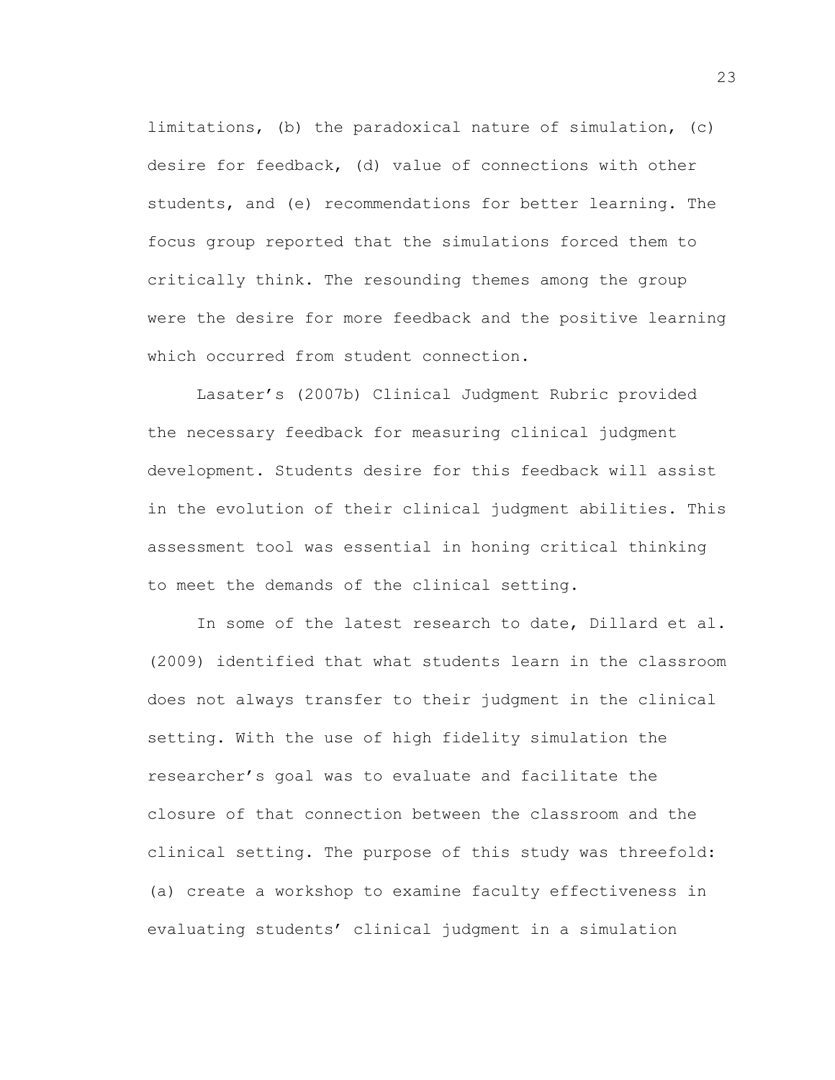limitations, (b) the paradoxical nature of simulation, (c) desire for feedback, (d) value of connections with other students, and (e) recommendations for better learning. The focus group reported that the simulations forced them to critically think. The resounding themes among the group were the desire for more feedback and the positive learning which occurred from student connection.

Lasater's (2007b) Clinical Judgment Rubric provided the necessary feedback for measuring clinical judgment development. Students desire for this feedback will assist in the evolution of their clinical judgment abilities. This assessment tool was essential in honing critical thinking to meet the demands of the clinical setting.

In some of the latest research to date, Dillard et al. (2009) identified that what students learn in the classroom does not always transfer to their judgment in the clinical setting. With the use of high fidelity simulation the researcher's goal was to evaluate and facilitate the closure of that connection between the classroom and the clinical setting. The purpose of this study was threefold: (a) create a workshop to examine faculty effectiveness in evaluating students' clinical judgment in a simulation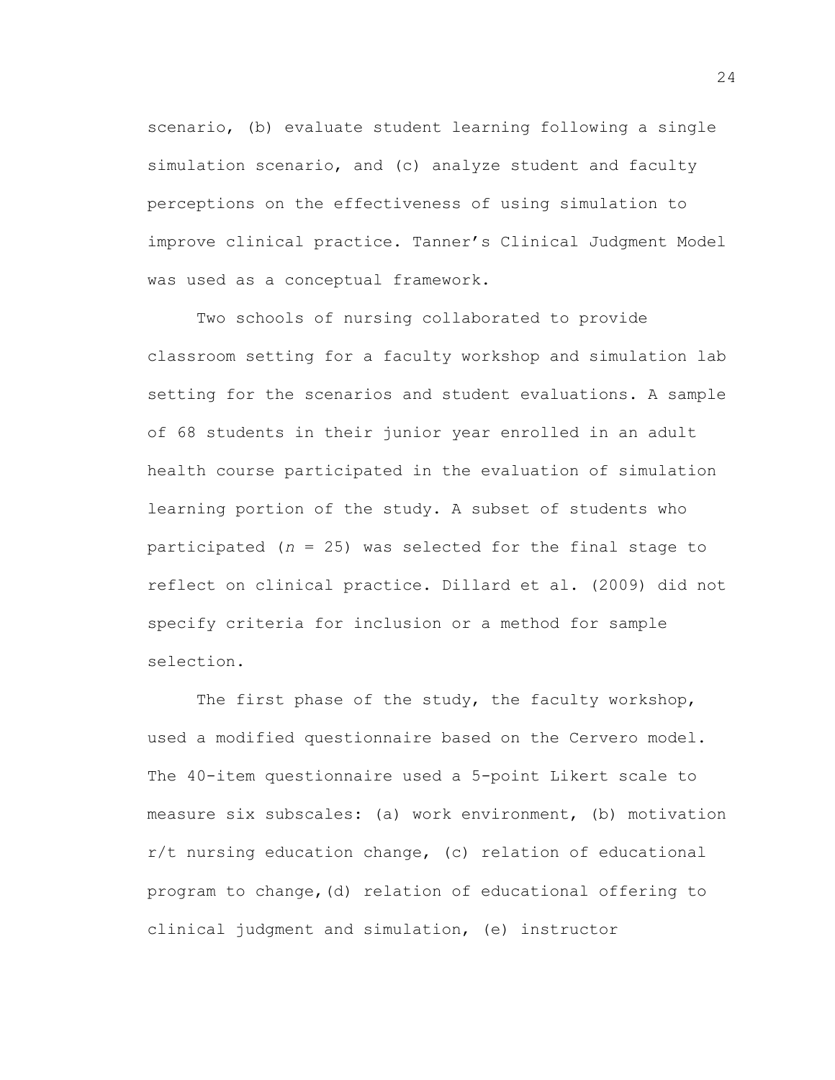scenario, (b) evaluate student learning following a single simulation scenario, and (c) analyze student and faculty perceptions on the effectiveness of using simulation to improve clinical practice. Tanner's Clinical Judgment Model was used as a conceptual framework.

Two schools of nursing collaborated to provide classroom setting for a faculty workshop and simulation lab setting for the scenarios and student evaluations. A sample of 68 students in their junior year enrolled in an adult health course participated in the evaluation of simulation learning portion of the study. A subset of students who participated (*n* = 25) was selected for the final stage to reflect on clinical practice. Dillard et al. (2009) did not specify criteria for inclusion or a method for sample selection.

The first phase of the study, the faculty workshop, used a modified questionnaire based on the Cervero model. The 40-item questionnaire used a 5-point Likert scale to measure six subscales: (a) work environment, (b) motivation r/t nursing education change, (c) relation of educational program to change,(d) relation of educational offering to clinical judgment and simulation, (e) instructor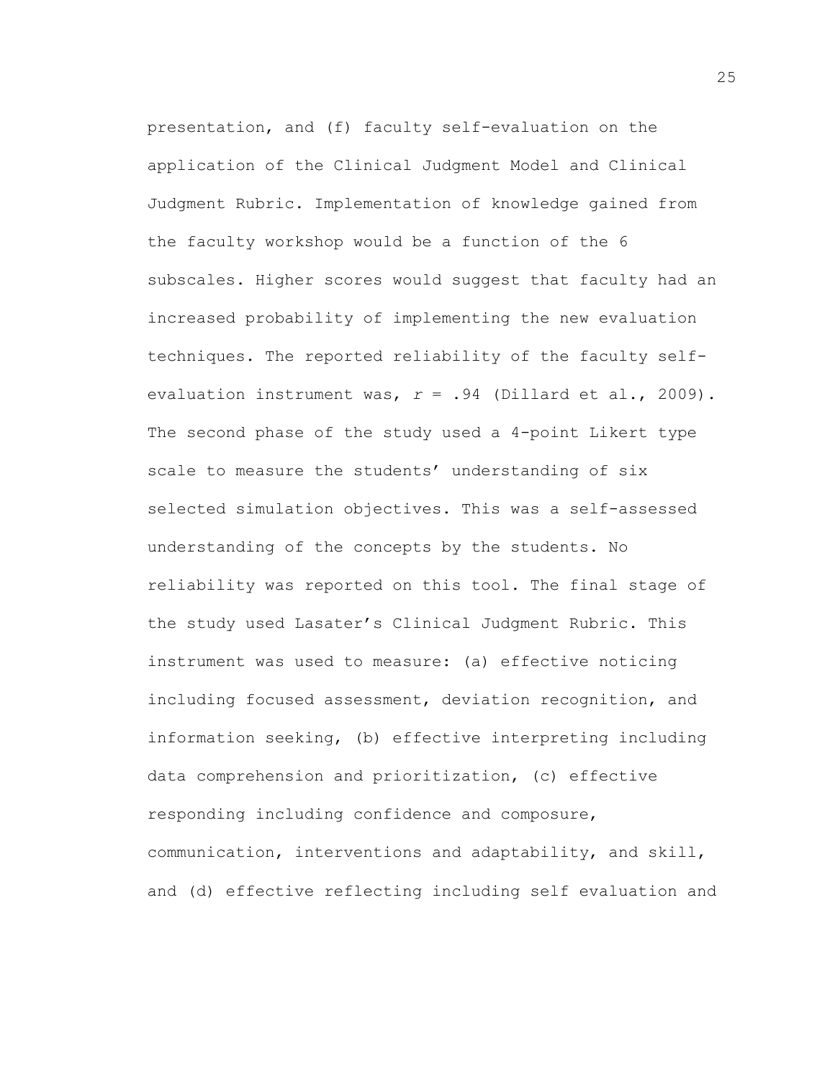presentation, and (f) faculty self-evaluation on the application of the Clinical Judgment Model and Clinical Judgment Rubric. Implementation of knowledge gained from the faculty workshop would be a function of the 6 subscales. Higher scores would suggest that faculty had an increased probability of implementing the new evaluation techniques. The reported reliability of the faculty selfevaluation instrument was, *r* = .94 (Dillard et al., 2009). The second phase of the study used a 4-point Likert type scale to measure the students' understanding of six selected simulation objectives. This was a self-assessed understanding of the concepts by the students. No reliability was reported on this tool. The final stage of the study used Lasater's Clinical Judgment Rubric. This instrument was used to measure: (a) effective noticing including focused assessment, deviation recognition, and information seeking, (b) effective interpreting including data comprehension and prioritization, (c) effective responding including confidence and composure, communication, interventions and adaptability, and skill, and (d) effective reflecting including self evaluation and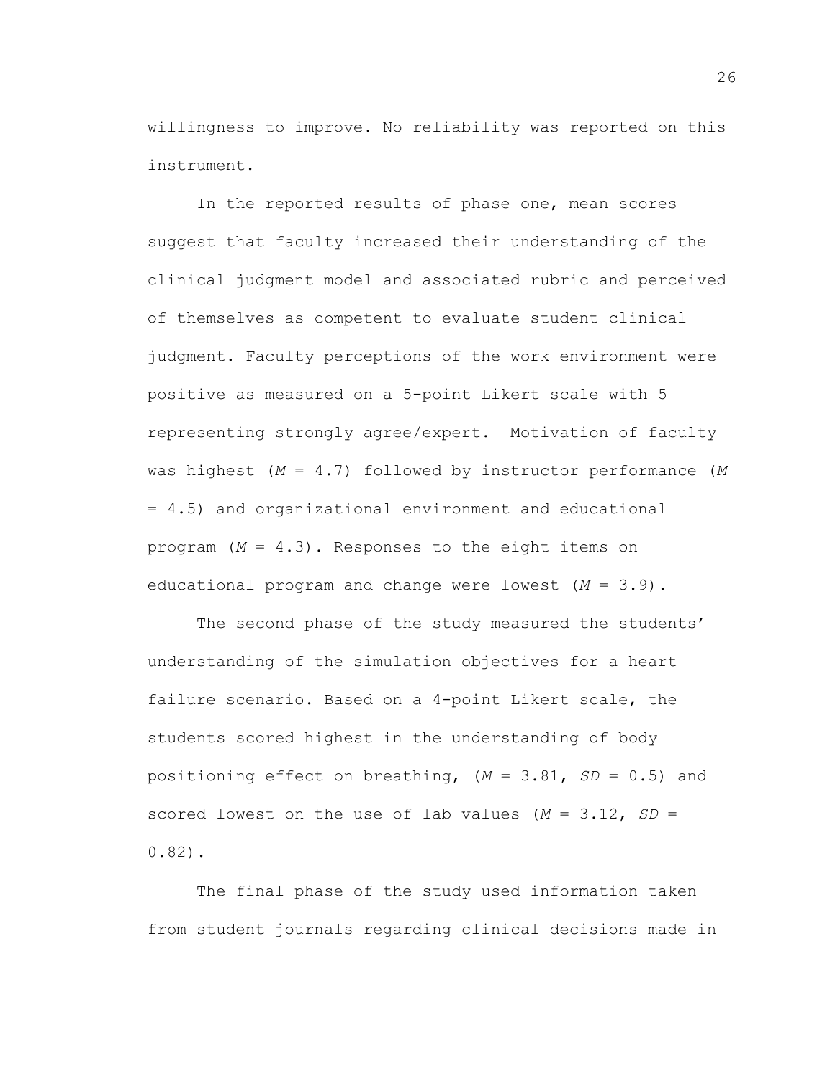willingness to improve. No reliability was reported on this instrument.

In the reported results of phase one, mean scores suggest that faculty increased their understanding of the clinical judgment model and associated rubric and perceived of themselves as competent to evaluate student clinical judgment. Faculty perceptions of the work environment were positive as measured on a 5-point Likert scale with 5 representing strongly agree/expert. Motivation of faculty was highest (*M* = 4.7) followed by instructor performance (*M* = 4.5) and organizational environment and educational program (*M* = 4.3). Responses to the eight items on educational program and change were lowest (*M* = 3.9).

The second phase of the study measured the students' understanding of the simulation objectives for a heart failure scenario. Based on a 4-point Likert scale, the students scored highest in the understanding of body positioning effect on breathing, (*M* = 3.81, *SD* = 0.5) and scored lowest on the use of lab values (*M* = 3.12, *SD* = 0.82).

The final phase of the study used information taken from student journals regarding clinical decisions made in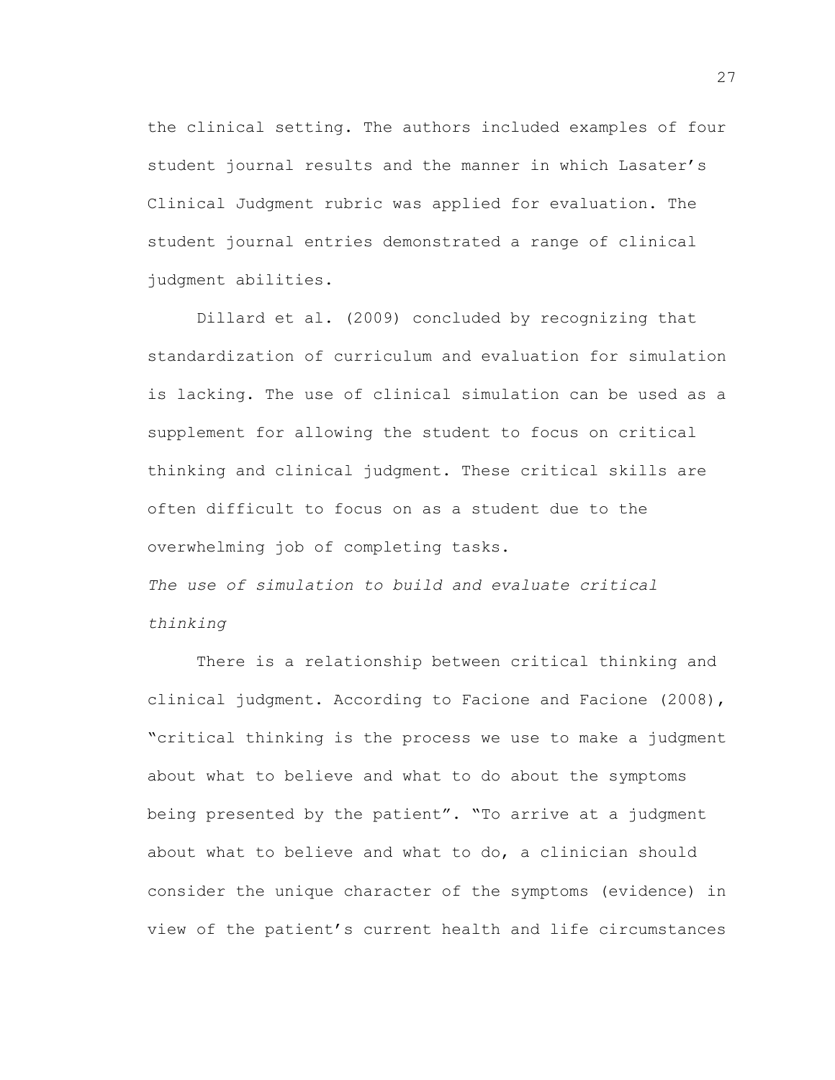the clinical setting. The authors included examples of four student journal results and the manner in which Lasater's Clinical Judgment rubric was applied for evaluation. The student journal entries demonstrated a range of clinical judgment abilities.

Dillard et al. (2009) concluded by recognizing that standardization of curriculum and evaluation for simulation is lacking. The use of clinical simulation can be used as a supplement for allowing the student to focus on critical thinking and clinical judgment. These critical skills are often difficult to focus on as a student due to the overwhelming job of completing tasks. *The use of simulation to build and evaluate critical thinking*

There is a relationship between critical thinking and clinical judgment. According to Facione and Facione (2008), "critical thinking is the process we use to make a judgment about what to believe and what to do about the symptoms being presented by the patient". "To arrive at a judgment about what to believe and what to do, a clinician should consider the unique character of the symptoms (evidence) in view of the patient's current health and life circumstances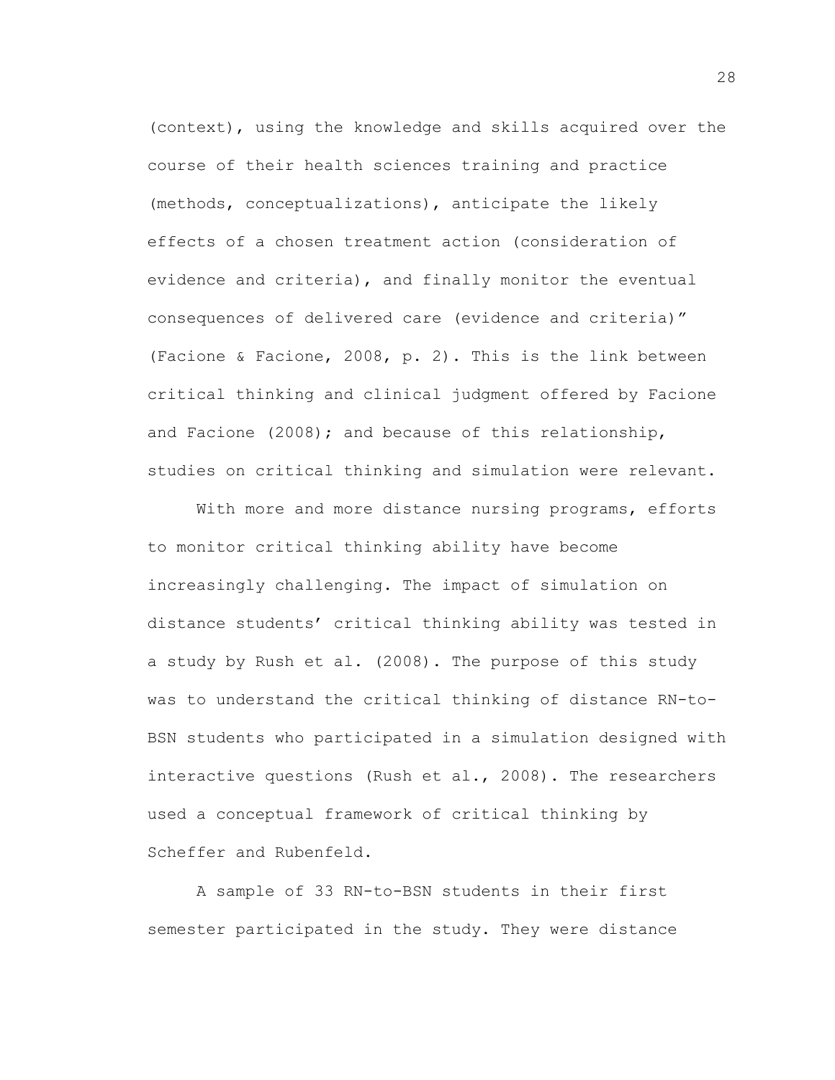(context), using the knowledge and skills acquired over the course of their health sciences training and practice (methods, conceptualizations), anticipate the likely effects of a chosen treatment action (consideration of evidence and criteria), and finally monitor the eventual consequences of delivered care (evidence and criteria)" (Facione & Facione, 2008, p. 2). This is the link between critical thinking and clinical judgment offered by Facione and Facione (2008); and because of this relationship, studies on critical thinking and simulation were relevant.

With more and more distance nursing programs, efforts to monitor critical thinking ability have become increasingly challenging. The impact of simulation on distance students' critical thinking ability was tested in a study by Rush et al. (2008). The purpose of this study was to understand the critical thinking of distance RN-to-BSN students who participated in a simulation designed with interactive questions (Rush et al., 2008). The researchers used a conceptual framework of critical thinking by Scheffer and Rubenfeld.

A sample of 33 RN-to-BSN students in their first semester participated in the study. They were distance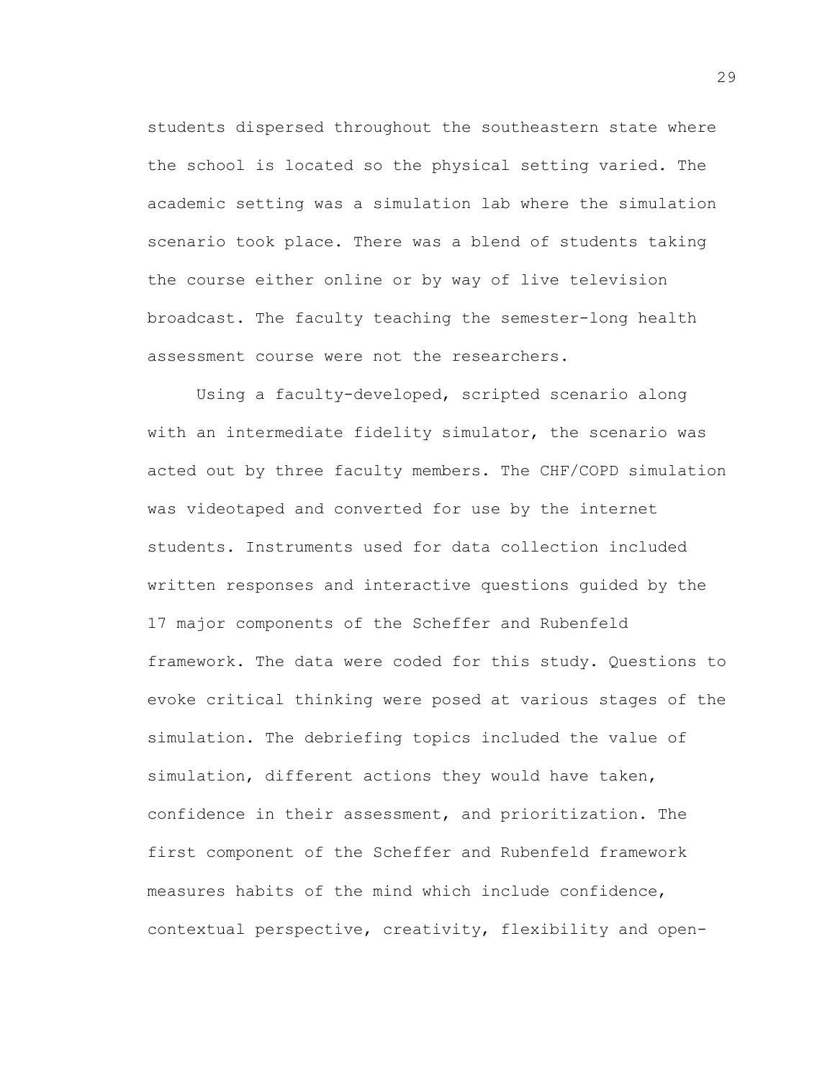students dispersed throughout the southeastern state where the school is located so the physical setting varied. The academic setting was a simulation lab where the simulation scenario took place. There was a blend of students taking the course either online or by way of live television broadcast. The faculty teaching the semester-long health assessment course were not the researchers.

Using a faculty-developed, scripted scenario along with an intermediate fidelity simulator, the scenario was acted out by three faculty members. The CHF/COPD simulation was videotaped and converted for use by the internet students. Instruments used for data collection included written responses and interactive questions guided by the 17 major components of the Scheffer and Rubenfeld framework. The data were coded for this study. Questions to evoke critical thinking were posed at various stages of the simulation. The debriefing topics included the value of simulation, different actions they would have taken, confidence in their assessment, and prioritization. The first component of the Scheffer and Rubenfeld framework measures habits of the mind which include confidence, contextual perspective, creativity, flexibility and open-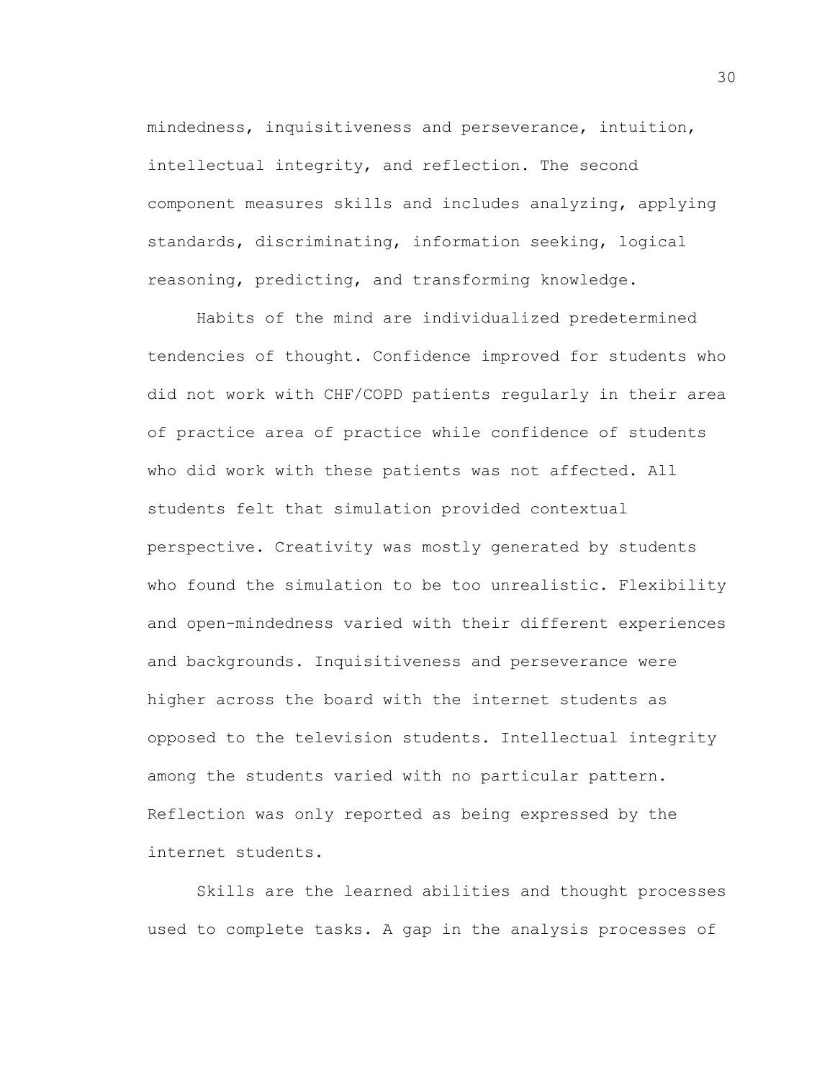mindedness, inquisitiveness and perseverance, intuition, intellectual integrity, and reflection. The second component measures skills and includes analyzing, applying standards, discriminating, information seeking, logical reasoning, predicting, and transforming knowledge.

Habits of the mind are individualized predetermined tendencies of thought. Confidence improved for students who did not work with CHF/COPD patients regularly in their area of practice area of practice while confidence of students who did work with these patients was not affected. All students felt that simulation provided contextual perspective. Creativity was mostly generated by students who found the simulation to be too unrealistic. Flexibility and open-mindedness varied with their different experiences and backgrounds. Inquisitiveness and perseverance were higher across the board with the internet students as opposed to the television students. Intellectual integrity among the students varied with no particular pattern. Reflection was only reported as being expressed by the internet students.

Skills are the learned abilities and thought processes used to complete tasks. A gap in the analysis processes of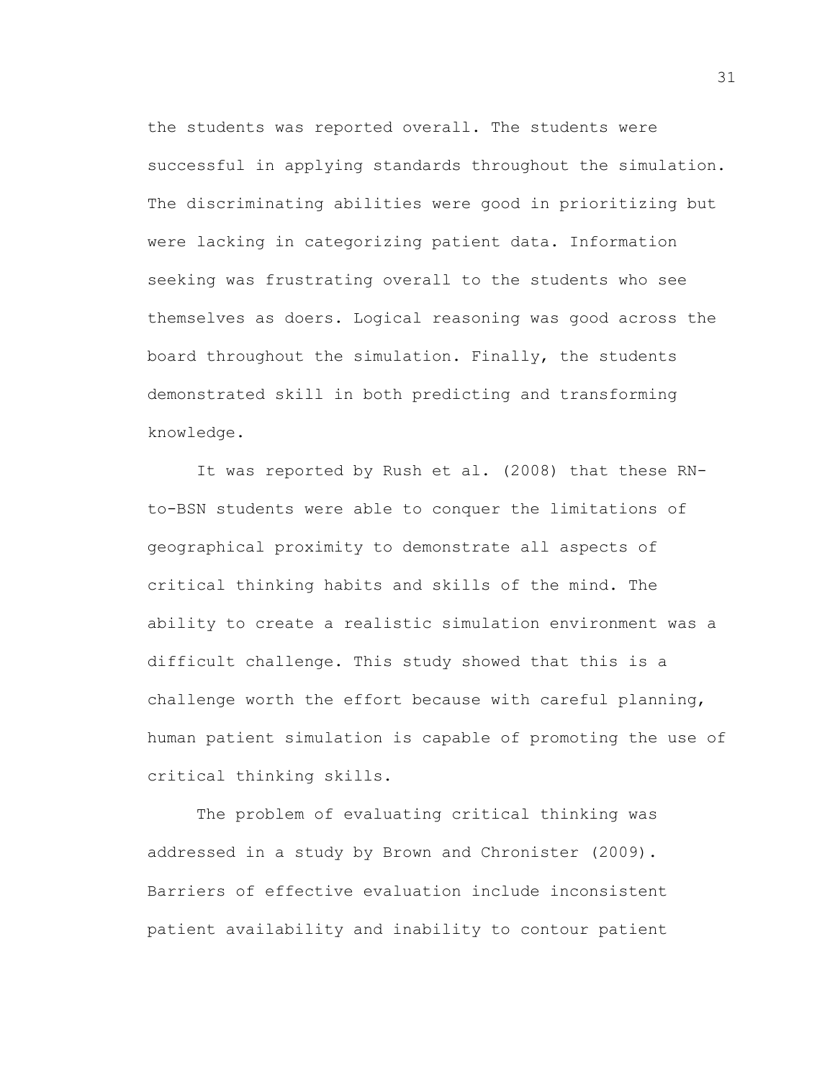the students was reported overall. The students were successful in applying standards throughout the simulation. The discriminating abilities were good in prioritizing but were lacking in categorizing patient data. Information seeking was frustrating overall to the students who see themselves as doers. Logical reasoning was good across the board throughout the simulation. Finally, the students demonstrated skill in both predicting and transforming knowledge.

It was reported by Rush et al. (2008) that these RNto-BSN students were able to conquer the limitations of geographical proximity to demonstrate all aspects of critical thinking habits and skills of the mind. The ability to create a realistic simulation environment was a difficult challenge. This study showed that this is a challenge worth the effort because with careful planning, human patient simulation is capable of promoting the use of critical thinking skills.

The problem of evaluating critical thinking was addressed in a study by Brown and Chronister (2009). Barriers of effective evaluation include inconsistent patient availability and inability to contour patient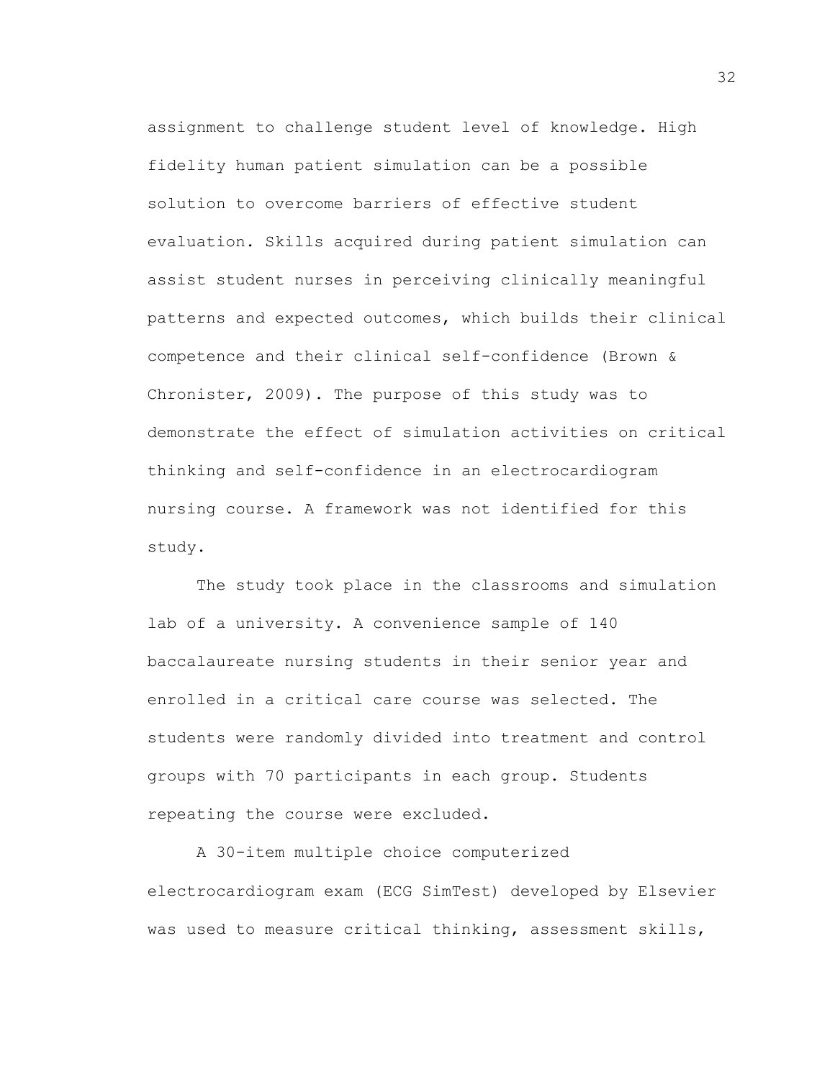assignment to challenge student level of knowledge. High fidelity human patient simulation can be a possible solution to overcome barriers of effective student evaluation. Skills acquired during patient simulation can assist student nurses in perceiving clinically meaningful patterns and expected outcomes, which builds their clinical competence and their clinical self-confidence (Brown & Chronister, 2009). The purpose of this study was to demonstrate the effect of simulation activities on critical thinking and self-confidence in an electrocardiogram nursing course. A framework was not identified for this study.

The study took place in the classrooms and simulation lab of a university. A convenience sample of 140 baccalaureate nursing students in their senior year and enrolled in a critical care course was selected. The students were randomly divided into treatment and control groups with 70 participants in each group. Students repeating the course were excluded.

A 30-item multiple choice computerized electrocardiogram exam (ECG SimTest) developed by Elsevier was used to measure critical thinking, assessment skills,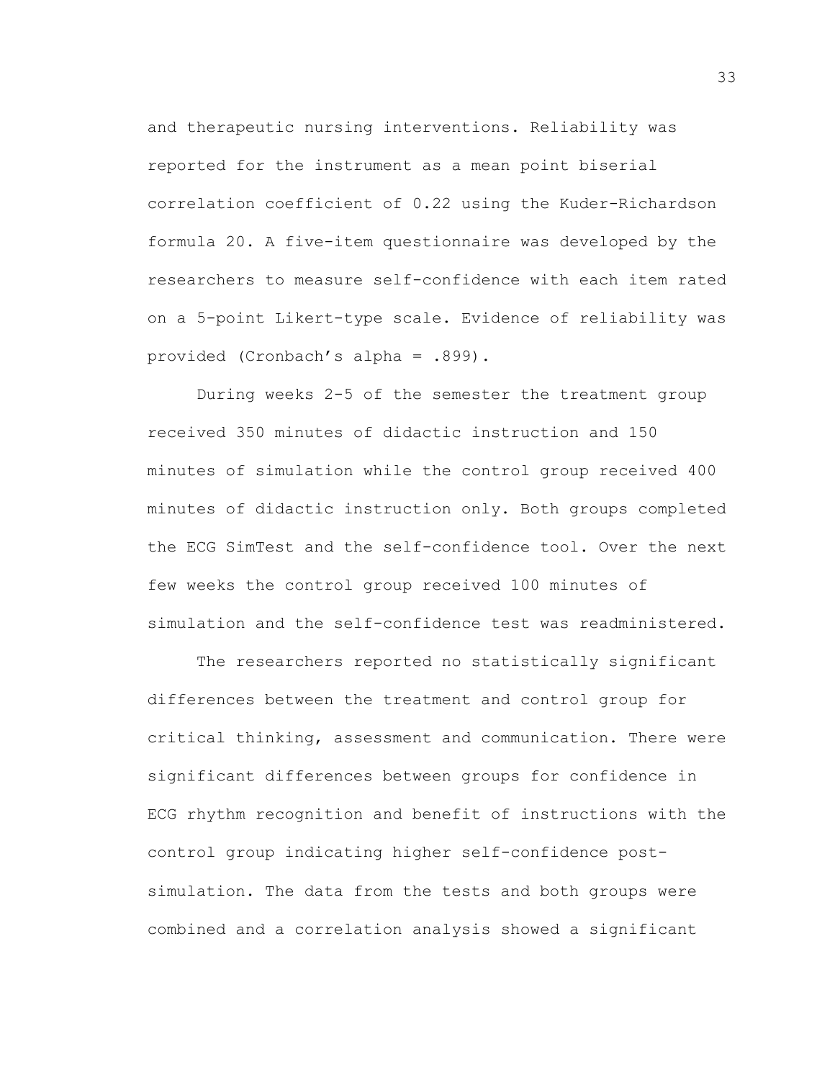and therapeutic nursing interventions. Reliability was reported for the instrument as a mean point biserial correlation coefficient of 0.22 using the Kuder-Richardson formula 20. A five-item questionnaire was developed by the researchers to measure self-confidence with each item rated on a 5-point Likert-type scale. Evidence of reliability was provided (Cronbach's alpha = .899).

During weeks 2-5 of the semester the treatment group received 350 minutes of didactic instruction and 150 minutes of simulation while the control group received 400 minutes of didactic instruction only. Both groups completed the ECG SimTest and the self-confidence tool. Over the next few weeks the control group received 100 minutes of simulation and the self-confidence test was readministered.

The researchers reported no statistically significant differences between the treatment and control group for critical thinking, assessment and communication. There were significant differences between groups for confidence in ECG rhythm recognition and benefit of instructions with the control group indicating higher self-confidence postsimulation. The data from the tests and both groups were combined and a correlation analysis showed a significant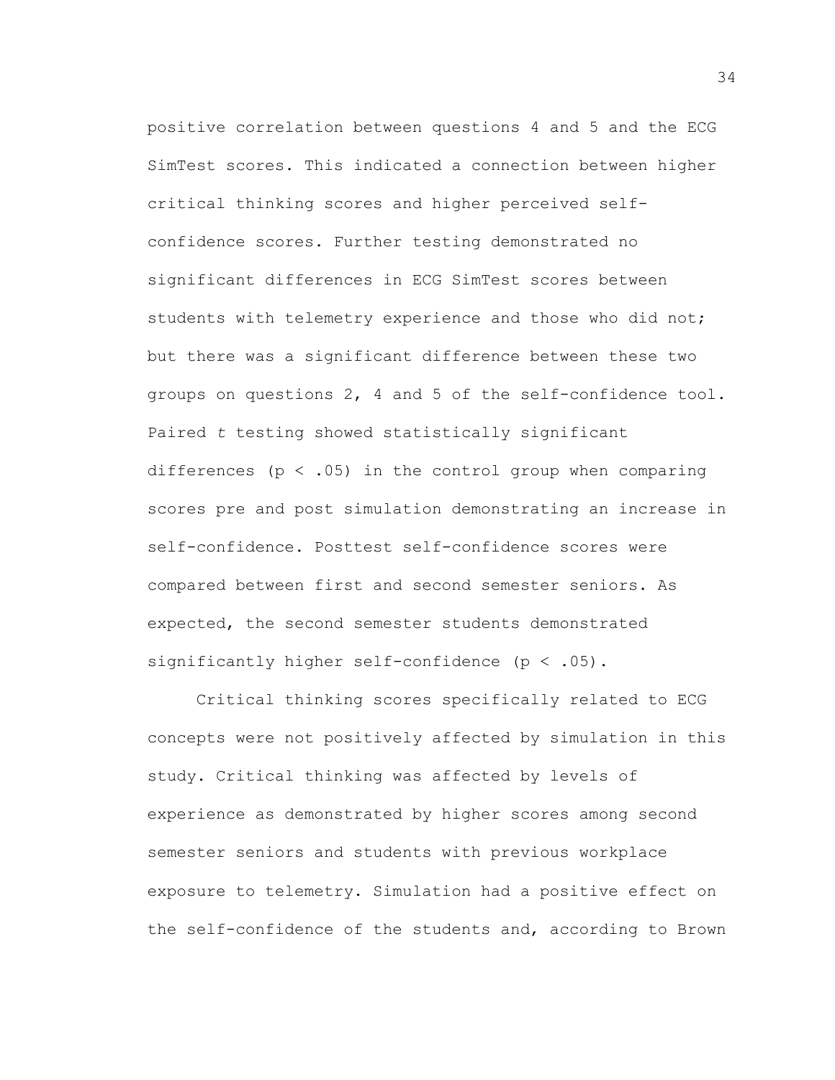positive correlation between questions 4 and 5 and the ECG SimTest scores. This indicated a connection between higher critical thinking scores and higher perceived selfconfidence scores. Further testing demonstrated no significant differences in ECG SimTest scores between students with telemetry experience and those who did not; but there was a significant difference between these two groups on questions 2, 4 and 5 of the self-confidence tool. Paired *t* testing showed statistically significant differences ( $p < .05$ ) in the control group when comparing scores pre and post simulation demonstrating an increase in self-confidence. Posttest self-confidence scores were compared between first and second semester seniors. As expected, the second semester students demonstrated significantly higher self-confidence ( $p < .05$ ).

Critical thinking scores specifically related to ECG concepts were not positively affected by simulation in this study. Critical thinking was affected by levels of experience as demonstrated by higher scores among second semester seniors and students with previous workplace exposure to telemetry. Simulation had a positive effect on the self-confidence of the students and, according to Brown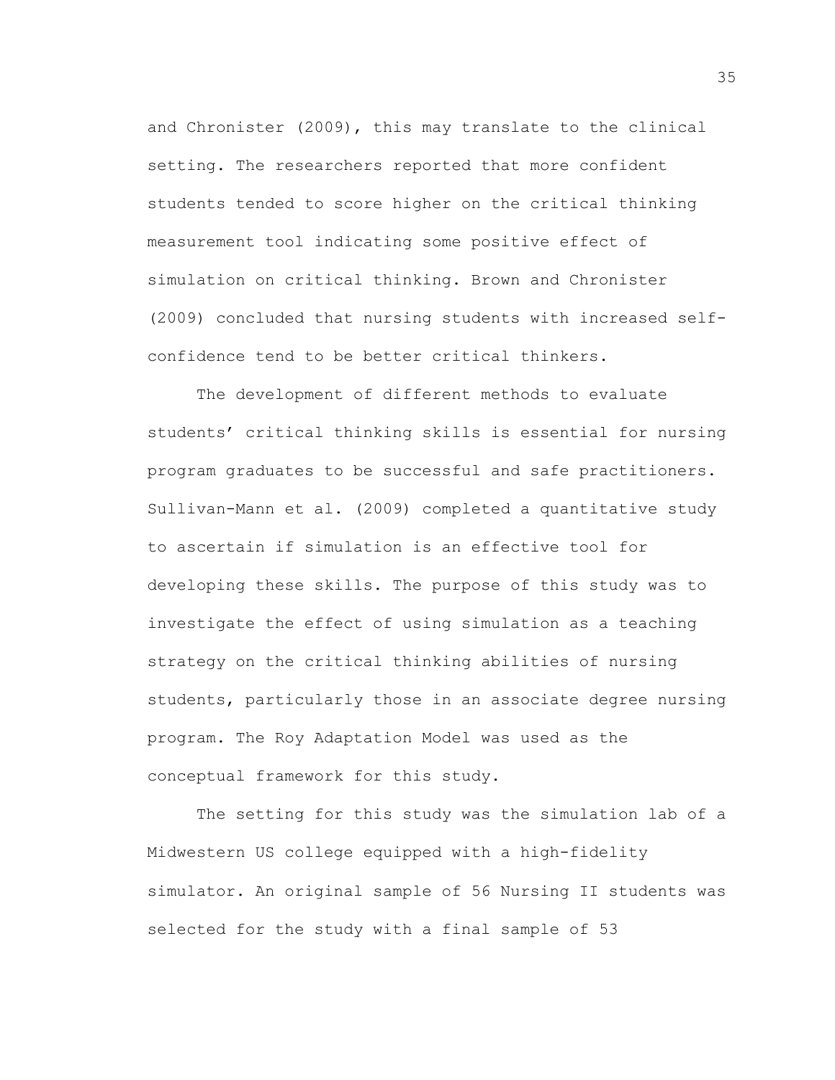and Chronister (2009), this may translate to the clinical setting. The researchers reported that more confident students tended to score higher on the critical thinking measurement tool indicating some positive effect of simulation on critical thinking. Brown and Chronister (2009) concluded that nursing students with increased selfconfidence tend to be better critical thinkers.

The development of different methods to evaluate students' critical thinking skills is essential for nursing program graduates to be successful and safe practitioners. Sullivan-Mann et al. (2009) completed a quantitative study to ascertain if simulation is an effective tool for developing these skills. The purpose of this study was to investigate the effect of using simulation as a teaching strategy on the critical thinking abilities of nursing students, particularly those in an associate degree nursing program. The Roy Adaptation Model was used as the conceptual framework for this study.

The setting for this study was the simulation lab of a Midwestern US college equipped with a high-fidelity simulator. An original sample of 56 Nursing II students was selected for the study with a final sample of 53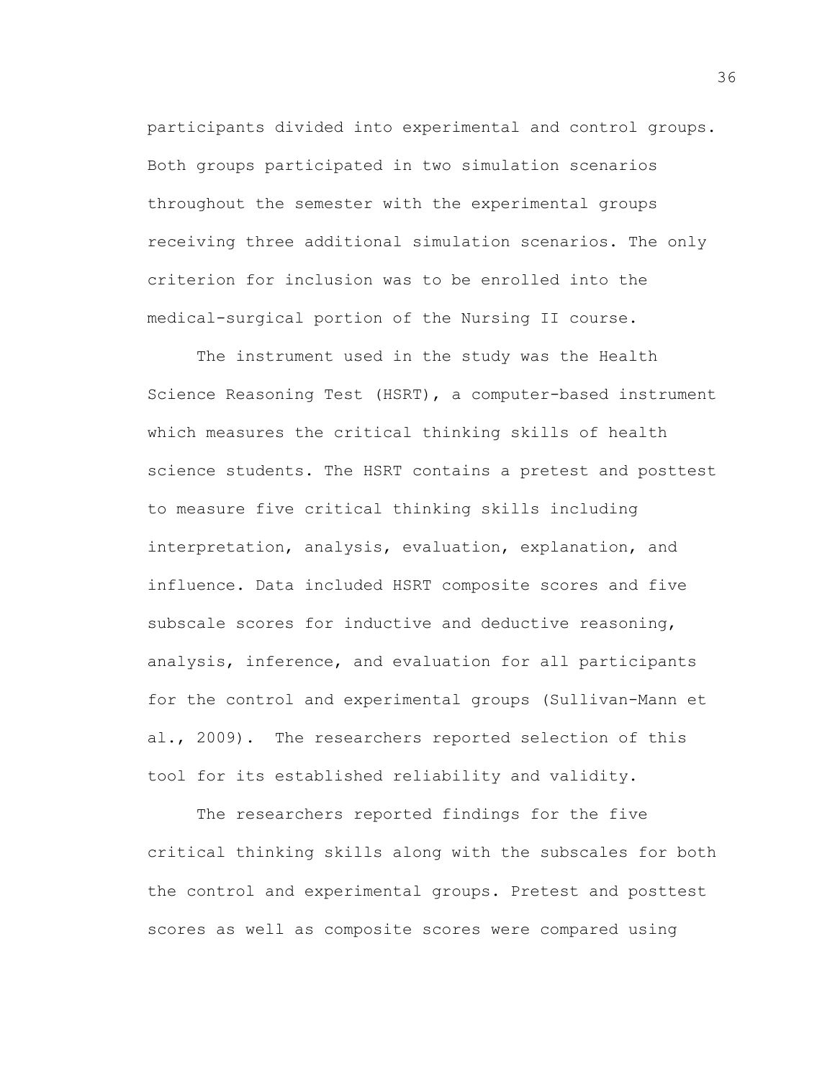participants divided into experimental and control groups. Both groups participated in two simulation scenarios throughout the semester with the experimental groups receiving three additional simulation scenarios. The only criterion for inclusion was to be enrolled into the medical-surgical portion of the Nursing II course.

The instrument used in the study was the Health Science Reasoning Test (HSRT), a computer-based instrument which measures the critical thinking skills of health science students. The HSRT contains a pretest and posttest to measure five critical thinking skills including interpretation, analysis, evaluation, explanation, and influence. Data included HSRT composite scores and five subscale scores for inductive and deductive reasoning, analysis, inference, and evaluation for all participants for the control and experimental groups (Sullivan-Mann et al., 2009). The researchers reported selection of this tool for its established reliability and validity.

The researchers reported findings for the five critical thinking skills along with the subscales for both the control and experimental groups. Pretest and posttest scores as well as composite scores were compared using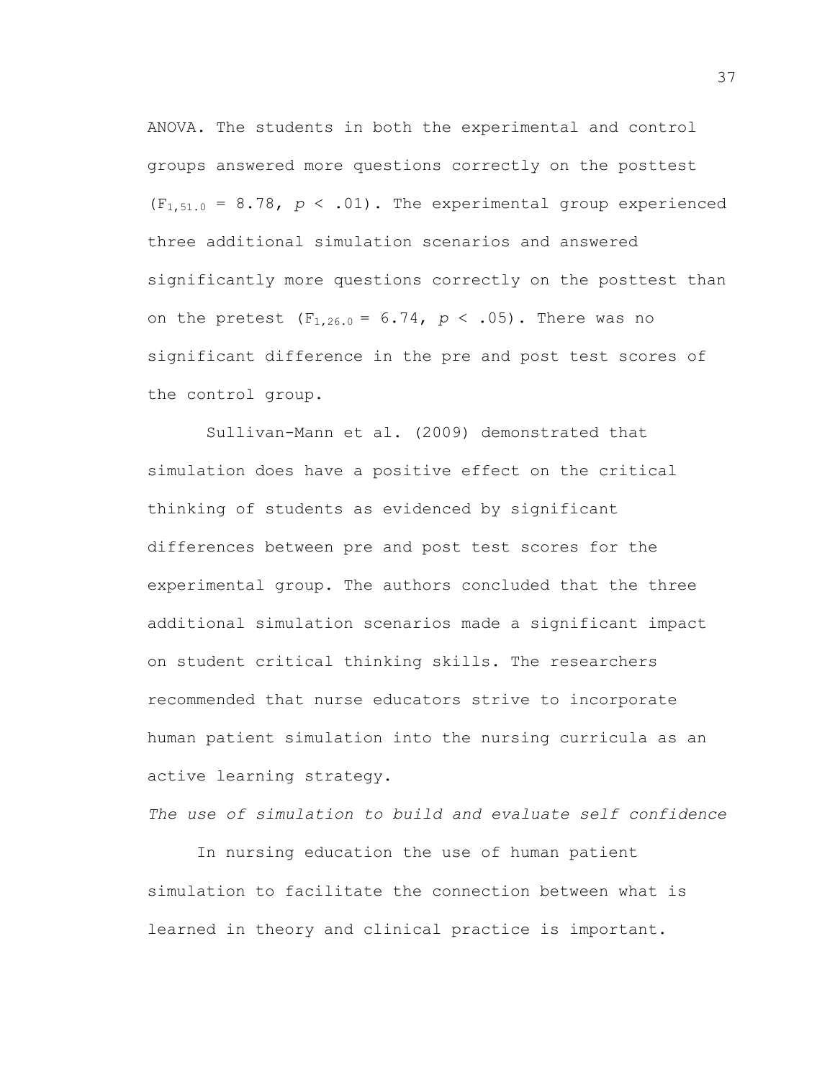ANOVA. The students in both the experimental and control groups answered more questions correctly on the posttest  $(F_{1,51.0} = 8.78, p \le .01)$ . The experimental group experienced three additional simulation scenarios and answered significantly more questions correctly on the posttest than on the pretest  $(F_{1,26.0} = 6.74, p < .05)$ . There was no significant difference in the pre and post test scores of the control group.

Sullivan-Mann et al. (2009) demonstrated that simulation does have a positive effect on the critical thinking of students as evidenced by significant differences between pre and post test scores for the experimental group. The authors concluded that the three additional simulation scenarios made a significant impact on student critical thinking skills. The researchers recommended that nurse educators strive to incorporate human patient simulation into the nursing curricula as an active learning strategy.

*The use of simulation to build and evaluate self confidence*

In nursing education the use of human patient simulation to facilitate the connection between what is learned in theory and clinical practice is important.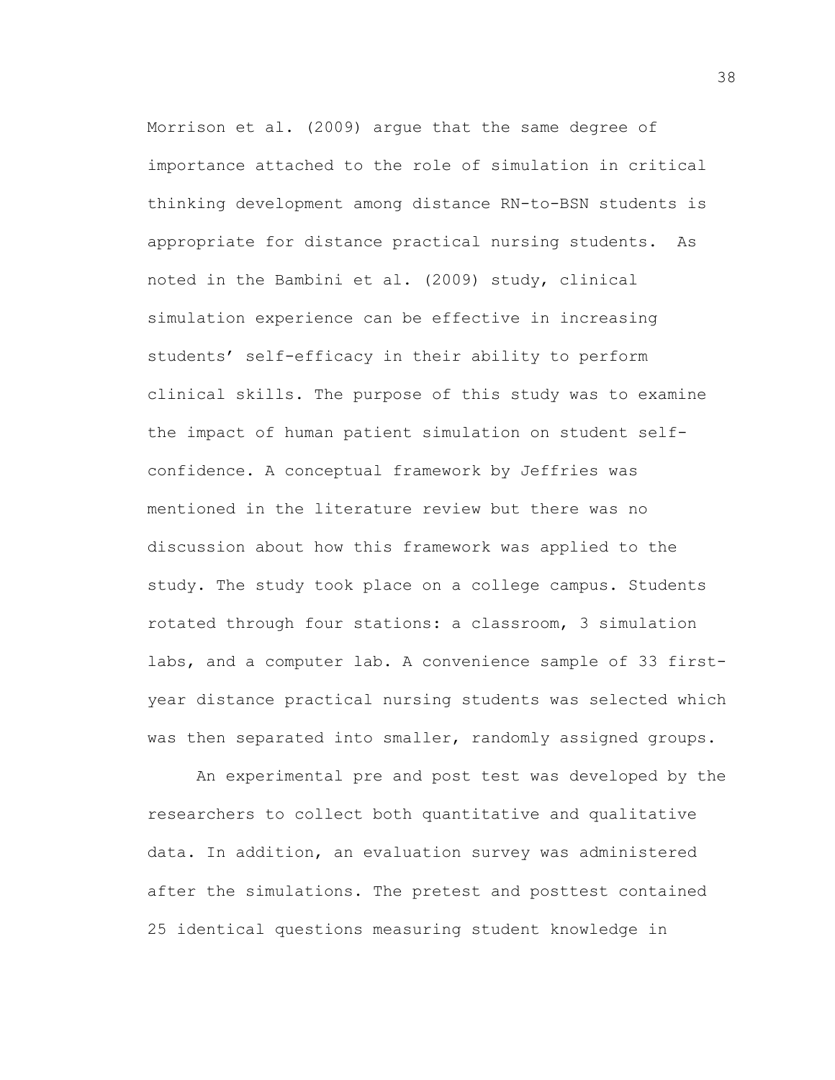Morrison et al. (2009) argue that the same degree of importance attached to the role of simulation in critical thinking development among distance RN-to-BSN students is appropriate for distance practical nursing students. As noted in the Bambini et al. (2009) study, clinical simulation experience can be effective in increasing students' self-efficacy in their ability to perform clinical skills. The purpose of this study was to examine the impact of human patient simulation on student selfconfidence. A conceptual framework by Jeffries was mentioned in the literature review but there was no discussion about how this framework was applied to the study. The study took place on a college campus. Students rotated through four stations: a classroom, 3 simulation labs, and a computer lab. A convenience sample of 33 firstyear distance practical nursing students was selected which was then separated into smaller, randomly assigned groups.

An experimental pre and post test was developed by the researchers to collect both quantitative and qualitative data. In addition, an evaluation survey was administered after the simulations. The pretest and posttest contained 25 identical questions measuring student knowledge in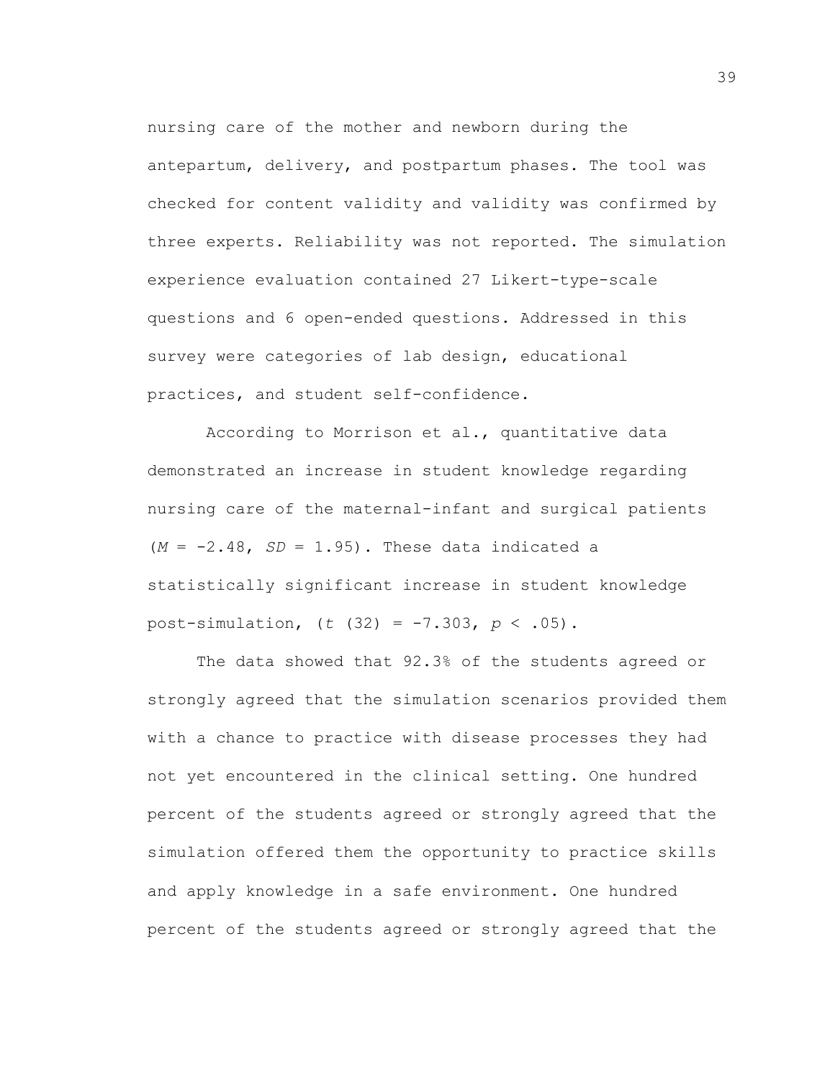nursing care of the mother and newborn during the antepartum, delivery, and postpartum phases. The tool was checked for content validity and validity was confirmed by three experts. Reliability was not reported. The simulation experience evaluation contained 27 Likert-type-scale questions and 6 open-ended questions. Addressed in this survey were categories of lab design, educational practices, and student self-confidence.

According to Morrison et al., quantitative data demonstrated an increase in student knowledge regarding nursing care of the maternal-infant and surgical patients  $(M = -2.48, SD = 1.95)$ . These data indicated a statistically significant increase in student knowledge post-simulation, (*t* (32) = -7.303, *p* < .05).

The data showed that 92.3% of the students agreed or strongly agreed that the simulation scenarios provided them with a chance to practice with disease processes they had not yet encountered in the clinical setting. One hundred percent of the students agreed or strongly agreed that the simulation offered them the opportunity to practice skills and apply knowledge in a safe environment. One hundred percent of the students agreed or strongly agreed that the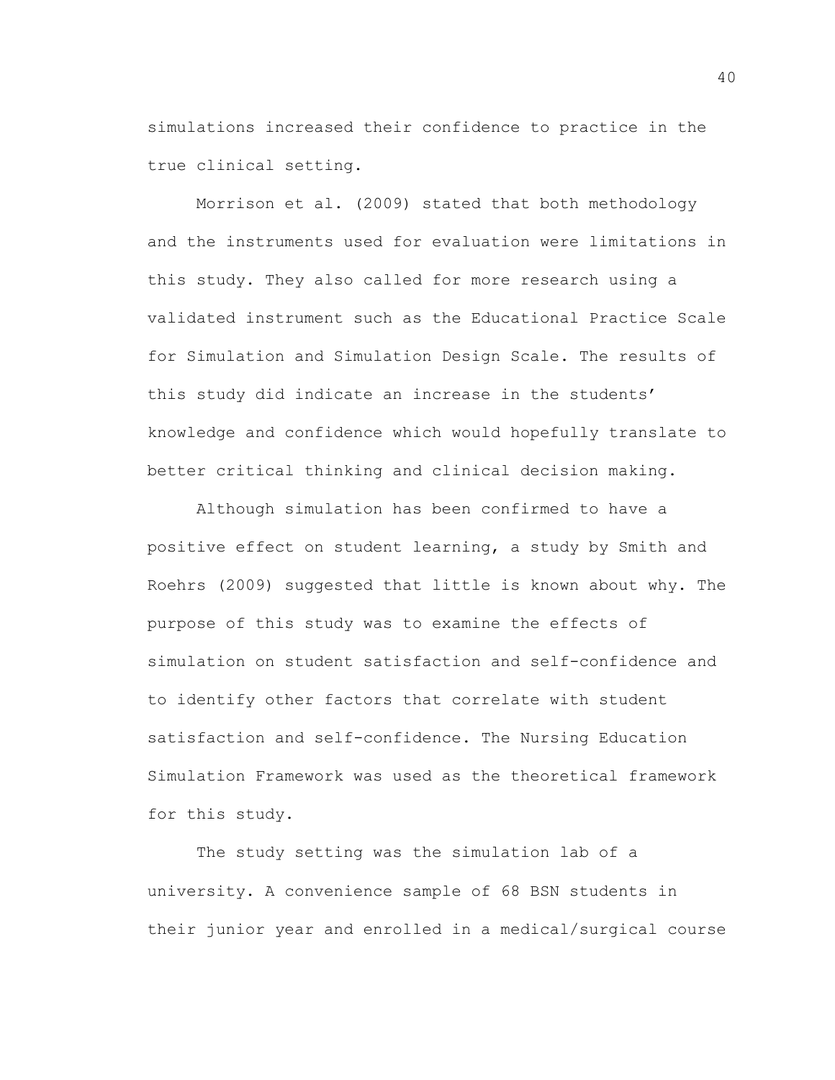simulations increased their confidence to practice in the true clinical setting.

Morrison et al. (2009) stated that both methodology and the instruments used for evaluation were limitations in this study. They also called for more research using a validated instrument such as the Educational Practice Scale for Simulation and Simulation Design Scale. The results of this study did indicate an increase in the students' knowledge and confidence which would hopefully translate to better critical thinking and clinical decision making.

Although simulation has been confirmed to have a positive effect on student learning, a study by Smith and Roehrs (2009) suggested that little is known about why. The purpose of this study was to examine the effects of simulation on student satisfaction and self-confidence and to identify other factors that correlate with student satisfaction and self-confidence. The Nursing Education Simulation Framework was used as the theoretical framework for this study.

The study setting was the simulation lab of a university. A convenience sample of 68 BSN students in their junior year and enrolled in a medical/surgical course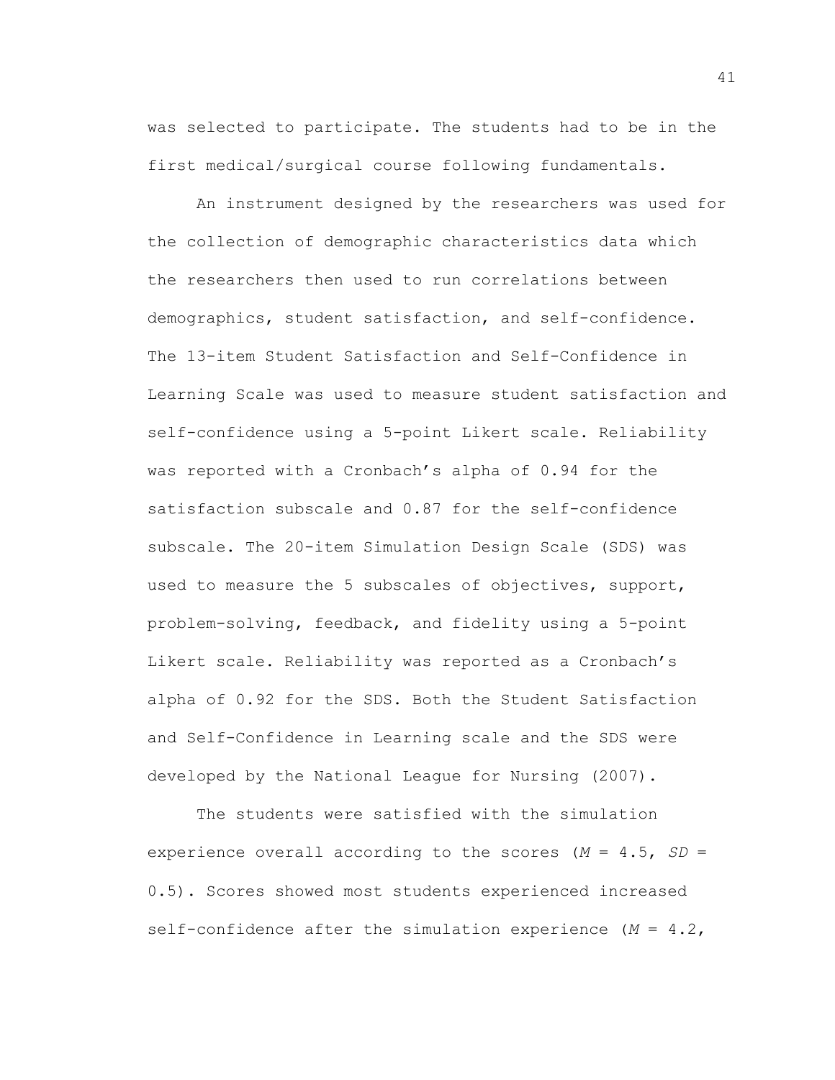was selected to participate. The students had to be in the first medical/surgical course following fundamentals.

An instrument designed by the researchers was used for the collection of demographic characteristics data which the researchers then used to run correlations between demographics, student satisfaction, and self-confidence. The 13-item Student Satisfaction and Self-Confidence in Learning Scale was used to measure student satisfaction and self-confidence using a 5-point Likert scale. Reliability was reported with a Cronbach's alpha of 0.94 for the satisfaction subscale and 0.87 for the self-confidence subscale. The 20-item Simulation Design Scale (SDS) was used to measure the 5 subscales of objectives, support, problem-solving, feedback, and fidelity using a 5-point Likert scale. Reliability was reported as a Cronbach's alpha of 0.92 for the SDS. Both the Student Satisfaction and Self-Confidence in Learning scale and the SDS were developed by the National League for Nursing (2007).

The students were satisfied with the simulation experience overall according to the scores (*M* = 4.5, *SD* = 0.5). Scores showed most students experienced increased self-confidence after the simulation experience (*M* = 4.2,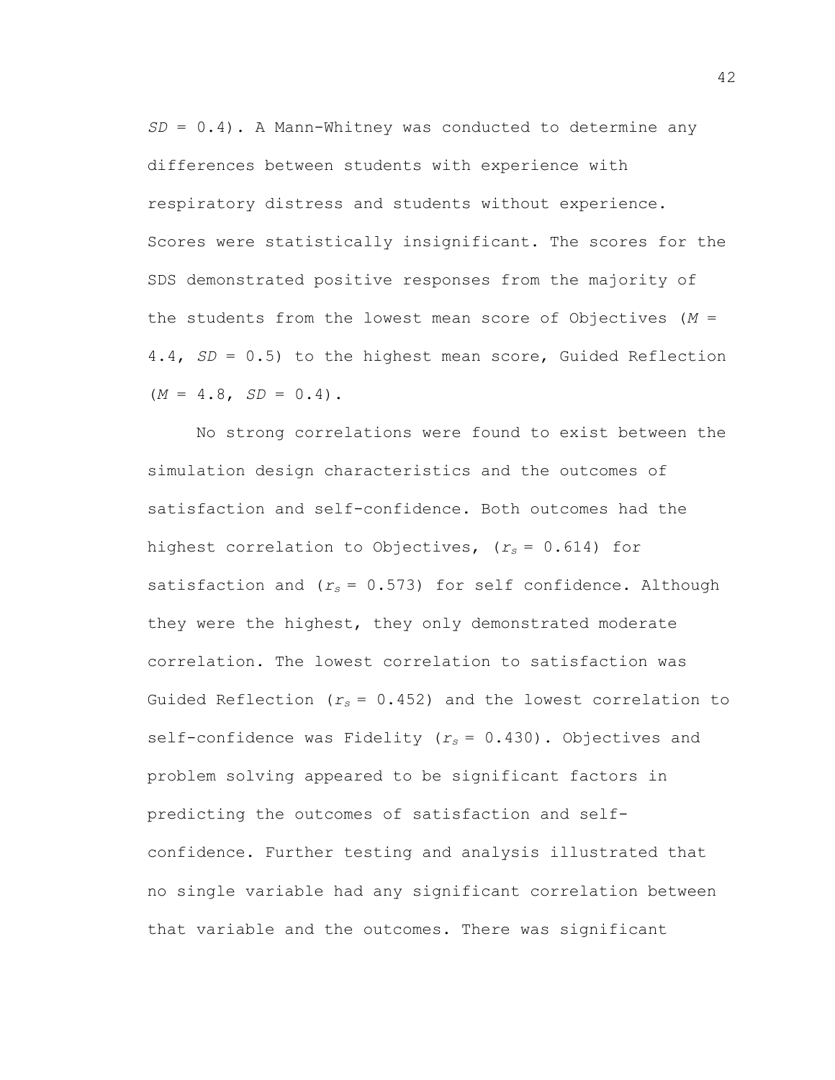*SD* = 0.4). A Mann-Whitney was conducted to determine any differences between students with experience with respiratory distress and students without experience. Scores were statistically insignificant. The scores for the SDS demonstrated positive responses from the majority of the students from the lowest mean score of Objectives (*M* = 4.4, *SD* = 0.5) to the highest mean score, Guided Reflection  $(M = 4.8, SD = 0.4)$ .

No strong correlations were found to exist between the simulation design characteristics and the outcomes of satisfaction and self-confidence. Both outcomes had the highest correlation to Objectives, (*rs* = 0.614) for satisfaction and  $(r_s = 0.573)$  for self confidence. Although they were the highest, they only demonstrated moderate correlation. The lowest correlation to satisfaction was Guided Reflection  $(r_s = 0.452)$  and the lowest correlation to self-confidence was Fidelity (*rs* = 0.430). Objectives and problem solving appeared to be significant factors in predicting the outcomes of satisfaction and selfconfidence. Further testing and analysis illustrated that no single variable had any significant correlation between that variable and the outcomes. There was significant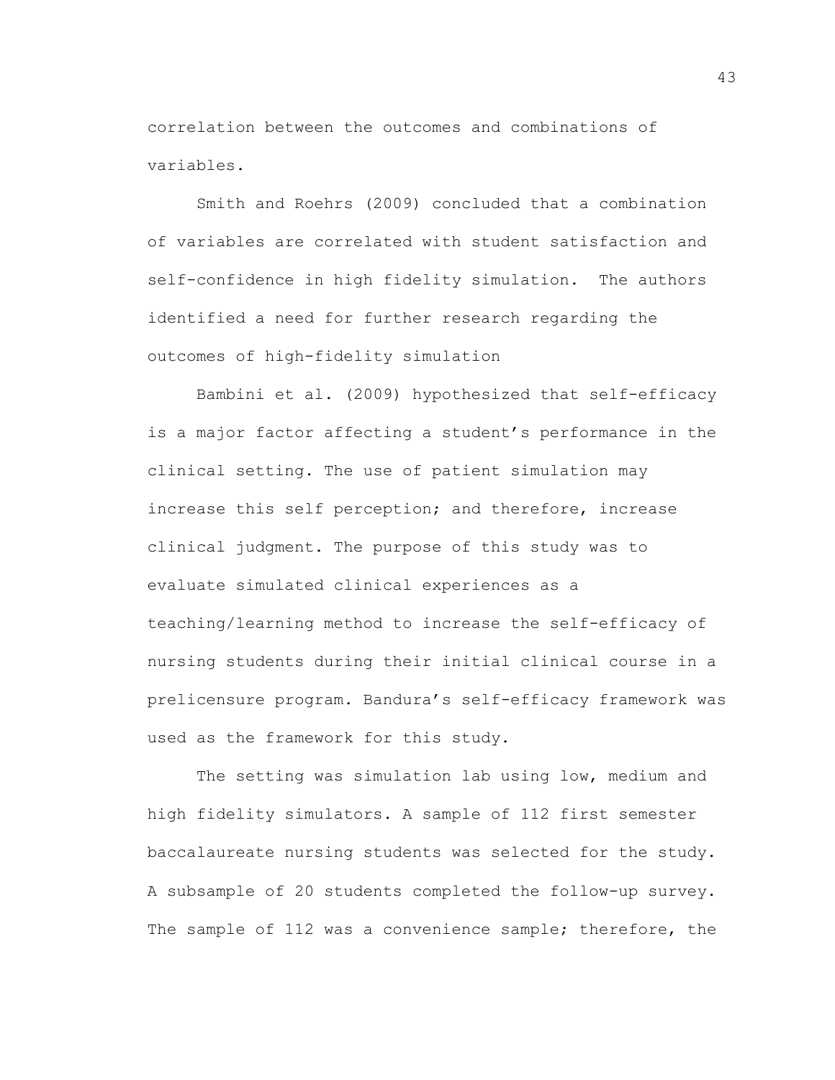correlation between the outcomes and combinations of variables.

Smith and Roehrs (2009) concluded that a combination of variables are correlated with student satisfaction and self-confidence in high fidelity simulation. The authors identified a need for further research regarding the outcomes of high-fidelity simulation

Bambini et al. (2009) hypothesized that self-efficacy is a major factor affecting a student's performance in the clinical setting. The use of patient simulation may increase this self perception; and therefore, increase clinical judgment. The purpose of this study was to evaluate simulated clinical experiences as a teaching/learning method to increase the self-efficacy of nursing students during their initial clinical course in a prelicensure program. Bandura's self-efficacy framework was used as the framework for this study.

The setting was simulation lab using low, medium and high fidelity simulators. A sample of 112 first semester baccalaureate nursing students was selected for the study. A subsample of 20 students completed the follow-up survey. The sample of 112 was a convenience sample; therefore, the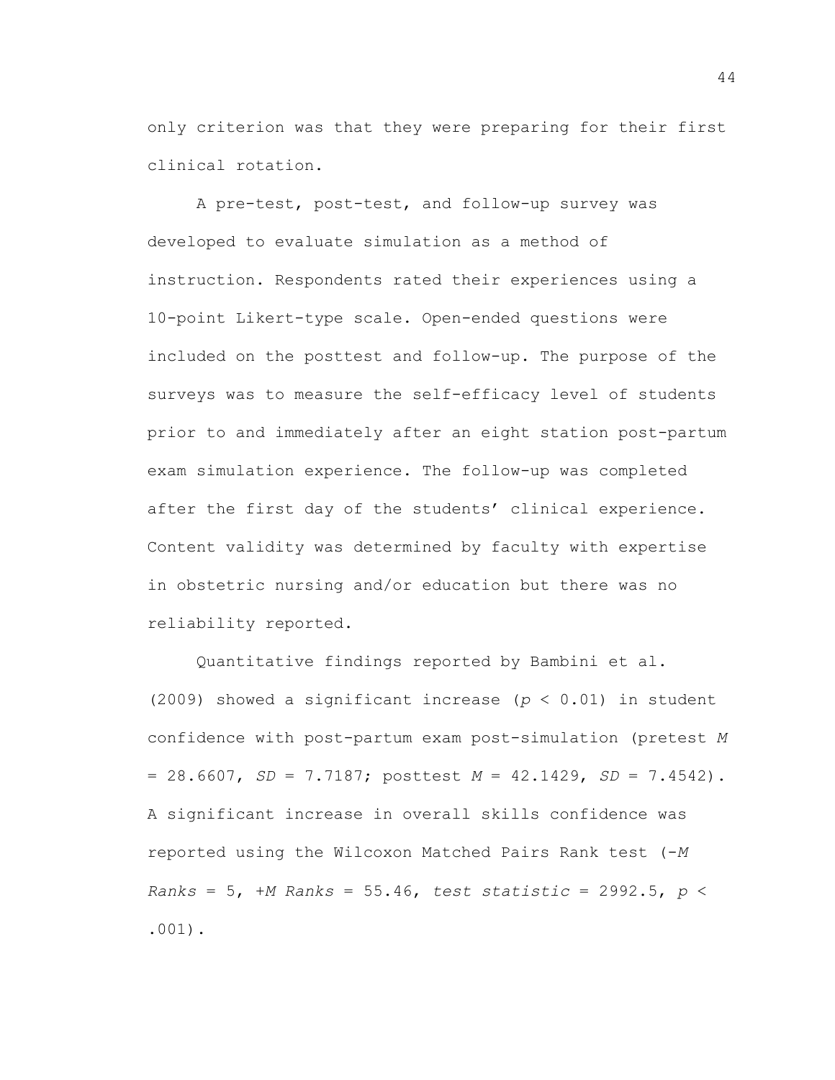only criterion was that they were preparing for their first clinical rotation.

A pre-test, post-test, and follow-up survey was developed to evaluate simulation as a method of instruction. Respondents rated their experiences using a 10-point Likert-type scale. Open-ended questions were included on the posttest and follow-up. The purpose of the surveys was to measure the self-efficacy level of students prior to and immediately after an eight station post-partum exam simulation experience. The follow-up was completed after the first day of the students' clinical experience. Content validity was determined by faculty with expertise in obstetric nursing and/or education but there was no reliability reported.

Quantitative findings reported by Bambini et al. (2009) showed a significant increase (*p* < 0.01) in student confidence with post-partum exam post-simulation (pretest *M* = 28.6607, *SD* = 7.7187; posttest *M* = 42.1429, *SD* = 7.4542). A significant increase in overall skills confidence was reported using the Wilcoxon Matched Pairs Rank test (-*M Ranks* = 5, +*M Ranks* = 55.46, *test statistic* = 2992.5, *p* < .001).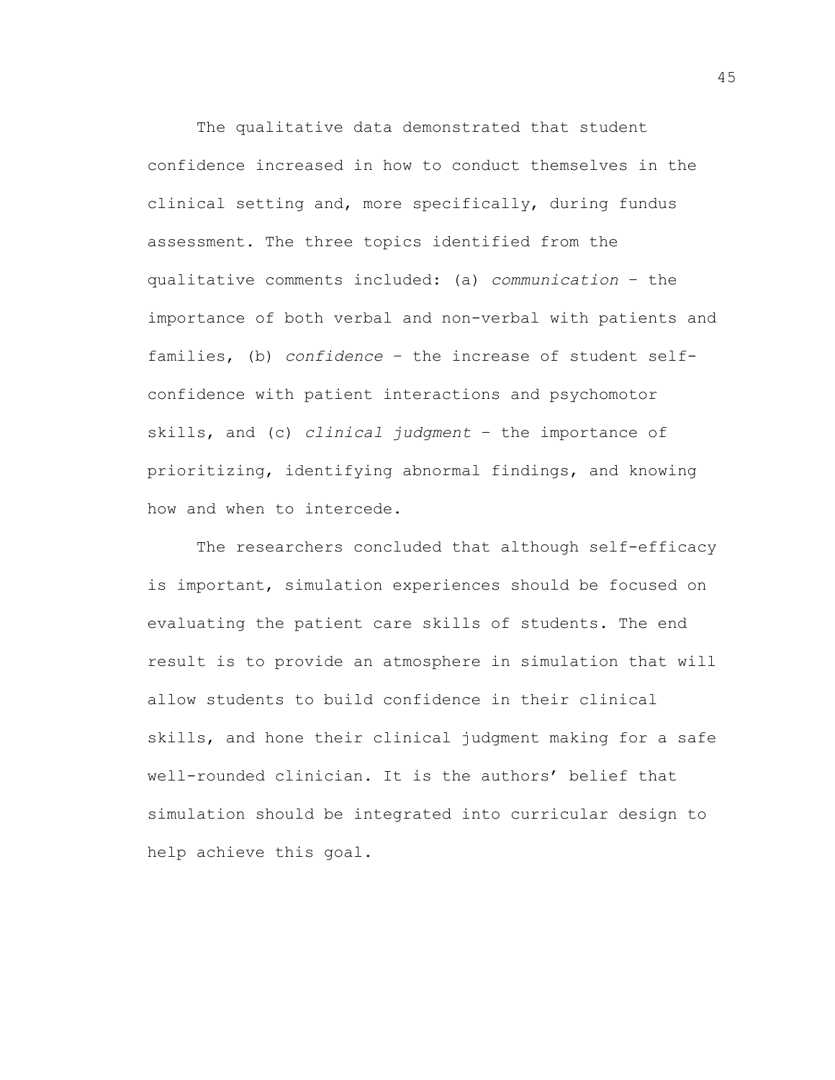The qualitative data demonstrated that student confidence increased in how to conduct themselves in the clinical setting and, more specifically, during fundus assessment. The three topics identified from the qualitative comments included: (a) *communication* – the importance of both verbal and non-verbal with patients and families, (b) *confidence* – the increase of student selfconfidence with patient interactions and psychomotor skills, and (c) *clinical judgment* – the importance of prioritizing, identifying abnormal findings, and knowing how and when to intercede.

The researchers concluded that although self-efficacy is important, simulation experiences should be focused on evaluating the patient care skills of students. The end result is to provide an atmosphere in simulation that will allow students to build confidence in their clinical skills, and hone their clinical judgment making for a safe well-rounded clinician. It is the authors' belief that simulation should be integrated into curricular design to help achieve this goal.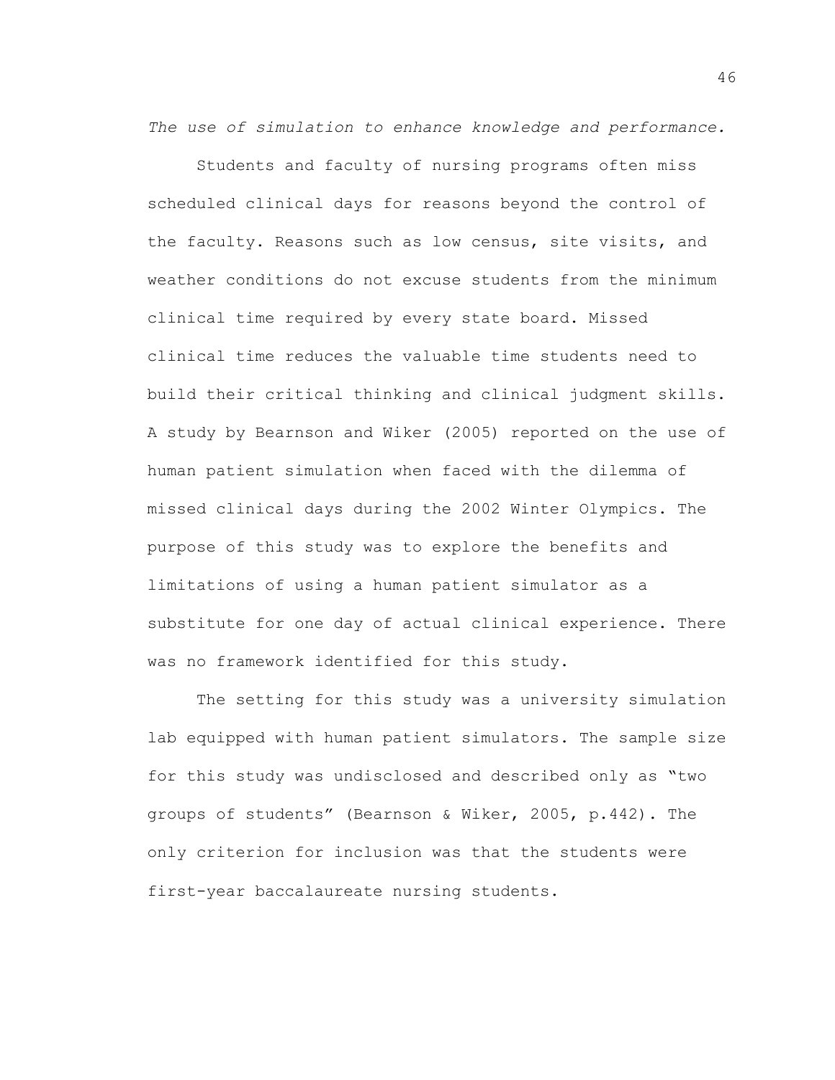*The use of simulation to enhance knowledge and performance.*

Students and faculty of nursing programs often miss scheduled clinical days for reasons beyond the control of the faculty. Reasons such as low census, site visits, and weather conditions do not excuse students from the minimum clinical time required by every state board. Missed clinical time reduces the valuable time students need to build their critical thinking and clinical judgment skills. A study by Bearnson and Wiker (2005) reported on the use of human patient simulation when faced with the dilemma of missed clinical days during the 2002 Winter Olympics. The purpose of this study was to explore the benefits and limitations of using a human patient simulator as a substitute for one day of actual clinical experience. There was no framework identified for this study.

The setting for this study was a university simulation lab equipped with human patient simulators. The sample size for this study was undisclosed and described only as "two groups of students" (Bearnson & Wiker, 2005, p.442). The only criterion for inclusion was that the students were first-year baccalaureate nursing students.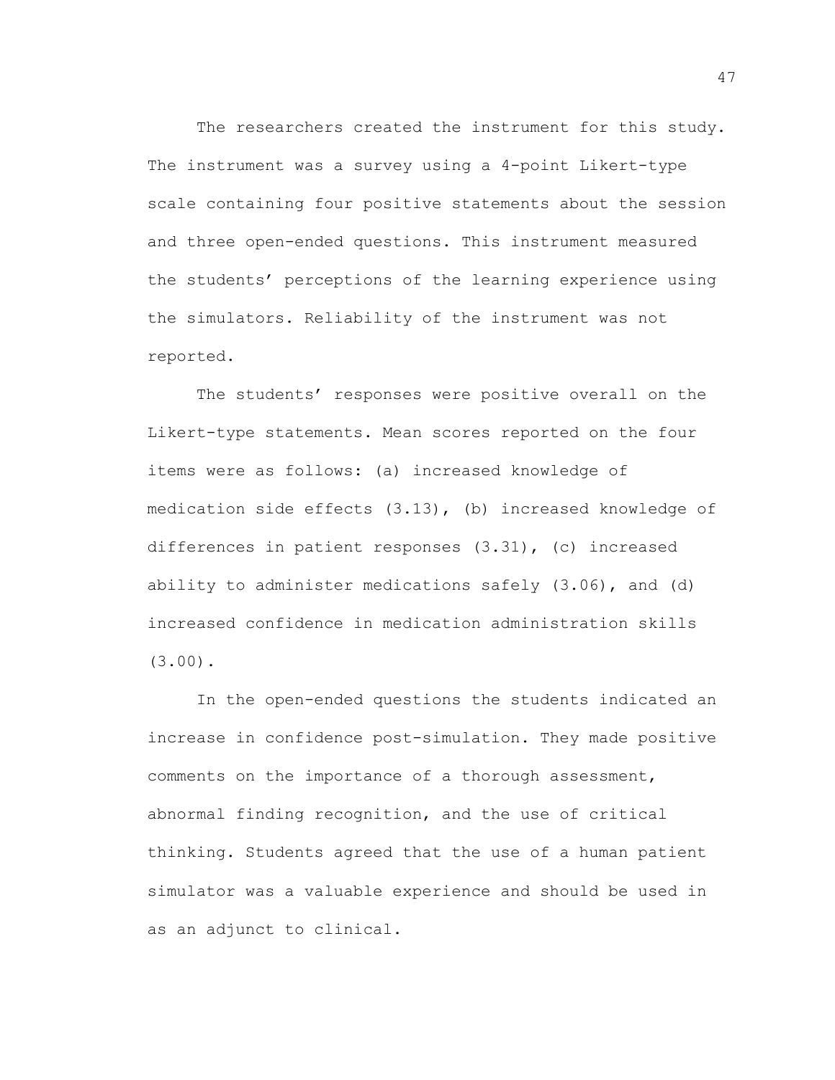The researchers created the instrument for this study. The instrument was a survey using a 4-point Likert-type scale containing four positive statements about the session and three open-ended questions. This instrument measured the students' perceptions of the learning experience using the simulators. Reliability of the instrument was not reported.

The students' responses were positive overall on the Likert-type statements. Mean scores reported on the four items were as follows: (a) increased knowledge of medication side effects (3.13), (b) increased knowledge of differences in patient responses (3.31), (c) increased ability to administer medications safely (3.06), and (d) increased confidence in medication administration skills (3.00).

In the open-ended questions the students indicated an increase in confidence post-simulation. They made positive comments on the importance of a thorough assessment, abnormal finding recognition, and the use of critical thinking. Students agreed that the use of a human patient simulator was a valuable experience and should be used in as an adjunct to clinical.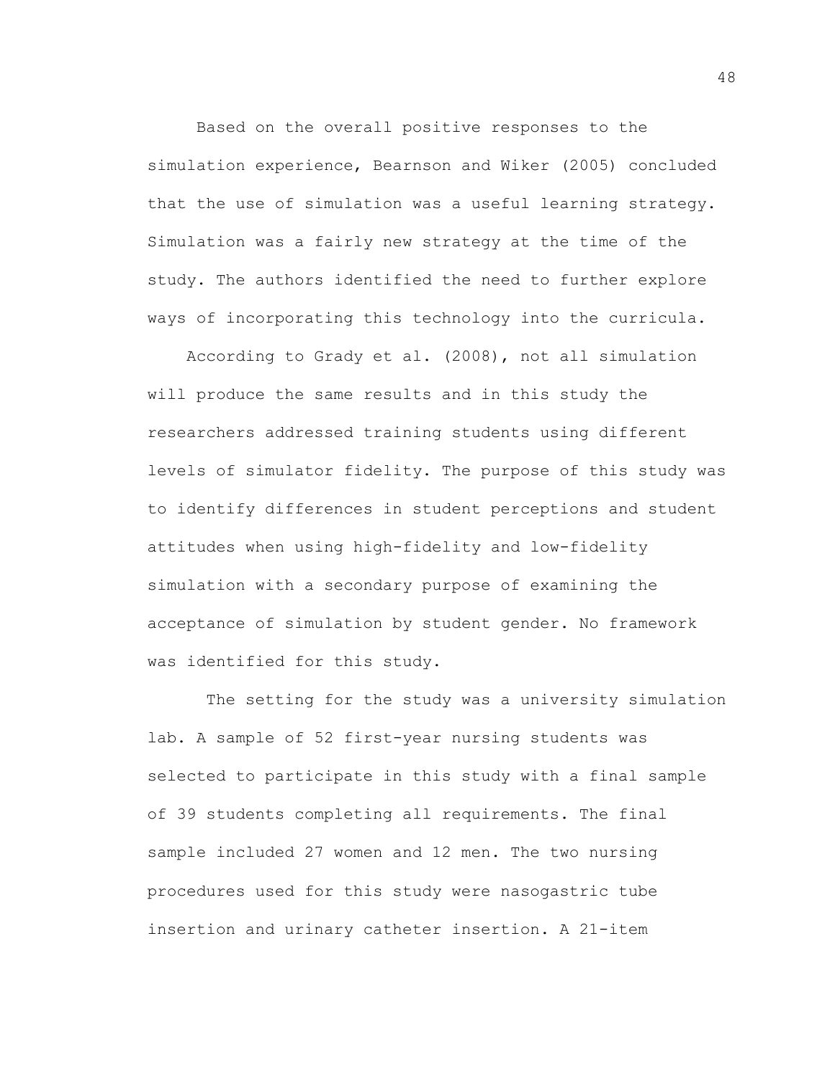Based on the overall positive responses to the simulation experience, Bearnson and Wiker (2005) concluded that the use of simulation was a useful learning strategy. Simulation was a fairly new strategy at the time of the study. The authors identified the need to further explore ways of incorporating this technology into the curricula.

According to Grady et al. (2008), not all simulation will produce the same results and in this study the researchers addressed training students using different levels of simulator fidelity. The purpose of this study was to identify differences in student perceptions and student attitudes when using high-fidelity and low-fidelity simulation with a secondary purpose of examining the acceptance of simulation by student gender. No framework was identified for this study.

The setting for the study was a university simulation lab. A sample of 52 first-year nursing students was selected to participate in this study with a final sample of 39 students completing all requirements. The final sample included 27 women and 12 men. The two nursing procedures used for this study were nasogastric tube insertion and urinary catheter insertion. A 21-item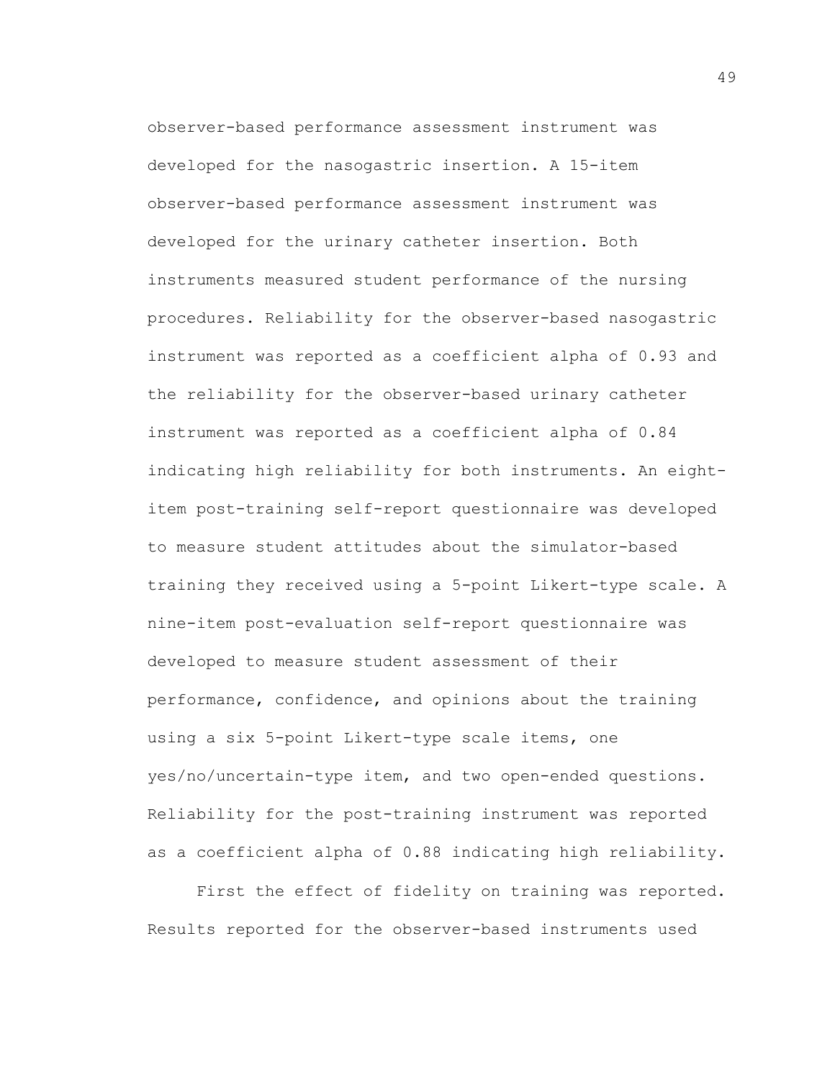observer-based performance assessment instrument was developed for the nasogastric insertion. A 15-item observer-based performance assessment instrument was developed for the urinary catheter insertion. Both instruments measured student performance of the nursing procedures. Reliability for the observer-based nasogastric instrument was reported as a coefficient alpha of 0.93 and the reliability for the observer-based urinary catheter instrument was reported as a coefficient alpha of 0.84 indicating high reliability for both instruments. An eightitem post-training self-report questionnaire was developed to measure student attitudes about the simulator-based training they received using a 5-point Likert-type scale. A nine-item post-evaluation self-report questionnaire was developed to measure student assessment of their performance, confidence, and opinions about the training using a six 5-point Likert-type scale items, one yes/no/uncertain-type item, and two open-ended questions. Reliability for the post-training instrument was reported as a coefficient alpha of 0.88 indicating high reliability.

First the effect of fidelity on training was reported. Results reported for the observer-based instruments used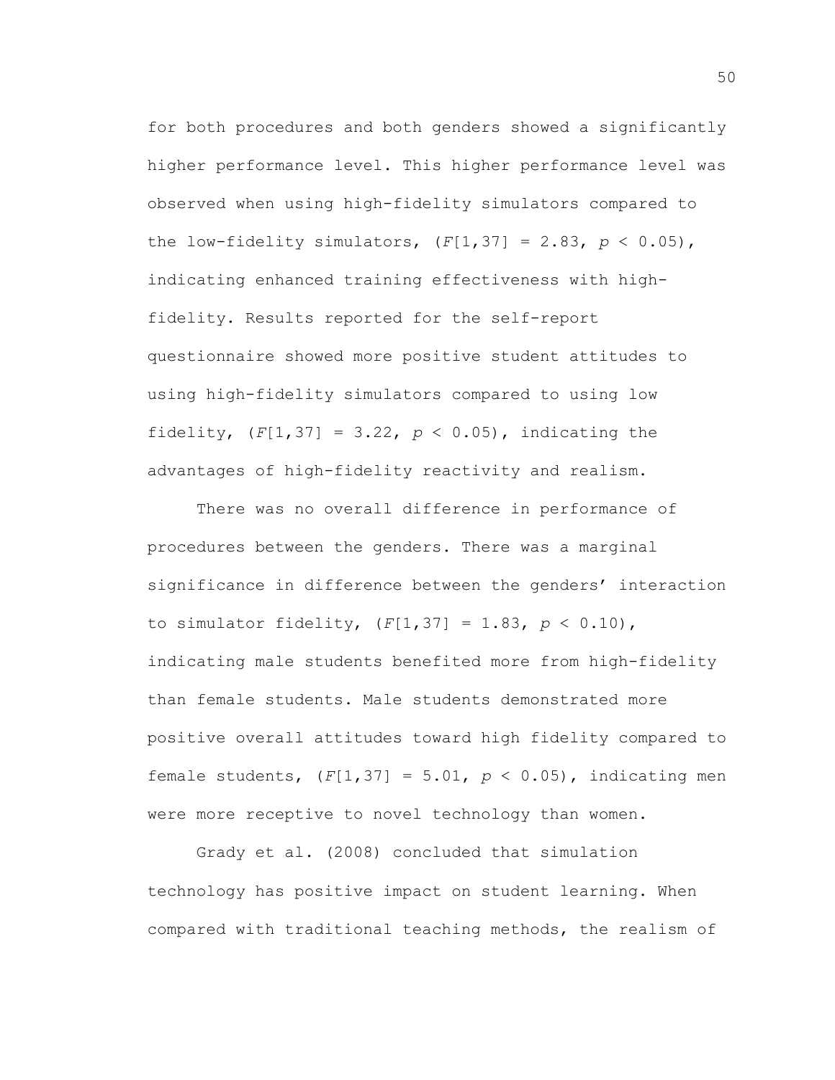for both procedures and both genders showed a significantly higher performance level. This higher performance level was observed when using high-fidelity simulators compared to the low-fidelity simulators,  $(F[1, 37] = 2.83, p < 0.05)$ , indicating enhanced training effectiveness with highfidelity. Results reported for the self-report questionnaire showed more positive student attitudes to using high-fidelity simulators compared to using low fidelity,  $(F[1, 37] = 3.22, p < 0.05)$ , indicating the advantages of high-fidelity reactivity and realism.

There was no overall difference in performance of procedures between the genders. There was a marginal significance in difference between the genders' interaction to simulator fidelity, (*F*[1,37] = 1.83, *p* < 0.10), indicating male students benefited more from high-fidelity than female students. Male students demonstrated more positive overall attitudes toward high fidelity compared to female students,  $(F[1, 37] = 5.01, p < 0.05)$ , indicating men were more receptive to novel technology than women.

Grady et al. (2008) concluded that simulation technology has positive impact on student learning. When compared with traditional teaching methods, the realism of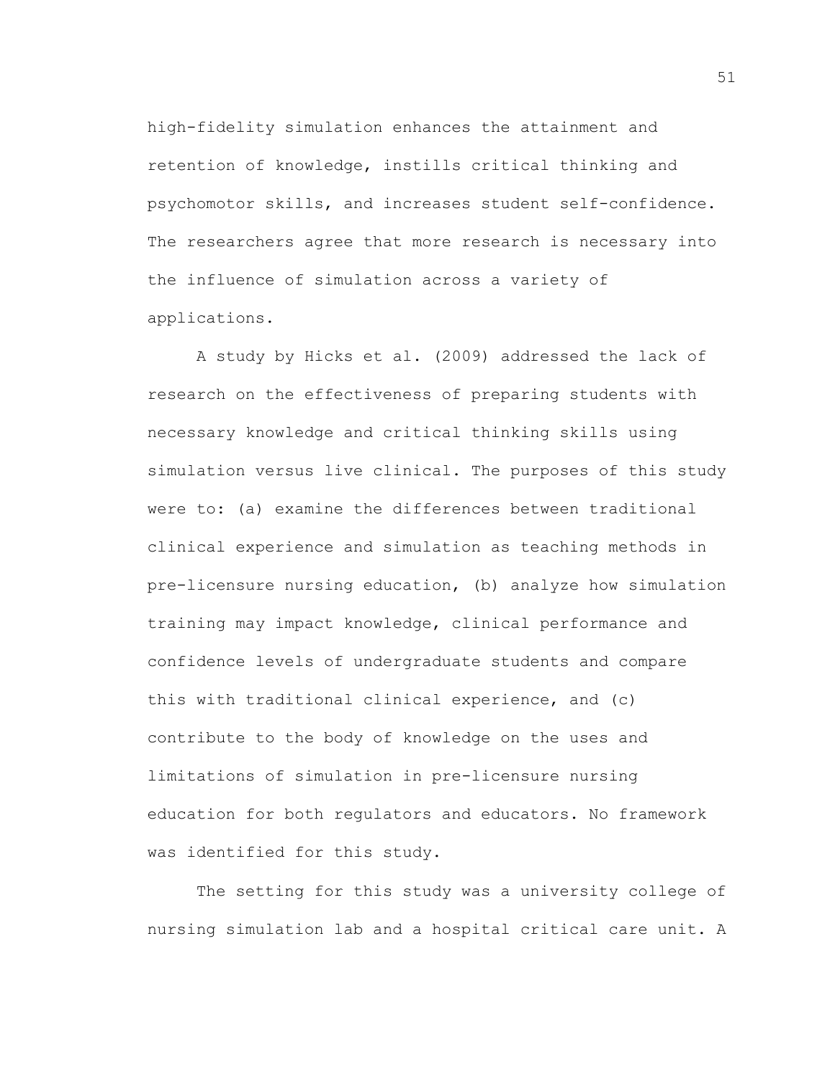high-fidelity simulation enhances the attainment and retention of knowledge, instills critical thinking and psychomotor skills, and increases student self-confidence. The researchers agree that more research is necessary into the influence of simulation across a variety of applications.

A study by Hicks et al. (2009) addressed the lack of research on the effectiveness of preparing students with necessary knowledge and critical thinking skills using simulation versus live clinical. The purposes of this study were to: (a) examine the differences between traditional clinical experience and simulation as teaching methods in pre-licensure nursing education, (b) analyze how simulation training may impact knowledge, clinical performance and confidence levels of undergraduate students and compare this with traditional clinical experience, and (c) contribute to the body of knowledge on the uses and limitations of simulation in pre-licensure nursing education for both regulators and educators. No framework was identified for this study.

The setting for this study was a university college of nursing simulation lab and a hospital critical care unit. A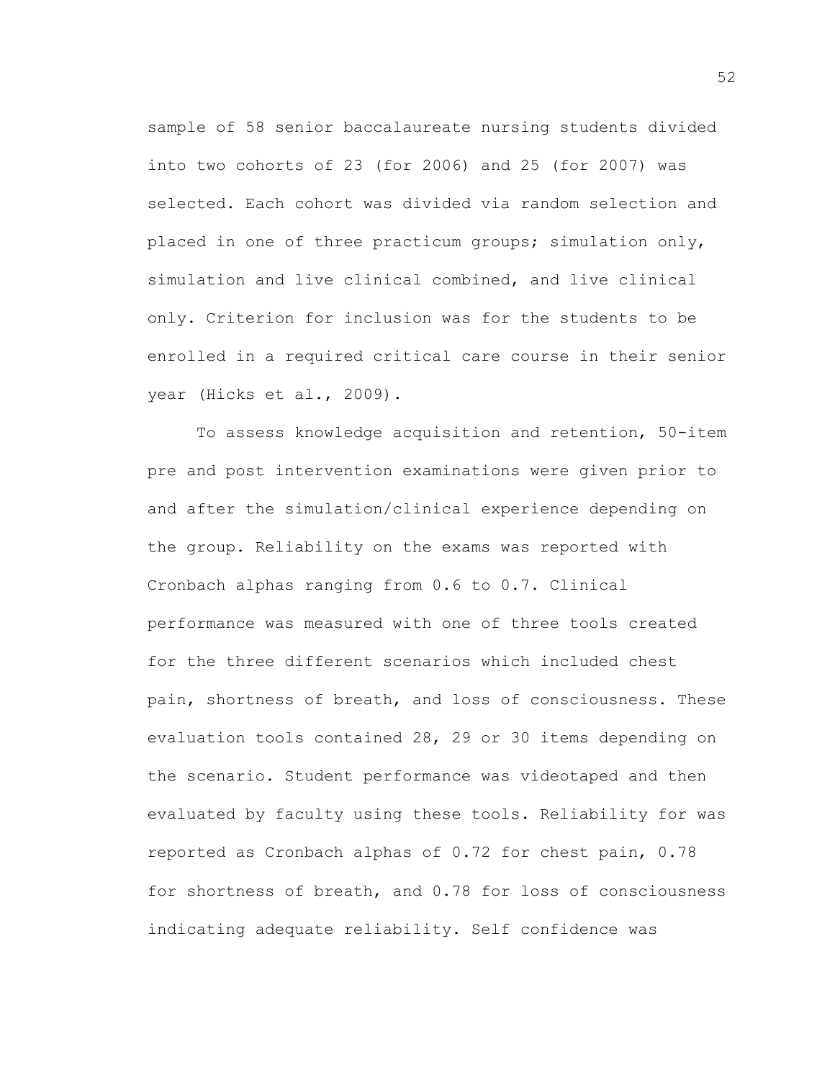sample of 58 senior baccalaureate nursing students divided into two cohorts of 23 (for 2006) and 25 (for 2007) was selected. Each cohort was divided via random selection and placed in one of three practicum groups; simulation only, simulation and live clinical combined, and live clinical only. Criterion for inclusion was for the students to be enrolled in a required critical care course in their senior year (Hicks et al., 2009).

To assess knowledge acquisition and retention, 50-item pre and post intervention examinations were given prior to and after the simulation/clinical experience depending on the group. Reliability on the exams was reported with Cronbach alphas ranging from 0.6 to 0.7. Clinical performance was measured with one of three tools created for the three different scenarios which included chest pain, shortness of breath, and loss of consciousness. These evaluation tools contained 28, 29 or 30 items depending on the scenario. Student performance was videotaped and then evaluated by faculty using these tools. Reliability for was reported as Cronbach alphas of 0.72 for chest pain, 0.78 for shortness of breath, and 0.78 for loss of consciousness indicating adequate reliability. Self confidence was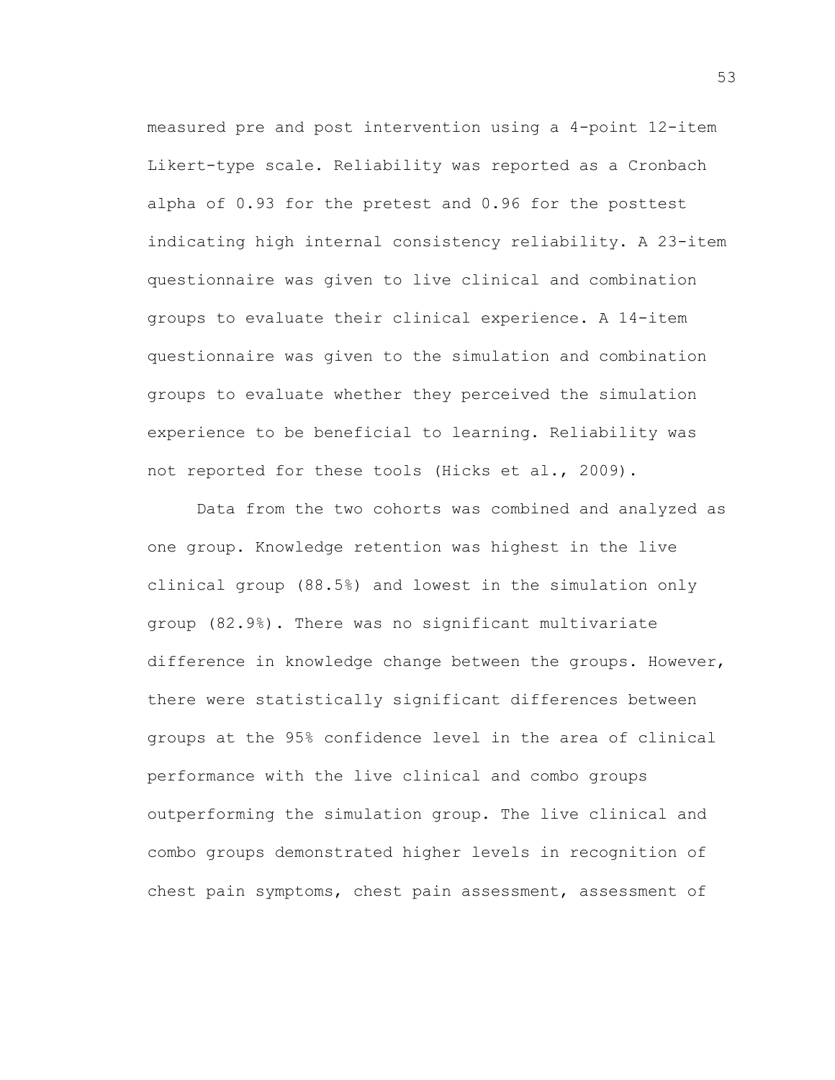measured pre and post intervention using a 4-point 12-item Likert-type scale. Reliability was reported as a Cronbach alpha of 0.93 for the pretest and 0.96 for the posttest indicating high internal consistency reliability. A 23-item questionnaire was given to live clinical and combination groups to evaluate their clinical experience. A 14-item questionnaire was given to the simulation and combination groups to evaluate whether they perceived the simulation experience to be beneficial to learning. Reliability was not reported for these tools (Hicks et al., 2009).

Data from the two cohorts was combined and analyzed as one group. Knowledge retention was highest in the live clinical group (88.5%) and lowest in the simulation only group (82.9%). There was no significant multivariate difference in knowledge change between the groups. However, there were statistically significant differences between groups at the 95% confidence level in the area of clinical performance with the live clinical and combo groups outperforming the simulation group. The live clinical and combo groups demonstrated higher levels in recognition of chest pain symptoms, chest pain assessment, assessment of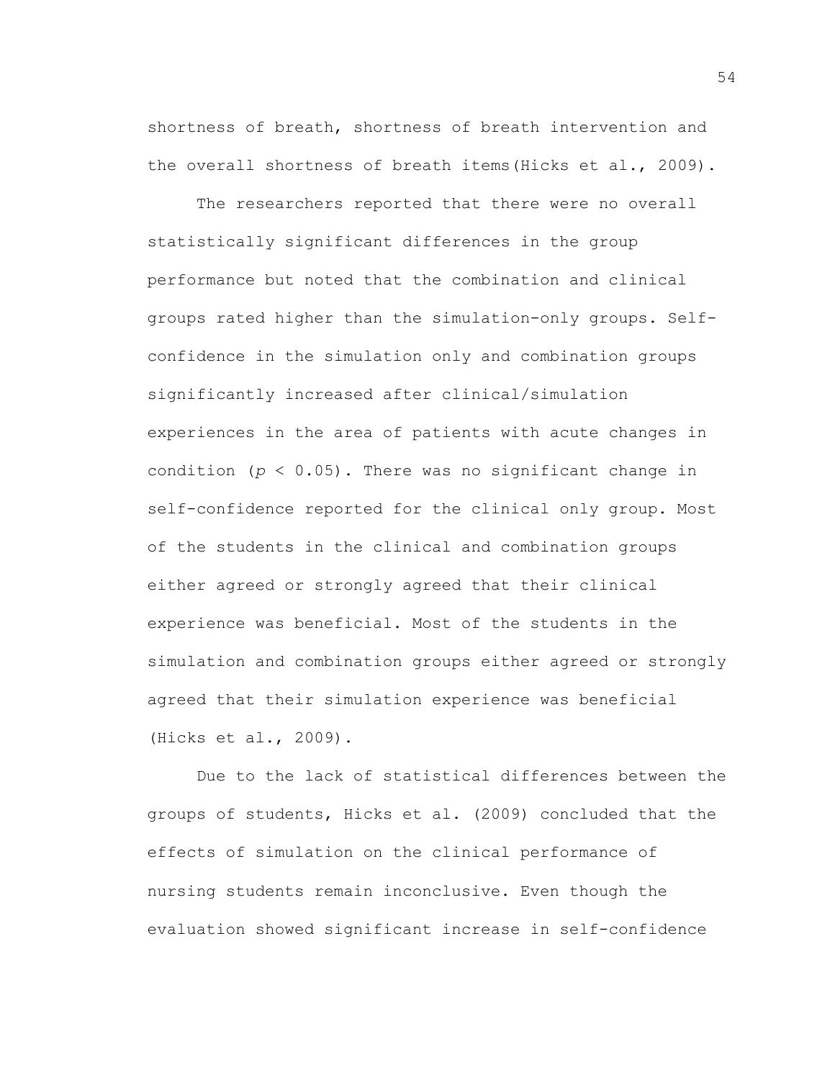shortness of breath, shortness of breath intervention and the overall shortness of breath items(Hicks et al., 2009).

The researchers reported that there were no overall statistically significant differences in the group performance but noted that the combination and clinical groups rated higher than the simulation-only groups. Selfconfidence in the simulation only and combination groups significantly increased after clinical/simulation experiences in the area of patients with acute changes in condition (*p* < 0.05). There was no significant change in self-confidence reported for the clinical only group. Most of the students in the clinical and combination groups either agreed or strongly agreed that their clinical experience was beneficial. Most of the students in the simulation and combination groups either agreed or strongly agreed that their simulation experience was beneficial (Hicks et al., 2009).

Due to the lack of statistical differences between the groups of students, Hicks et al. (2009) concluded that the effects of simulation on the clinical performance of nursing students remain inconclusive. Even though the evaluation showed significant increase in self-confidence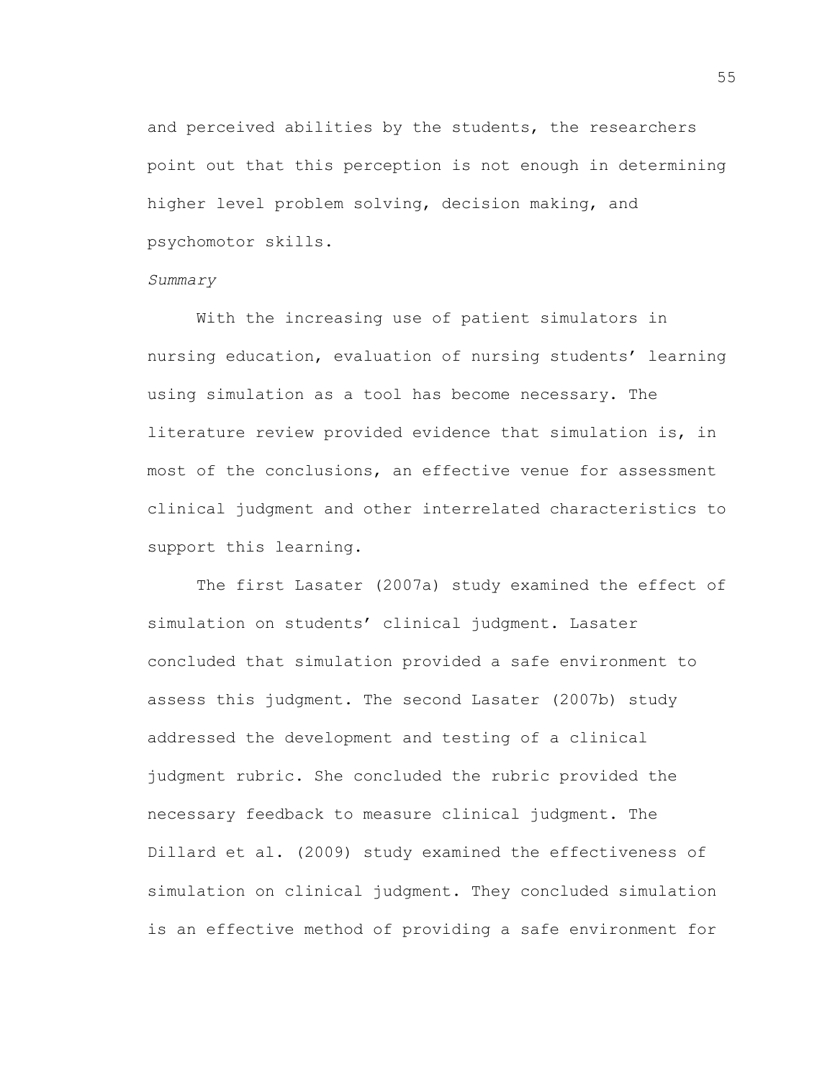and perceived abilities by the students, the researchers point out that this perception is not enough in determining higher level problem solving, decision making, and psychomotor skills.

#### *Summary*

With the increasing use of patient simulators in nursing education, evaluation of nursing students' learning using simulation as a tool has become necessary. The literature review provided evidence that simulation is, in most of the conclusions, an effective venue for assessment clinical judgment and other interrelated characteristics to support this learning.

The first Lasater (2007a) study examined the effect of simulation on students' clinical judgment. Lasater concluded that simulation provided a safe environment to assess this judgment. The second Lasater (2007b) study addressed the development and testing of a clinical judgment rubric. She concluded the rubric provided the necessary feedback to measure clinical judgment. The Dillard et al. (2009) study examined the effectiveness of simulation on clinical judgment. They concluded simulation is an effective method of providing a safe environment for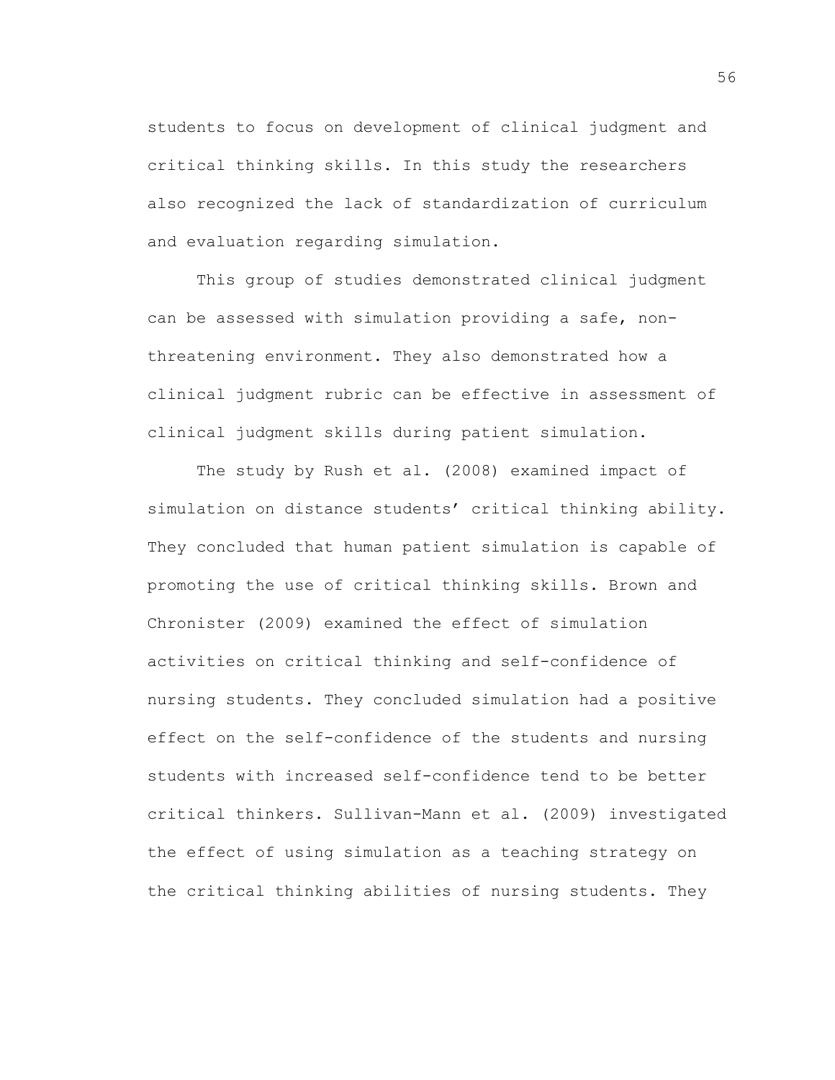students to focus on development of clinical judgment and critical thinking skills. In this study the researchers also recognized the lack of standardization of curriculum and evaluation regarding simulation.

This group of studies demonstrated clinical judgment can be assessed with simulation providing a safe, nonthreatening environment. They also demonstrated how a clinical judgment rubric can be effective in assessment of clinical judgment skills during patient simulation.

The study by Rush et al. (2008) examined impact of simulation on distance students' critical thinking ability. They concluded that human patient simulation is capable of promoting the use of critical thinking skills. Brown and Chronister (2009) examined the effect of simulation activities on critical thinking and self-confidence of nursing students. They concluded simulation had a positive effect on the self-confidence of the students and nursing students with increased self-confidence tend to be better critical thinkers. Sullivan-Mann et al. (2009) investigated the effect of using simulation as a teaching strategy on the critical thinking abilities of nursing students. They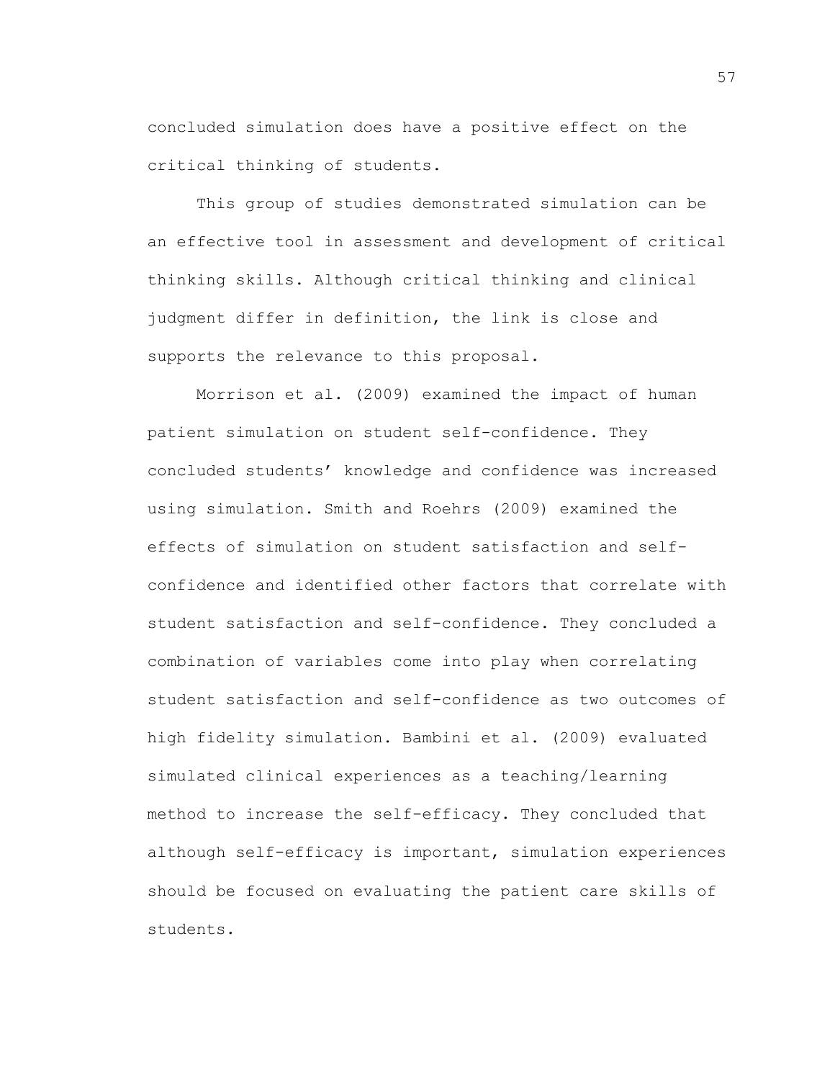concluded simulation does have a positive effect on the critical thinking of students.

This group of studies demonstrated simulation can be an effective tool in assessment and development of critical thinking skills. Although critical thinking and clinical judgment differ in definition, the link is close and supports the relevance to this proposal.

Morrison et al. (2009) examined the impact of human patient simulation on student self-confidence. They concluded students' knowledge and confidence was increased using simulation. Smith and Roehrs (2009) examined the effects of simulation on student satisfaction and selfconfidence and identified other factors that correlate with student satisfaction and self-confidence. They concluded a combination of variables come into play when correlating student satisfaction and self-confidence as two outcomes of high fidelity simulation. Bambini et al. (2009) evaluated simulated clinical experiences as a teaching/learning method to increase the self-efficacy. They concluded that although self-efficacy is important, simulation experiences should be focused on evaluating the patient care skills of students.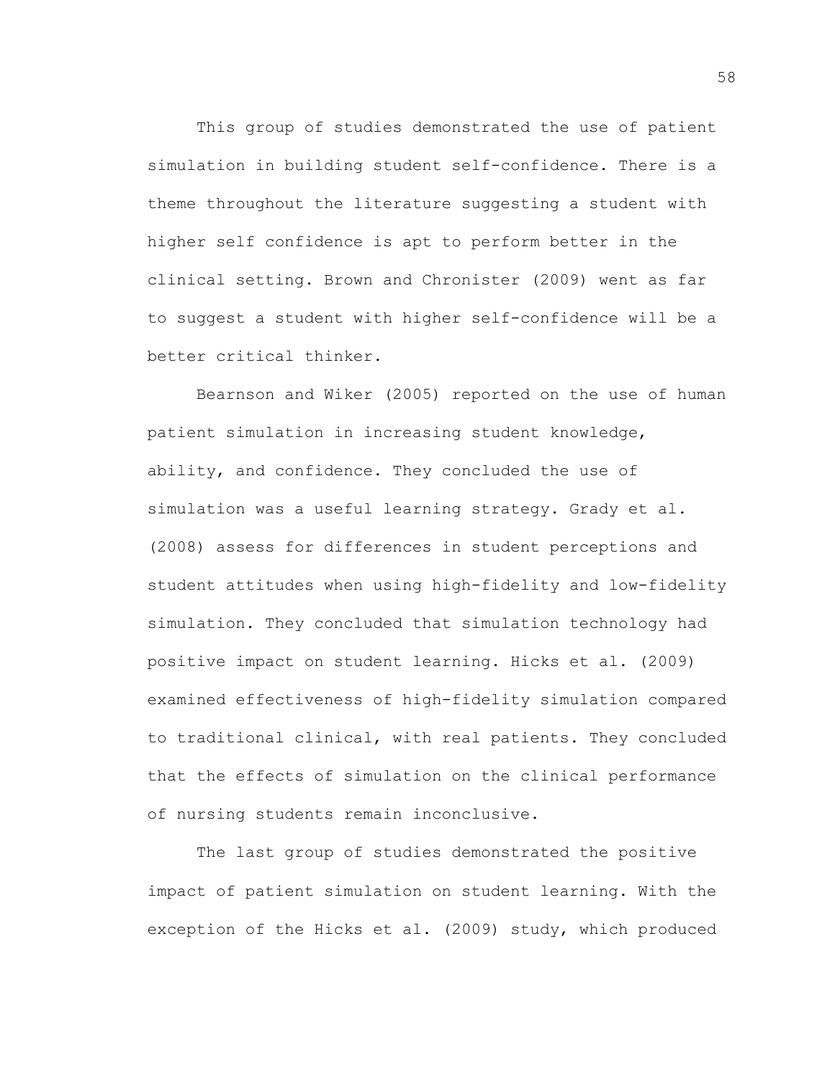This group of studies demonstrated the use of patient simulation in building student self-confidence. There is a theme throughout the literature suggesting a student with higher self confidence is apt to perform better in the clinical setting. Brown and Chronister (2009) went as far to suggest a student with higher self-confidence will be a better critical thinker.

Bearnson and Wiker (2005) reported on the use of human patient simulation in increasing student knowledge, ability, and confidence. They concluded the use of simulation was a useful learning strategy. Grady et al. (2008) assess for differences in student perceptions and student attitudes when using high-fidelity and low-fidelity simulation. They concluded that simulation technology had positive impact on student learning. Hicks et al. (2009) examined effectiveness of high-fidelity simulation compared to traditional clinical, with real patients. They concluded that the effects of simulation on the clinical performance of nursing students remain inconclusive.

The last group of studies demonstrated the positive impact of patient simulation on student learning. With the exception of the Hicks et al. (2009) study, which produced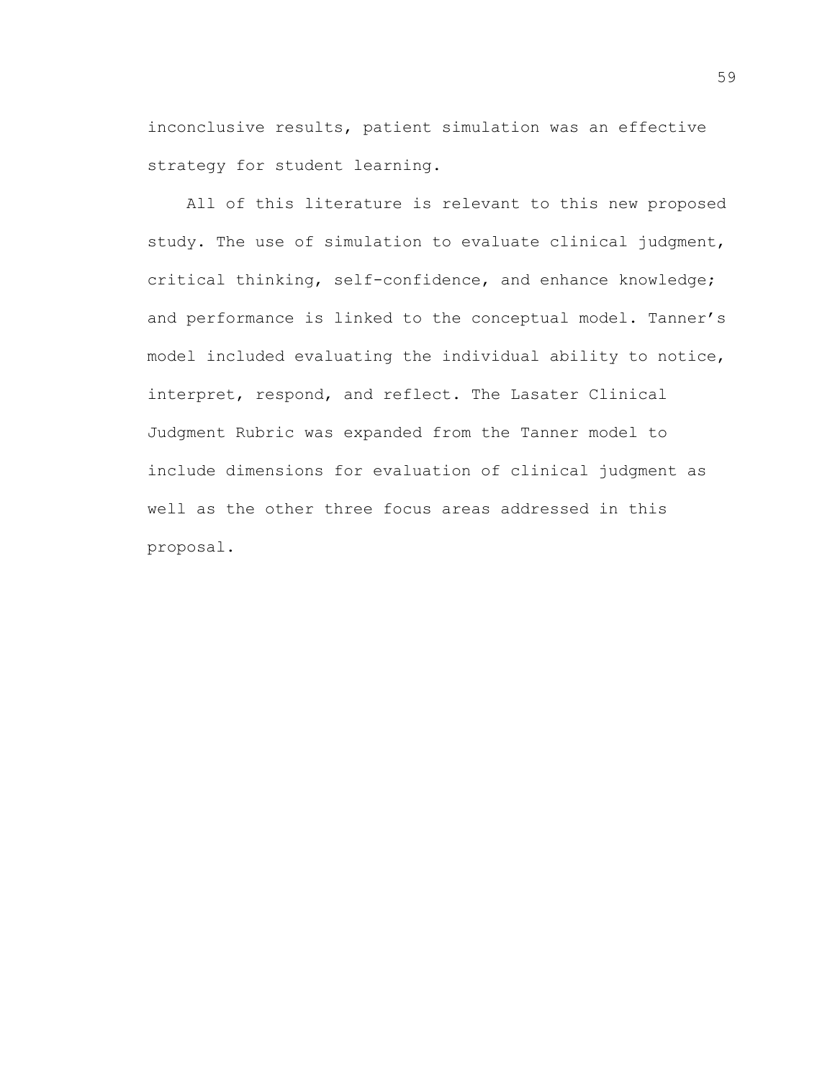inconclusive results, patient simulation was an effective strategy for student learning.

All of this literature is relevant to this new proposed study. The use of simulation to evaluate clinical judgment, critical thinking, self-confidence, and enhance knowledge; and performance is linked to the conceptual model. Tanner's model included evaluating the individual ability to notice, interpret, respond, and reflect. The Lasater Clinical Judgment Rubric was expanded from the Tanner model to include dimensions for evaluation of clinical judgment as well as the other three focus areas addressed in this proposal.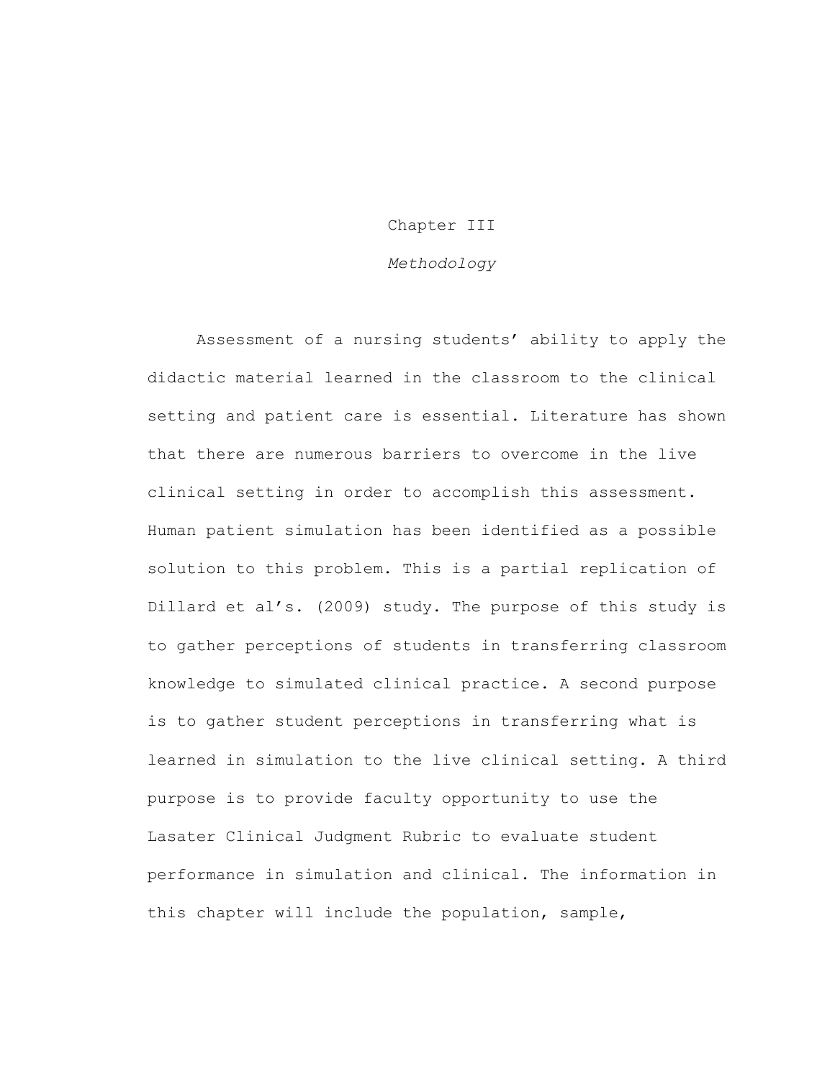# Chapter III

# *Methodology*

Assessment of a nursing students' ability to apply the didactic material learned in the classroom to the clinical setting and patient care is essential. Literature has shown that there are numerous barriers to overcome in the live clinical setting in order to accomplish this assessment. Human patient simulation has been identified as a possible solution to this problem. This is a partial replication of Dillard et al's. (2009) study. The purpose of this study is to gather perceptions of students in transferring classroom knowledge to simulated clinical practice. A second purpose is to gather student perceptions in transferring what is learned in simulation to the live clinical setting. A third purpose is to provide faculty opportunity to use the Lasater Clinical Judgment Rubric to evaluate student performance in simulation and clinical. The information in this chapter will include the population, sample,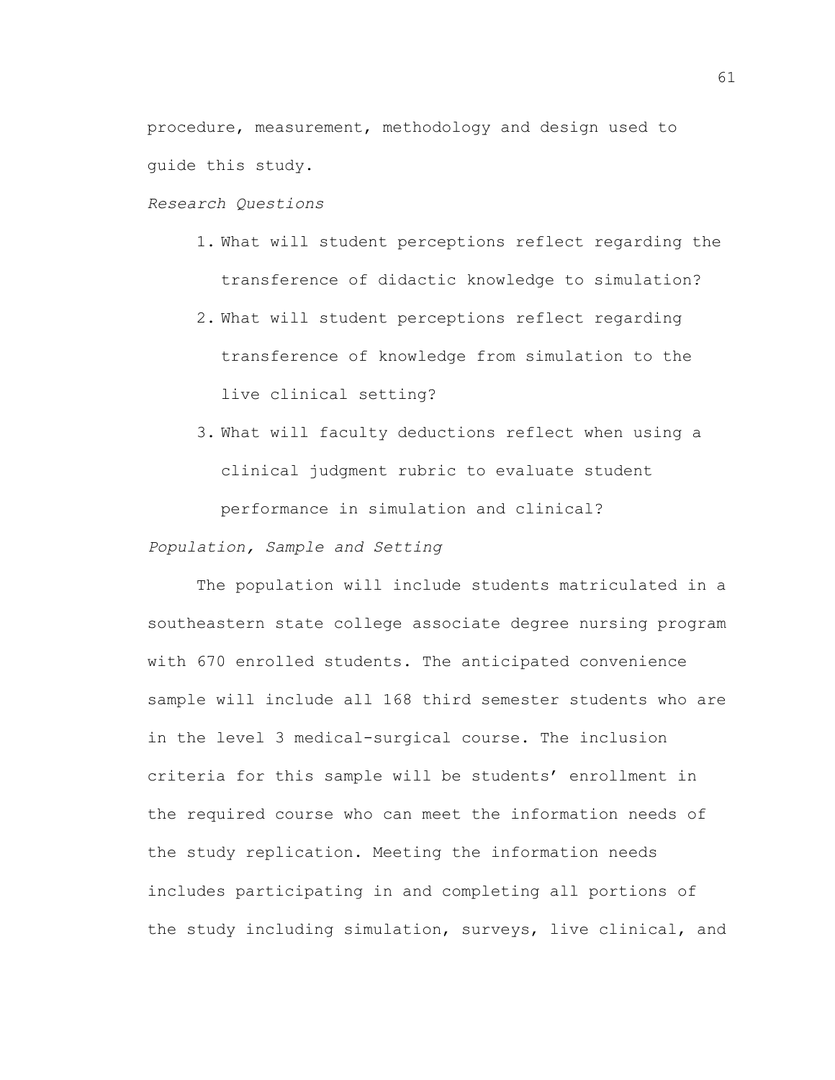procedure, measurement, methodology and design used to guide this study.

## *Research Questions*

- 1. What will student perceptions reflect regarding the transference of didactic knowledge to simulation?
- 2. What will student perceptions reflect regarding transference of knowledge from simulation to the live clinical setting?
- 3. What will faculty deductions reflect when using a clinical judgment rubric to evaluate student performance in simulation and clinical?

# *Population, Sample and Setting*

The population will include students matriculated in a southeastern state college associate degree nursing program with 670 enrolled students. The anticipated convenience sample will include all 168 third semester students who are in the level 3 medical-surgical course. The inclusion criteria for this sample will be students' enrollment in the required course who can meet the information needs of the study replication. Meeting the information needs includes participating in and completing all portions of the study including simulation, surveys, live clinical, and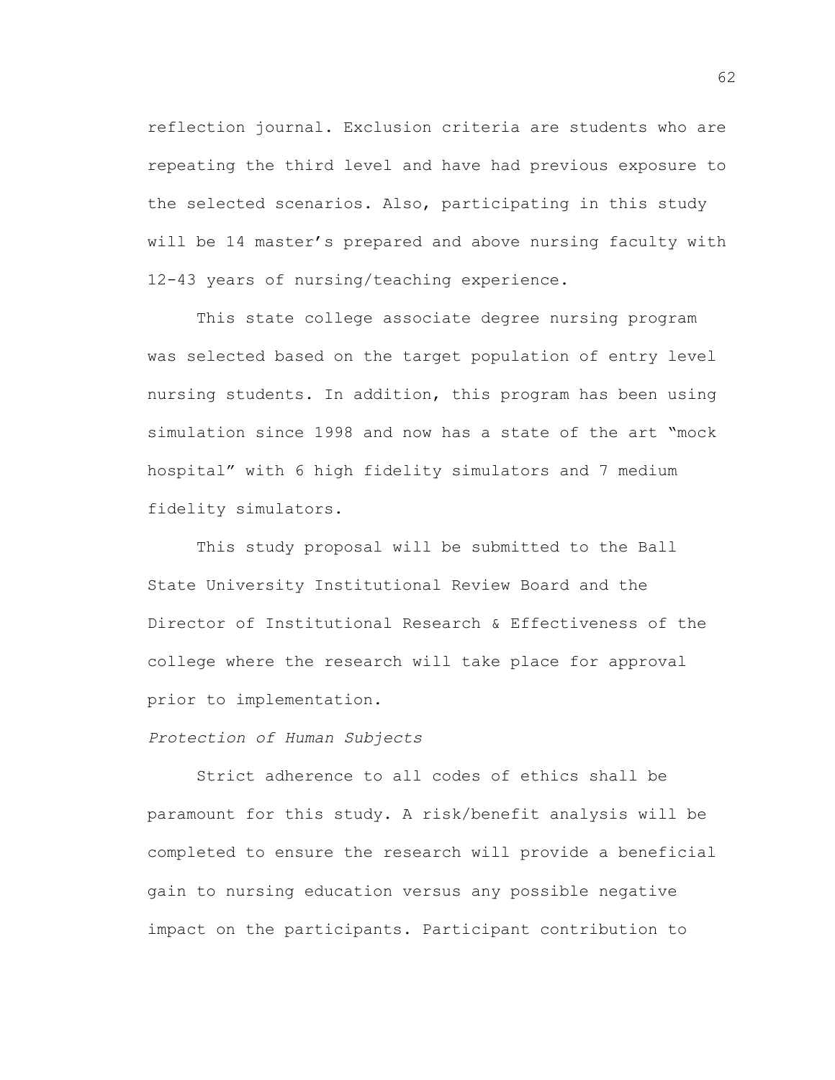reflection journal. Exclusion criteria are students who are repeating the third level and have had previous exposure to the selected scenarios. Also, participating in this study will be 14 master's prepared and above nursing faculty with 12-43 years of nursing/teaching experience.

This state college associate degree nursing program was selected based on the target population of entry level nursing students. In addition, this program has been using simulation since 1998 and now has a state of the art "mock hospital" with 6 high fidelity simulators and 7 medium fidelity simulators.

This study proposal will be submitted to the Ball State University Institutional Review Board and the Director of Institutional Research & Effectiveness of the college where the research will take place for approval prior to implementation.

#### *Protection of Human Subjects*

Strict adherence to all codes of ethics shall be paramount for this study. A risk/benefit analysis will be completed to ensure the research will provide a beneficial gain to nursing education versus any possible negative impact on the participants. Participant contribution to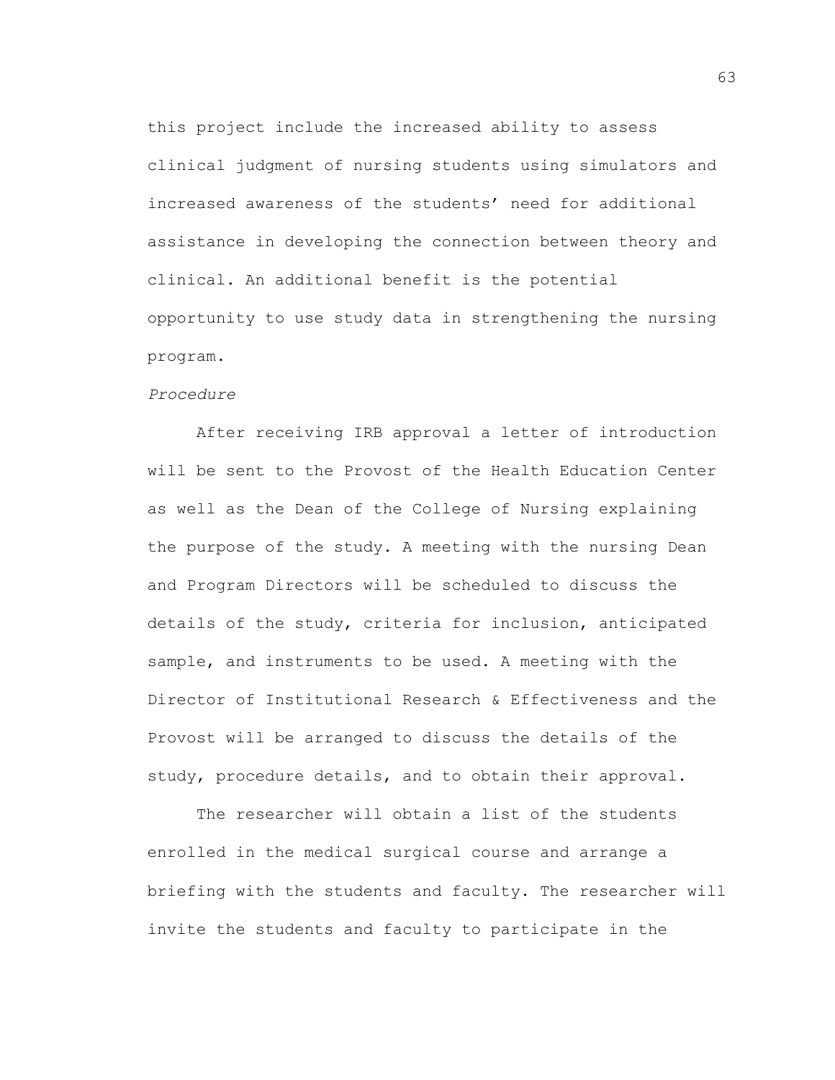this project include the increased ability to assess clinical judgment of nursing students using simulators and increased awareness of the students' need for additional assistance in developing the connection between theory and clinical. An additional benefit is the potential opportunity to use study data in strengthening the nursing program.

#### *Procedure*

After receiving IRB approval a letter of introduction will be sent to the Provost of the Health Education Center as well as the Dean of the College of Nursing explaining the purpose of the study. A meeting with the nursing Dean and Program Directors will be scheduled to discuss the details of the study, criteria for inclusion, anticipated sample, and instruments to be used. A meeting with the Director of Institutional Research & Effectiveness and the Provost will be arranged to discuss the details of the study, procedure details, and to obtain their approval.

The researcher will obtain a list of the students enrolled in the medical surgical course and arrange a briefing with the students and faculty. The researcher will invite the students and faculty to participate in the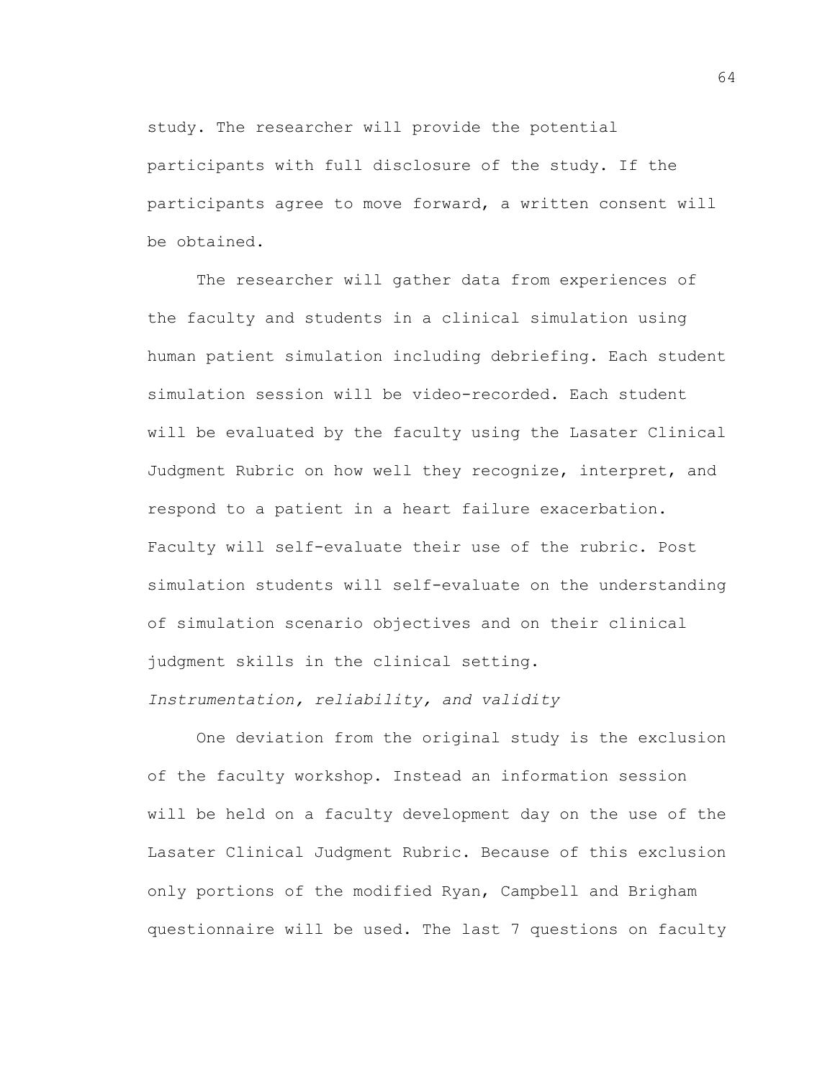study. The researcher will provide the potential participants with full disclosure of the study. If the participants agree to move forward, a written consent will be obtained.

The researcher will gather data from experiences of the faculty and students in a clinical simulation using human patient simulation including debriefing. Each student simulation session will be video-recorded. Each student will be evaluated by the faculty using the Lasater Clinical Judgment Rubric on how well they recognize, interpret, and respond to a patient in a heart failure exacerbation. Faculty will self-evaluate their use of the rubric. Post simulation students will self-evaluate on the understanding of simulation scenario objectives and on their clinical judgment skills in the clinical setting. *Instrumentation, reliability, and validity*

One deviation from the original study is the exclusion of the faculty workshop. Instead an information session will be held on a faculty development day on the use of the Lasater Clinical Judgment Rubric. Because of this exclusion only portions of the modified Ryan, Campbell and Brigham questionnaire will be used. The last 7 questions on faculty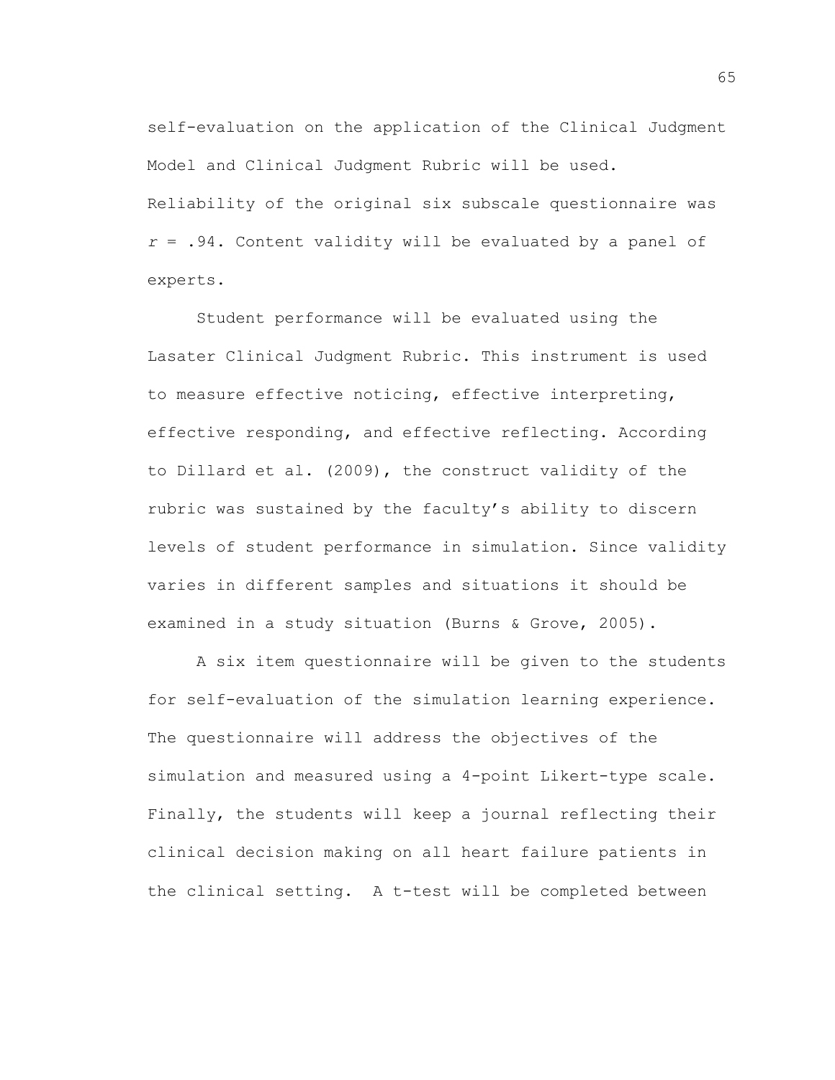self-evaluation on the application of the Clinical Judgment Model and Clinical Judgment Rubric will be used. Reliability of the original six subscale questionnaire was *r* = .94. Content validity will be evaluated by a panel of experts.

Student performance will be evaluated using the Lasater Clinical Judgment Rubric. This instrument is used to measure effective noticing, effective interpreting, effective responding, and effective reflecting. According to Dillard et al. (2009), the construct validity of the rubric was sustained by the faculty's ability to discern levels of student performance in simulation. Since validity varies in different samples and situations it should be examined in a study situation (Burns & Grove, 2005).

A six item questionnaire will be given to the students for self-evaluation of the simulation learning experience. The questionnaire will address the objectives of the simulation and measured using a 4-point Likert-type scale. Finally, the students will keep a journal reflecting their clinical decision making on all heart failure patients in the clinical setting. A t-test will be completed between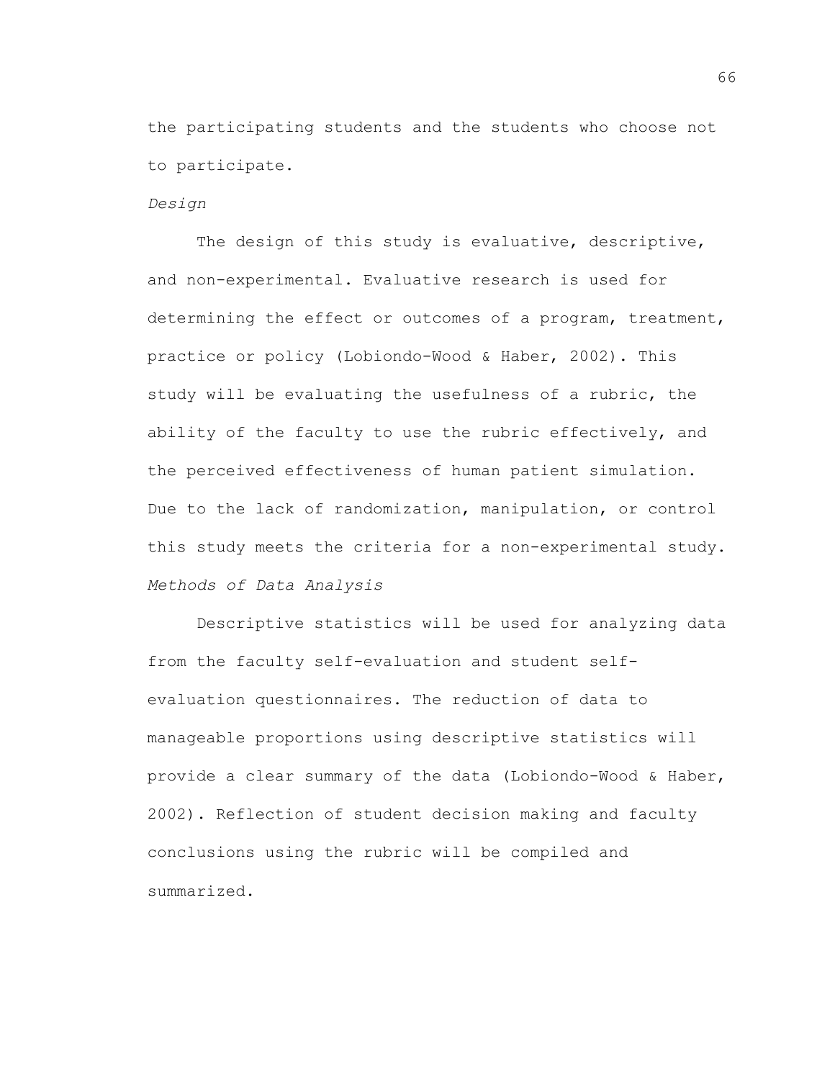the participating students and the students who choose not to participate.

#### *Design*

The design of this study is evaluative, descriptive, and non-experimental. Evaluative research is used for determining the effect or outcomes of a program, treatment, practice or policy (Lobiondo-Wood & Haber, 2002). This study will be evaluating the usefulness of a rubric, the ability of the faculty to use the rubric effectively, and the perceived effectiveness of human patient simulation. Due to the lack of randomization, manipulation, or control this study meets the criteria for a non-experimental study. *Methods of Data Analysis*

Descriptive statistics will be used for analyzing data from the faculty self-evaluation and student selfevaluation questionnaires. The reduction of data to manageable proportions using descriptive statistics will provide a clear summary of the data (Lobiondo-Wood & Haber, 2002). Reflection of student decision making and faculty conclusions using the rubric will be compiled and summarized.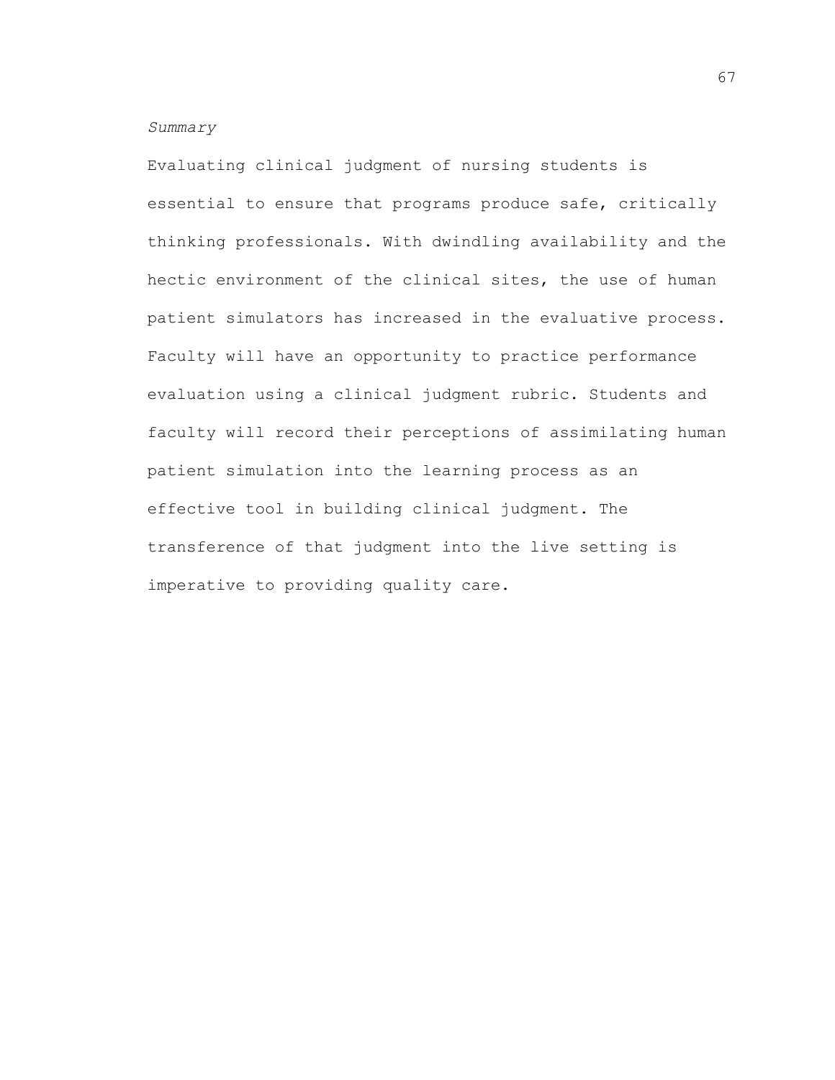## *Summary*

Evaluating clinical judgment of nursing students is essential to ensure that programs produce safe, critically thinking professionals. With dwindling availability and the hectic environment of the clinical sites, the use of human patient simulators has increased in the evaluative process. Faculty will have an opportunity to practice performance evaluation using a clinical judgment rubric. Students and faculty will record their perceptions of assimilating human patient simulation into the learning process as an effective tool in building clinical judgment. The transference of that judgment into the live setting is imperative to providing quality care.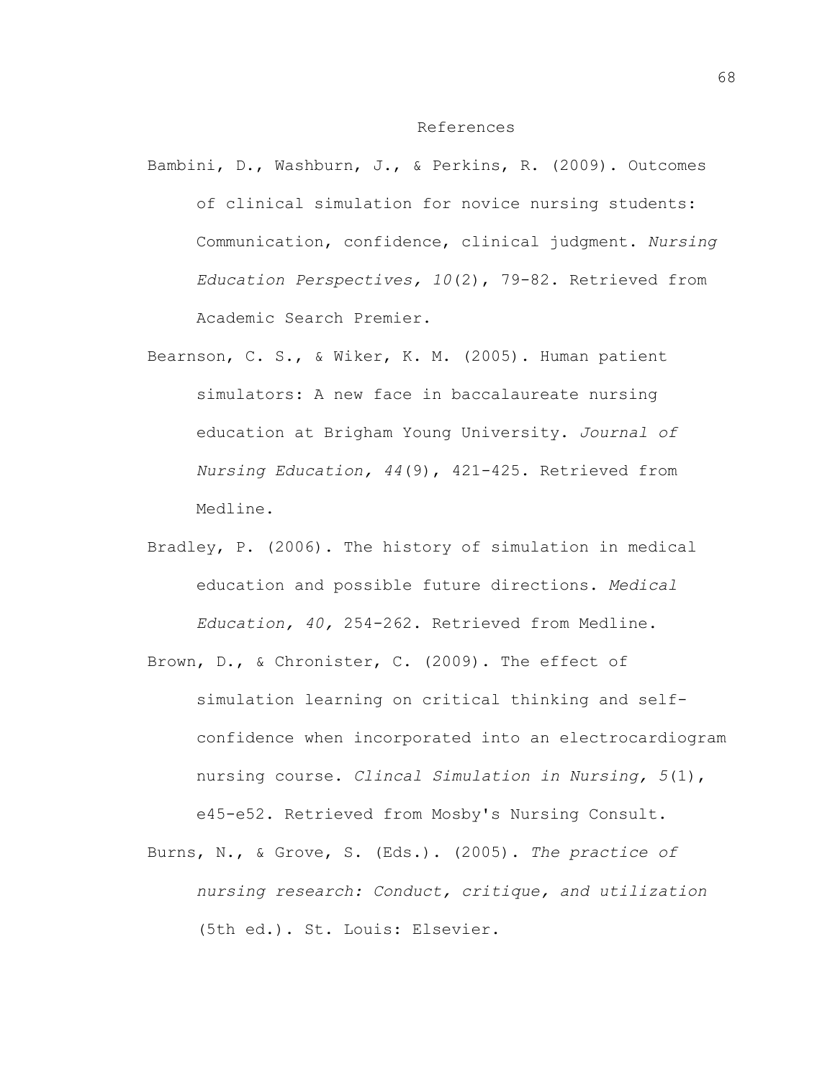## References

- Bambini, D., Washburn, J., & Perkins, R. (2009). Outcomes of clinical simulation for novice nursing students: Communication, confidence, clinical judgment. *Nursing Education Perspectives, 10*(2), 79-82. Retrieved from Academic Search Premier.
- Bearnson, C. S., & Wiker, K. M. (2005). Human patient simulators: A new face in baccalaureate nursing education at Brigham Young University. *Journal of Nursing Education, 44*(9), 421-425. Retrieved from Medline.
- Bradley, P. (2006). The history of simulation in medical education and possible future directions. *Medical Education, 40,* 254-262. Retrieved from Medline.
- Brown, D., & Chronister, C. (2009). The effect of simulation learning on critical thinking and selfconfidence when incorporated into an electrocardiogram nursing course. *Clincal Simulation in Nursing, 5*(1), e45-e52. Retrieved from Mosby's Nursing Consult.
- Burns, N., & Grove, S. (Eds.). (2005). *The practice of nursing research: Conduct, critique, and utilization* (5th ed.). St. Louis: Elsevier.

68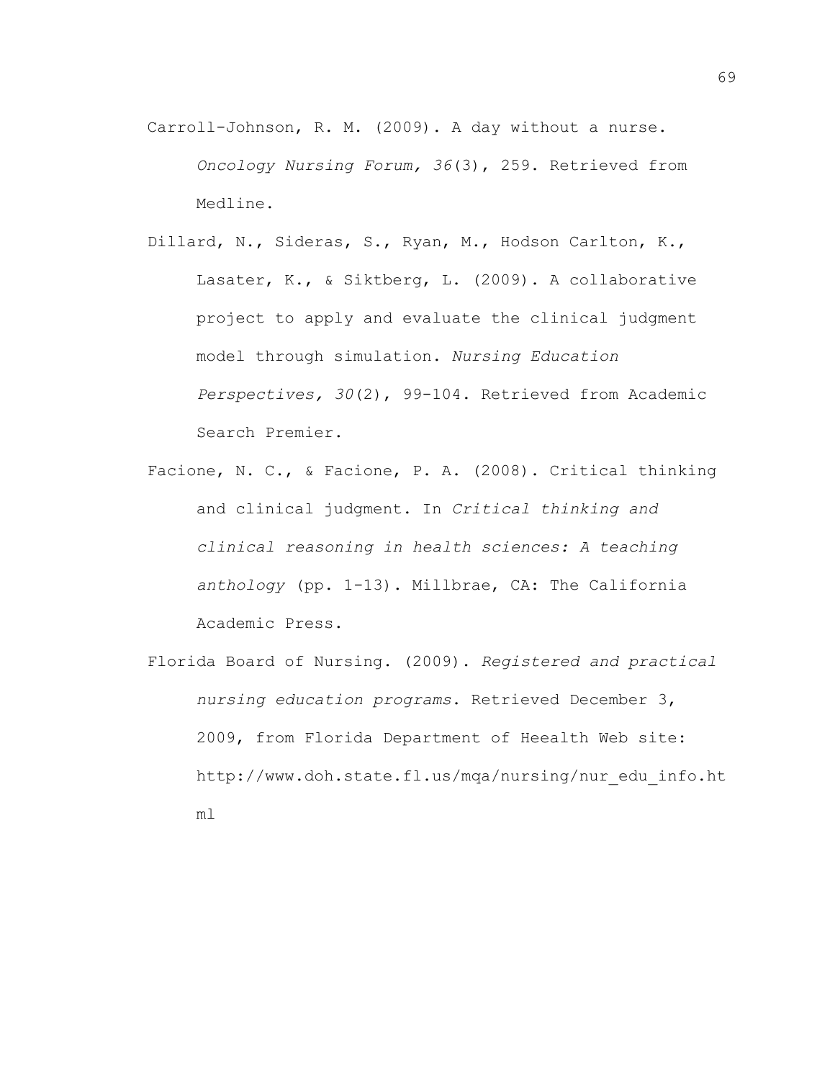- Carroll-Johnson, R. M. (2009). A day without a nurse. *Oncology Nursing Forum, 36*(3), 259. Retrieved from Medline.
- Dillard, N., Sideras, S., Ryan, M., Hodson Carlton, K., Lasater, K., & Siktberg, L. (2009). A collaborative project to apply and evaluate the clinical judgment model through simulation. *Nursing Education Perspectives, 30*(2), 99-104. Retrieved from Academic Search Premier.
- Facione, N. C., & Facione, P. A. (2008). Critical thinking and clinical judgment. In *Critical thinking and clinical reasoning in health sciences: A teaching anthology* (pp. 1-13). Millbrae, CA: The California Academic Press.
- Florida Board of Nursing. (2009). *Registered and practical nursing education programs*. Retrieved December 3, 2009, from Florida Department of Heealth Web site: http://www.doh.state.fl.us/mqa/nursing/nur\_edu\_info.ht ml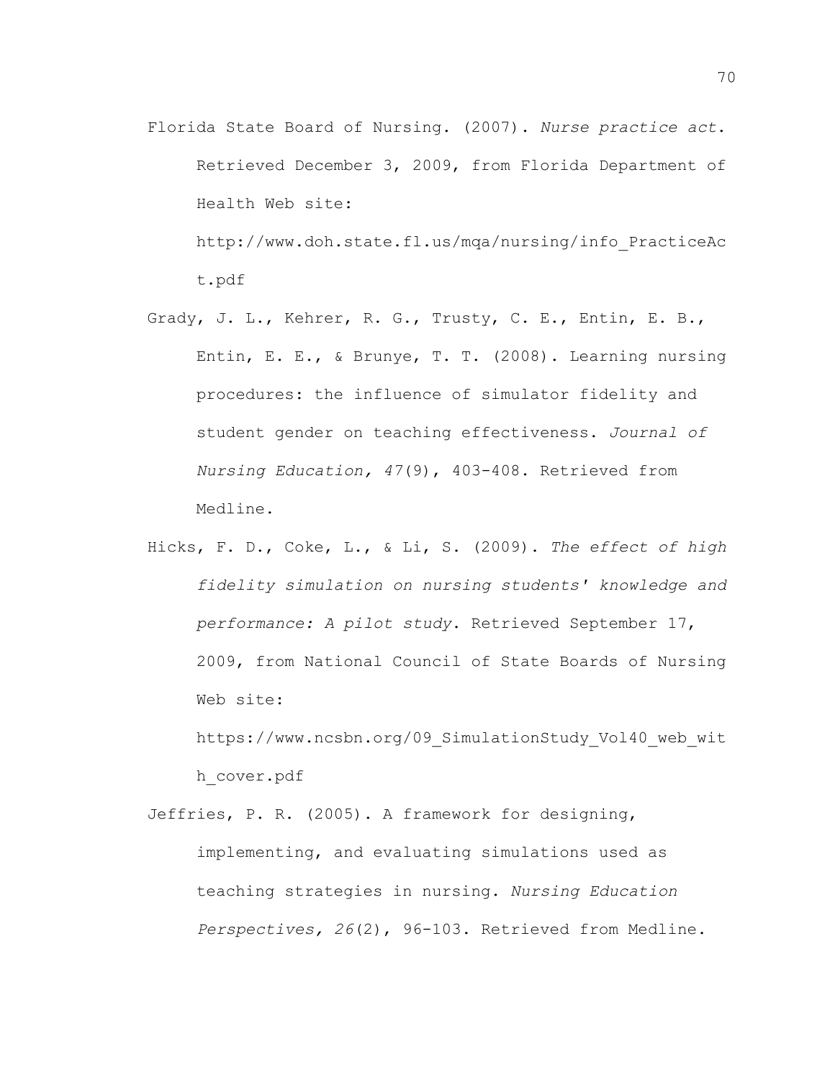- Florida State Board of Nursing. (2007). *Nurse practice act*. Retrieved December 3, 2009, from Florida Department of Health Web site: http://www.doh.state.fl.us/mqa/nursing/info\_PracticeAc t.pdf
- Grady, J. L., Kehrer, R. G., Trusty, C. E., Entin, E. B., Entin, E. E., & Brunye, T. T. (2008). Learning nursing procedures: the influence of simulator fidelity and student gender on teaching effectiveness. *Journal of Nursing Education, 47*(9), 403-408. Retrieved from Medline.
- Hicks, F. D., Coke, L., & Li, S. (2009). *The effect of high fidelity simulation on nursing students' knowledge and performance: A pilot study*. Retrieved September 17, 2009, from National Council of State Boards of Nursing Web site:

https://www.ncsbn.org/09 SimulationStudy Vol40 web wit h\_cover.pdf

Jeffries, P. R. (2005). A framework for designing, implementing, and evaluating simulations used as teaching strategies in nursing. *Nursing Education Perspectives, 26*(2), 96-103. Retrieved from Medline.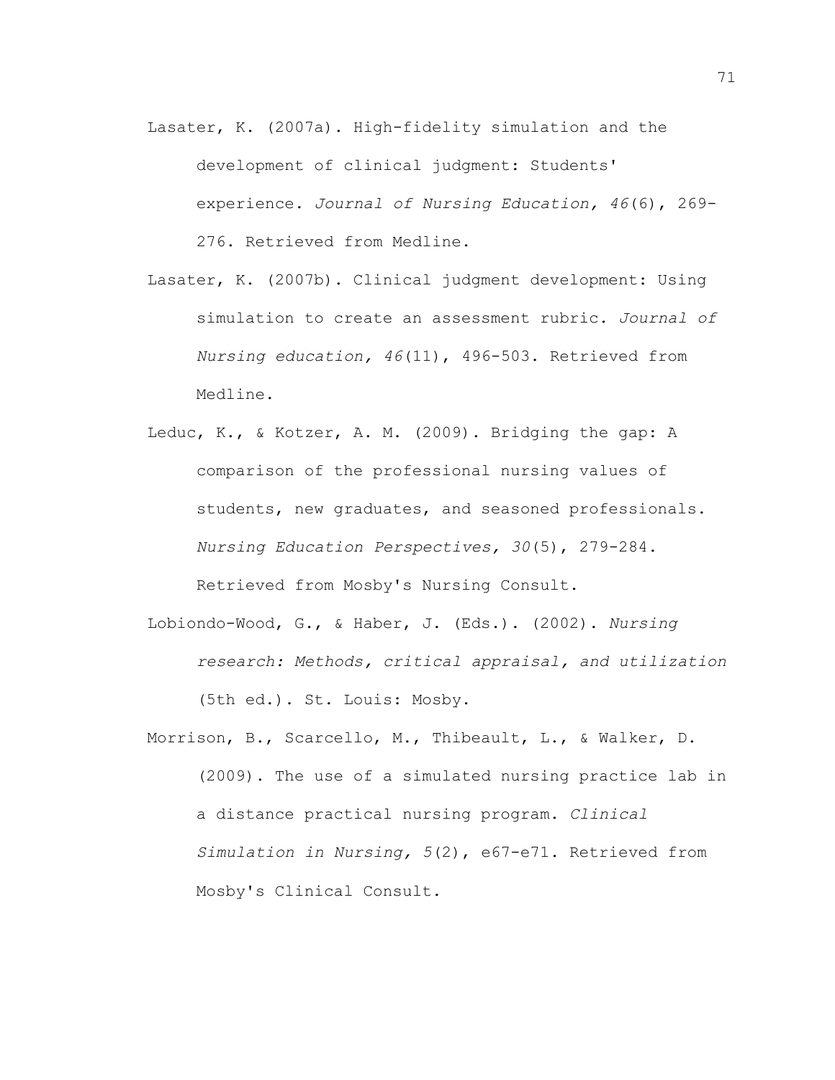- Lasater, K. (2007a). High-fidelity simulation and the development of clinical judgment: Students' experience. *Journal of Nursing Education, 46*(6), 269- 276. Retrieved from Medline.
- Lasater, K. (2007b). Clinical judgment development: Using simulation to create an assessment rubric. *Journal of Nursing education, 46*(11), 496-503. Retrieved from Medline.
- Leduc, K., & Kotzer, A. M. (2009). Bridging the gap: A comparison of the professional nursing values of students, new graduates, and seasoned professionals. *Nursing Education Perspectives, 30*(5), 279-284. Retrieved from Mosby's Nursing Consult.
- Lobiondo-Wood, G., & Haber, J. (Eds.). (2002). *Nursing research: Methods, critical appraisal, and utilization* (5th ed.). St. Louis: Mosby.
- Morrison, B., Scarcello, M., Thibeault, L., & Walker, D. (2009). The use of a simulated nursing practice lab in a distance practical nursing program. *Clinical Simulation in Nursing, 5*(2), e67-e71. Retrieved from Mosby's Clinical Consult.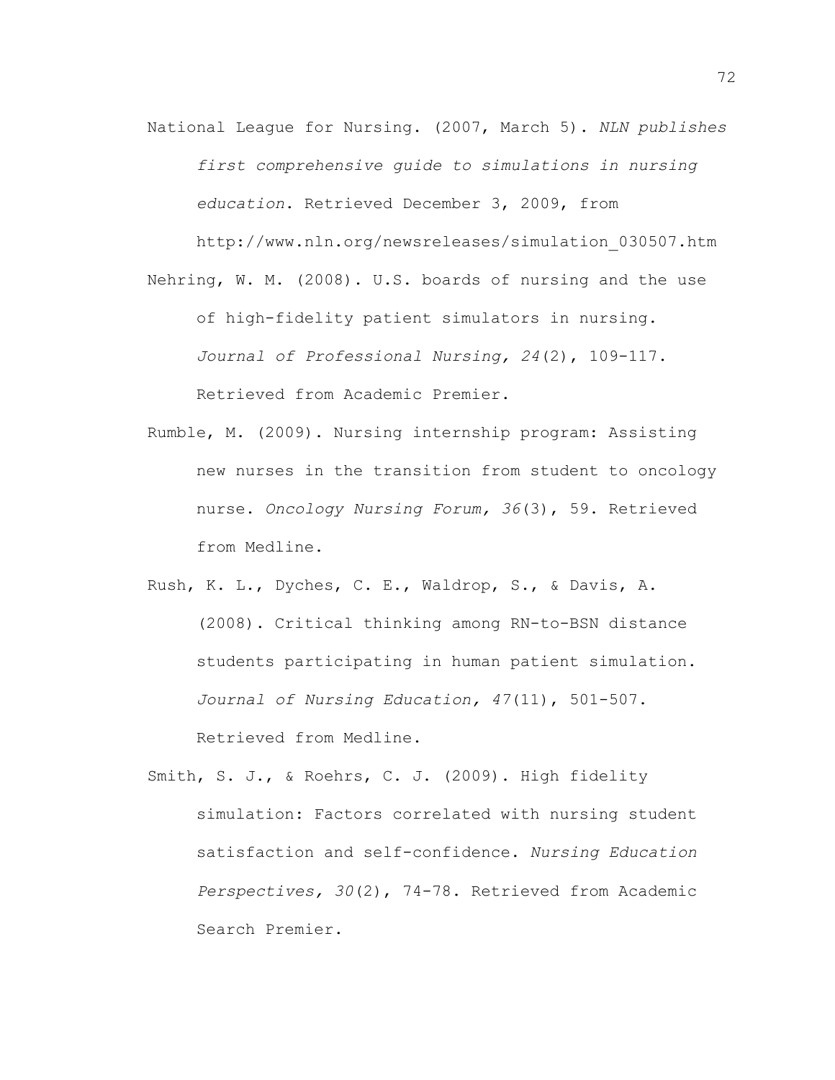National League for Nursing. (2007, March 5). *NLN publishes first comprehensive guide to simulations in nursing education*. Retrieved December 3, 2009, from

http://www.nln.org/newsreleases/simulation\_030507.htm

Nehring, W. M. (2008). U.S. boards of nursing and the use of high-fidelity patient simulators in nursing. *Journal of Professional Nursing, 24*(2), 109-117. Retrieved from Academic Premier.

- Rumble, M. (2009). Nursing internship program: Assisting new nurses in the transition from student to oncology nurse. *Oncology Nursing Forum, 36*(3), 59. Retrieved from Medline.
- Rush, K. L., Dyches, C. E., Waldrop, S., & Davis, A. (2008). Critical thinking among RN-to-BSN distance students participating in human patient simulation. *Journal of Nursing Education, 47*(11), 501-507. Retrieved from Medline.
- Smith, S. J., & Roehrs, C. J. (2009). High fidelity simulation: Factors correlated with nursing student satisfaction and self-confidence. *Nursing Education Perspectives, 30*(2), 74-78. Retrieved from Academic Search Premier.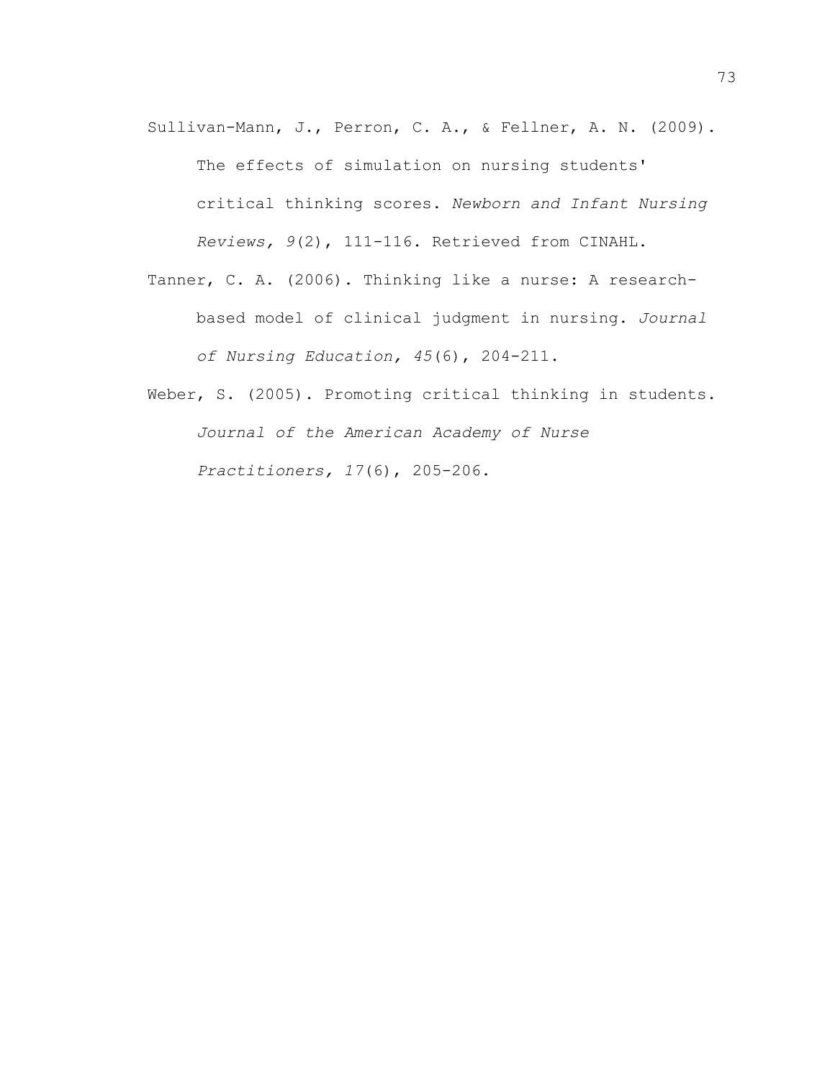- Sullivan-Mann, J., Perron, C. A., & Fellner, A. N. (2009). The effects of simulation on nursing students' critical thinking scores. *Newborn and Infant Nursing Reviews, 9*(2), 111-116. Retrieved from CINAHL.
- Tanner, C. A. (2006). Thinking like a nurse: A researchbased model of clinical judgment in nursing. *Journal of Nursing Education, 45*(6), 204-211.
- Weber, S. (2005). Promoting critical thinking in students. *Journal of the American Academy of Nurse Practitioners, 17*(6), 205-206.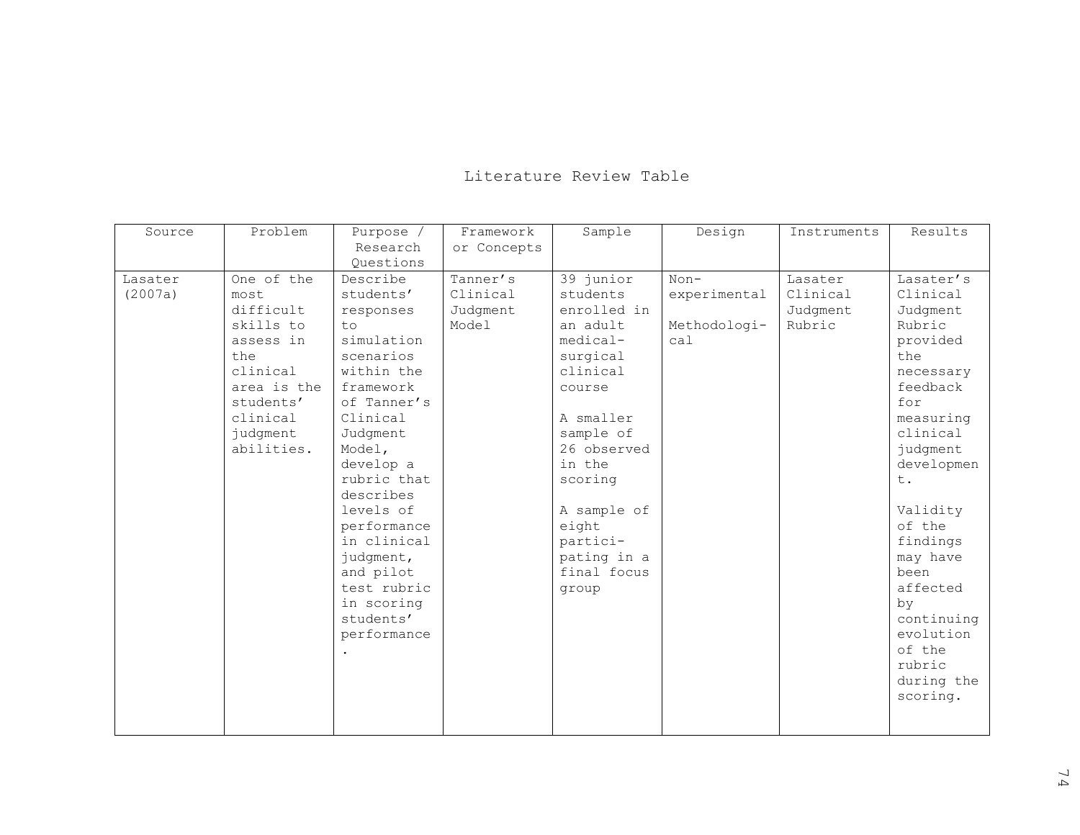## Literature Review Table

| Source  | Problem     | Purpose /   | Framework   | Sample      | Design       | Instruments | Results    |
|---------|-------------|-------------|-------------|-------------|--------------|-------------|------------|
|         |             | Research    | or Concepts |             |              |             |            |
|         |             | Questions   |             |             |              |             |            |
| Lasater | One of the  | Describe    | Tanner's    | 39 junior   | $Non-$       | Lasater     | Lasater's  |
| (2007a) | most        | students'   | Clinical    | students    | experimental | Clinical    | Clinical   |
|         | difficult   | responses   | Judgment    | enrolled in |              | Judgment    | Judgment   |
|         | skills to   | to          | Model       | an adult    | Methodologi- | Rubric      | Rubric     |
|         | assess in   | simulation  |             | medical-    | ca1          |             | provided   |
|         | the         | scenarios   |             | surgical    |              |             | the        |
|         | clinical    | within the  |             | clinical    |              |             | necessary  |
|         | area is the | framework   |             | course      |              |             | feedback   |
|         | students'   | of Tanner's |             |             |              |             | for        |
|         | clinical    | Clinical    |             | A smaller   |              |             | measuring  |
|         | judgment    | Judgment    |             | sample of   |              |             | clinical   |
|         | abilities.  | Model,      |             | 26 observed |              |             | judgment   |
|         |             | develop a   |             | in the      |              |             | developmen |
|         |             | rubric that |             | scoring     |              |             | t.         |
|         |             | describes   |             |             |              |             |            |
|         |             | levels of   |             | A sample of |              |             | Validity   |
|         |             | performance |             | eight       |              |             | of the     |
|         |             | in clinical |             | partici-    |              |             | findings   |
|         |             | judgment,   |             | pating in a |              |             | may have   |
|         |             | and pilot   |             | final focus |              |             | been       |
|         |             | test rubric |             | group       |              |             | affected   |
|         |             | in scoring  |             |             |              |             | by         |
|         |             | students'   |             |             |              |             | continuing |
|         |             | performance |             |             |              |             | evolution  |
|         |             |             |             |             |              |             | of the     |
|         |             |             |             |             |              |             | rubric     |
|         |             |             |             |             |              |             | during the |
|         |             |             |             |             |              |             | scoring.   |
|         |             |             |             |             |              |             |            |
|         |             |             |             |             |              |             |            |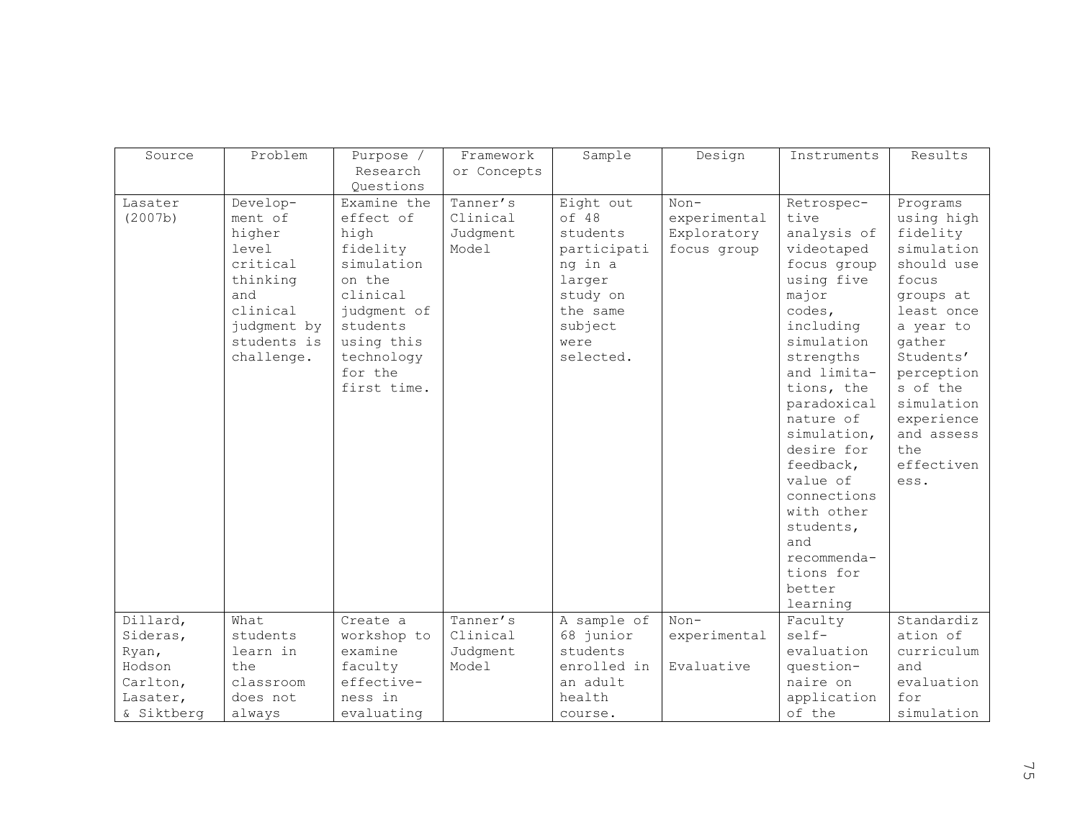| Source                       | Problem     | Purpose /   | Framework   | Sample      | Design       | Instruments               | Results                  |
|------------------------------|-------------|-------------|-------------|-------------|--------------|---------------------------|--------------------------|
|                              |             | Research    | or Concepts |             |              |                           |                          |
|                              |             | Questions   |             |             |              |                           |                          |
| Lasater                      | Develop-    | Examine the | Tanner's    | Eight out   | $Non-$       | Retrospec-                | Programs                 |
| (2007b)                      | ment of     | effect of   | Clinical    | of 48       | experimental | tive                      | using high               |
|                              | higher      | high        | Judgment    | students    | Exploratory  | analysis of               | fidelity                 |
|                              | level       | fidelity    | Model       | participati | focus group  | videotaped                | simulation               |
|                              | critical    | simulation  |             | ng in a     |              | focus group               | should use               |
|                              | thinking    | on the      |             | larger      |              | using five                | focus                    |
|                              | and         | clinical    |             | study on    |              | major                     | groups at                |
|                              | clinical    | judgment of |             | the same    |              | codes,                    | least once               |
|                              | judgment by | students    |             | subject     |              | including                 | a year to                |
|                              | students is | using this  |             | were        |              | simulation                | qather                   |
|                              | challenge.  | technology  |             | selected.   |              | strengths                 | Students'                |
|                              |             | for the     |             |             |              | and limita-               | perception               |
|                              |             | first time. |             |             |              | tions, the                | s of the<br>simulation   |
|                              |             |             |             |             |              | paradoxical<br>nature of  |                          |
|                              |             |             |             |             |              |                           | experience<br>and assess |
|                              |             |             |             |             |              | simulation,<br>desire for | the                      |
|                              |             |             |             |             |              | feedback,                 | effectiven               |
|                              |             |             |             |             |              | value of                  | ess.                     |
|                              |             |             |             |             |              | connections               |                          |
|                              |             |             |             |             |              | with other                |                          |
|                              |             |             |             |             |              | students,                 |                          |
|                              |             |             |             |             |              | and                       |                          |
|                              |             |             |             |             |              | recommenda-               |                          |
|                              |             |             |             |             |              | tions for                 |                          |
|                              |             |             |             |             |              | better                    |                          |
|                              |             |             |             |             |              | learning                  |                          |
| $\overline{\text{Dilard}}$ , | What        | Create a    | Tanner's    | A sample of | $Non-$       | Faculty                   | Standardiz               |
| Sideras,                     | students    | workshop to | Clinical    | 68 junior   | experimental | $self-$                   | ation of                 |
| Ryan,                        | learn in    | examine     | Judgment    | students    |              | evaluation                | curriculum               |
| Hodson                       | the         | faculty     | Model       | enrolled in | Evaluative   | question-                 | and                      |
| Carlton,                     | classroom   | effective-  |             | an adult    |              | naire on                  | evaluation               |
| Lasater,                     | does not    | ness in     |             | health      |              | application               | for                      |
| & Siktberg                   | always      | evaluating  |             | course.     |              | of the                    | simulation               |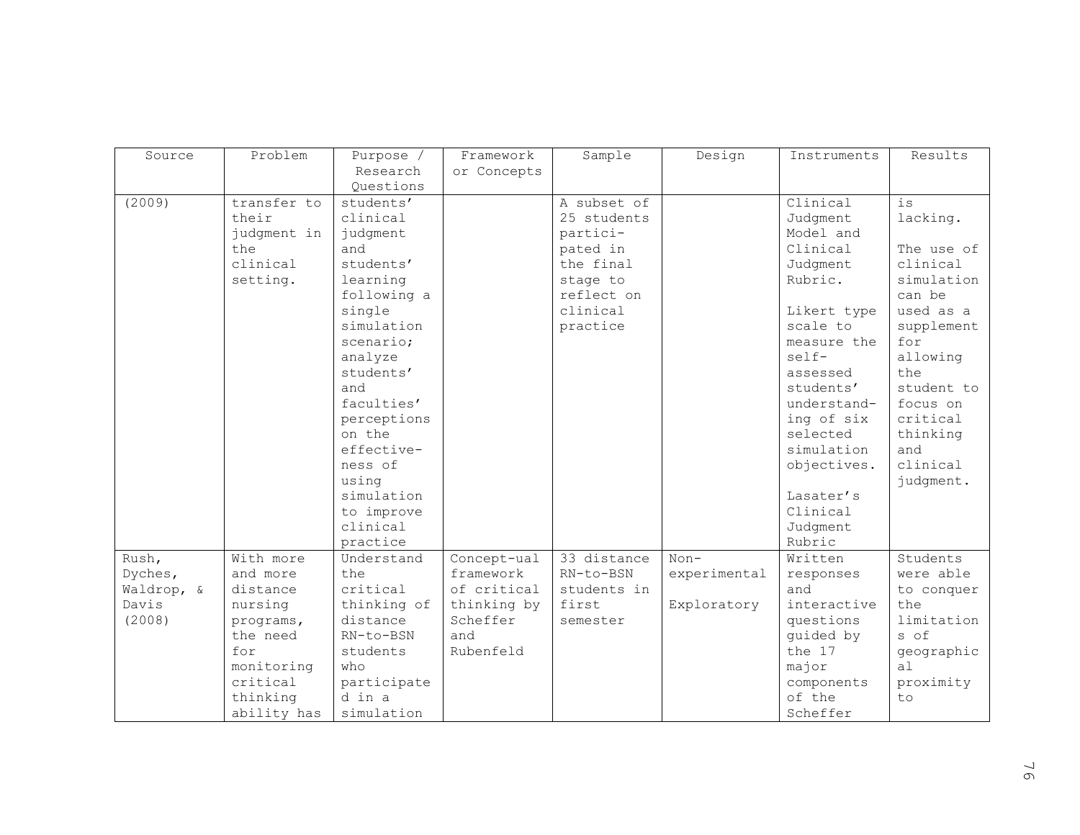| Source     | Problem     | Purpose /   | Framework   | Sample      | Design       | Instruments | Results        |
|------------|-------------|-------------|-------------|-------------|--------------|-------------|----------------|
|            |             | Research    | or Concepts |             |              |             |                |
|            |             | Questions   |             |             |              |             |                |
| (2009)     | transfer to | students'   |             | A subset of |              | Clinical    | $\frac{1}{2}S$ |
|            | their       | clinical    |             | 25 students |              | Judgment    | lacking.       |
|            | judgment in | judgment    |             | partici-    |              | Model and   |                |
|            | the         | and         |             | pated in    |              | Clinical    | The use of     |
|            | clinical    | students'   |             | the final   |              | Judgment    | clinical       |
|            | setting.    | learning    |             | stage to    |              | Rubric.     | simulation     |
|            |             | following a |             | reflect on  |              |             | can be         |
|            |             | single      |             | clinical    |              | Likert type | used as a      |
|            |             | simulation  |             | practice    |              | scale to    | supplement     |
|            |             | scenario;   |             |             |              | measure the | for            |
|            |             | analyze     |             |             |              | self-       | allowing       |
|            |             | students'   |             |             |              | assessed    | the            |
|            |             | and         |             |             |              | students'   | student to     |
|            |             | faculties'  |             |             |              | understand- | focus on       |
|            |             | perceptions |             |             |              | ing of six  | critical       |
|            |             | on the      |             |             |              | selected    | thinking       |
|            |             | effective-  |             |             |              | simulation  | and            |
|            |             | ness of     |             |             |              | objectives. | clinical       |
|            |             | using       |             |             |              |             | judgment.      |
|            |             | simulation  |             |             |              | Lasater's   |                |
|            |             | to improve  |             |             |              | Clinical    |                |
|            |             | clinical    |             |             |              | Judgment    |                |
|            |             | practice    |             |             |              | Rubric      |                |
| Rush,      | With more   | Understand  | Concept-ual | 33 distance | $Non-$       | Written     | Students       |
| Dyches,    | and more    | the         | framework   | RN-to-BSN   | experimental | responses   | were able      |
| Waldrop, & | distance    | critical    | of critical | students in |              | and         | to conquer     |
| Davis      | nursing     | thinking of | thinking by | first       | Exploratory  | interactive | the            |
| (2008)     | programs,   | distance    | Scheffer    | semester    |              | questions   | limitation     |
|            | the need    | RN-to-BSN   | and         |             |              | guided by   | s of           |
|            | for         | students    | Rubenfeld   |             |              | the 17      | geographic     |
|            | monitoring  | who         |             |             |              | major       | a1             |
|            | critical    | participate |             |             |              | components  | proximity      |
|            | thinking    | d in a      |             |             |              | of the      | to             |
|            | ability has | simulation  |             |             |              | Scheffer    |                |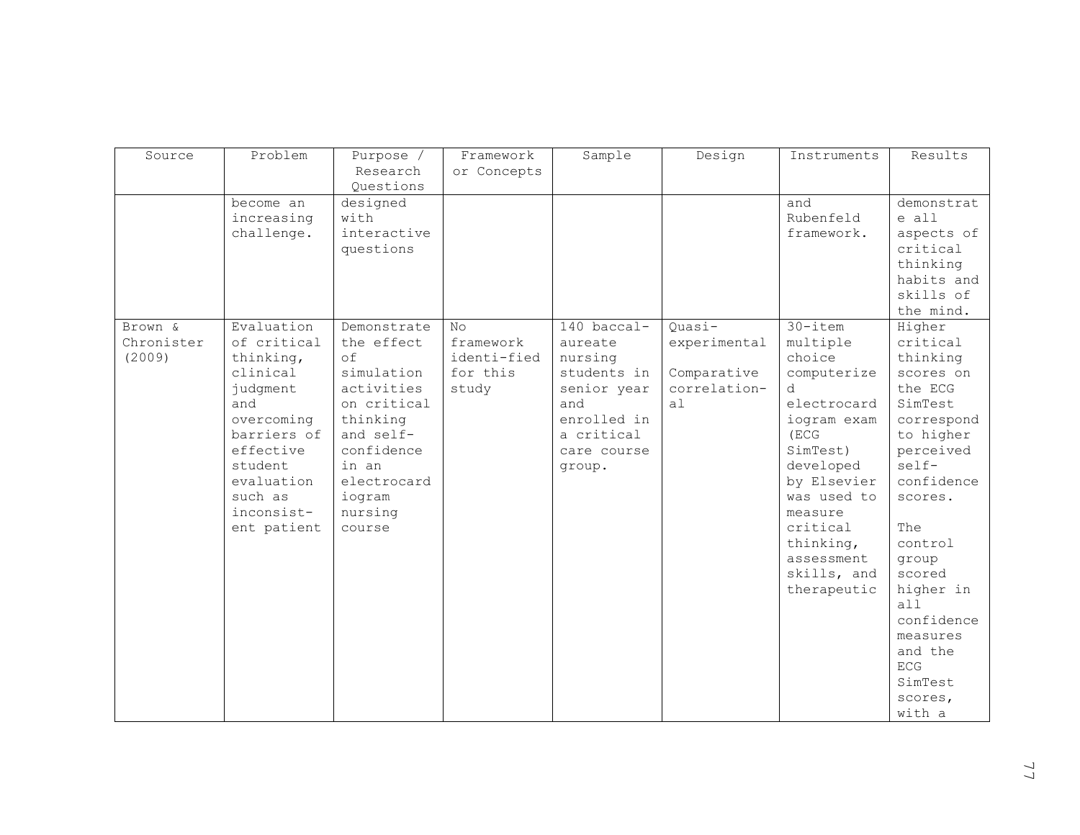| Source     | Problem              | Purpose /               | Framework   | Sample      | Design       | Instruments             | Results                |
|------------|----------------------|-------------------------|-------------|-------------|--------------|-------------------------|------------------------|
|            |                      | Research                | or Concepts |             |              |                         |                        |
|            |                      | Questions               |             |             |              |                         |                        |
|            | become an            | designed                |             |             |              | and                     | demonstrat             |
|            | increasing           | with<br>interactive     |             |             |              | Rubenfeld<br>framework. | e all                  |
|            | challenge.           | questions               |             |             |              |                         | aspects of<br>critical |
|            |                      |                         |             |             |              |                         | thinking               |
|            |                      |                         |             |             |              |                         | habits and             |
|            |                      |                         |             |             |              |                         | skills of              |
|            |                      |                         |             |             |              |                         | the mind.              |
| Brown &    | Evaluation           | Demonstrate             | No          | 140 baccal- | Quasi-       | $30 - i$ tem            | Higher                 |
| Chronister | of critical          | the effect              | framework   | aureate     | experimental | multiple                | critical               |
| (2009)     | thinking,            | of                      | identi-fied | nursing     |              | choice                  | thinking               |
|            | clinical             | simulation              | for this    | students in | Comparative  | computerize             | scores on              |
|            | judgment             | activities              | study       | senior year | correlation- | d.                      | the ECG                |
|            | and                  | on critical             |             | and         | a1           | electrocard             | SimTest                |
|            | overcoming           | thinking                |             | enrolled in |              | iogram exam             | correspond             |
|            | barriers of          | and self-<br>confidence |             | a critical  |              | (ECG                    | to higher              |
|            | effective<br>student | in an                   |             | care course |              | SimTest)<br>developed   | perceived<br>self-     |
|            | evaluation           | electrocard             |             | group.      |              | by Elsevier             | confidence             |
|            | such as              | iogram                  |             |             |              | was used to             | scores.                |
|            | inconsist-           | nursing                 |             |             |              | measure                 |                        |
|            | ent patient          | course                  |             |             |              | critical                | The                    |
|            |                      |                         |             |             |              | thinking,               | control                |
|            |                      |                         |             |             |              | assessment              | group                  |
|            |                      |                         |             |             |              | skills, and             | scored                 |
|            |                      |                         |             |             |              | therapeutic             | higher in              |
|            |                      |                         |             |             |              |                         | a11                    |
|            |                      |                         |             |             |              |                         | confidence             |
|            |                      |                         |             |             |              |                         | measures               |
|            |                      |                         |             |             |              |                         | and the                |
|            |                      |                         |             |             |              |                         | <b>ECG</b>             |
|            |                      |                         |             |             |              |                         | SimTest                |
|            |                      |                         |             |             |              |                         | scores,                |
|            |                      |                         |             |             |              |                         | with a                 |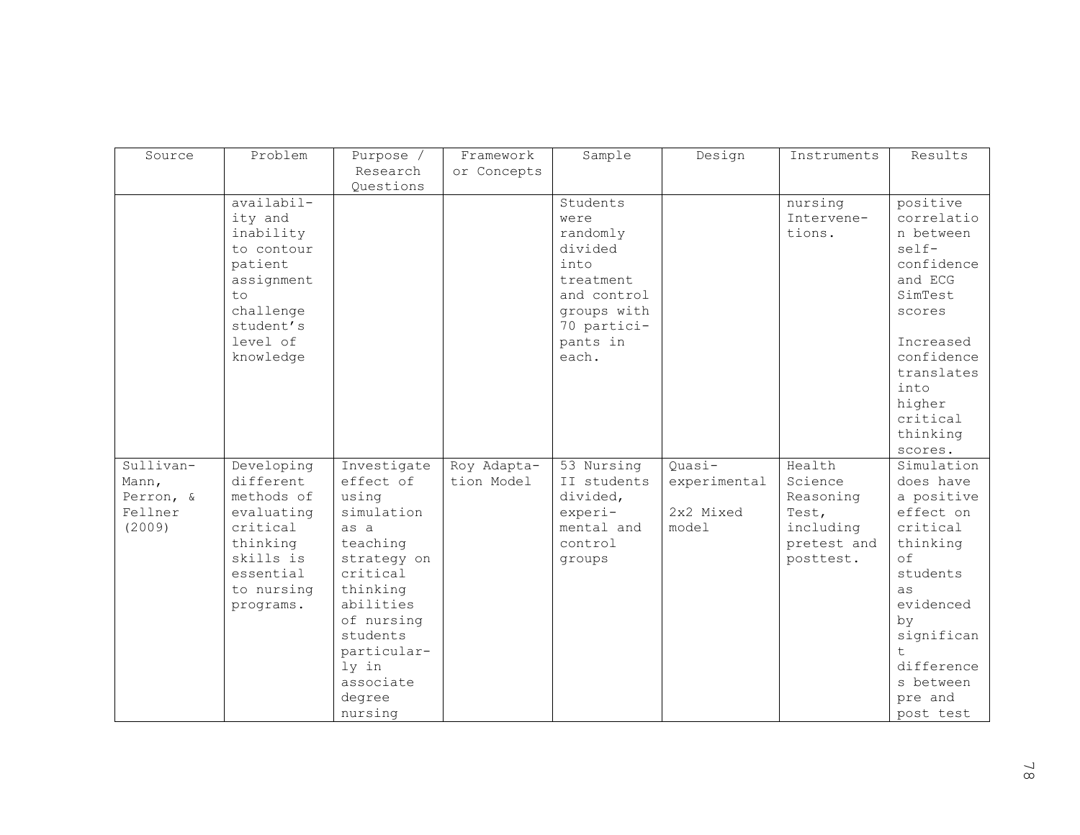| Source    | Problem    | Purpose /             | Framework   | Sample      | Design       | Instruments | Results                  |
|-----------|------------|-----------------------|-------------|-------------|--------------|-------------|--------------------------|
|           |            | Research              | or Concepts |             |              |             |                          |
|           | availabil- | Questions             |             | Students    |              | nursing     | positive                 |
|           | ity and    |                       |             | were        |              | Intervene-  | correlatio               |
|           | inability  |                       |             | randomly    |              | tions.      | n between                |
|           | to contour |                       |             | divided     |              |             | $self-$                  |
|           | patient    |                       |             | into        |              |             | confidence               |
|           | assignment |                       |             | treatment   |              |             | and ECG                  |
|           | t.o        |                       |             | and control |              |             | SimTest                  |
|           | challenge  |                       |             | groups with |              |             | scores                   |
|           | student's  |                       |             | 70 partici- |              |             |                          |
|           | level of   |                       |             | pants in    |              |             | Increased                |
|           | knowledge  |                       |             | each.       |              |             | confidence<br>translates |
|           |            |                       |             |             |              |             | into                     |
|           |            |                       |             |             |              |             | higher                   |
|           |            |                       |             |             |              |             | critical                 |
|           |            |                       |             |             |              |             | thinking                 |
|           |            |                       |             |             |              |             | scores.                  |
| Sullivan- | Developing | Investigate           | Roy Adapta- | 53 Nursing  | $Quasi-$     | Health      | Simulation               |
| Mann,     | different  | effect of             | tion Model  | II students | experimental | Science     | does have                |
| Perron, & | methods of | using                 |             | divided,    |              | Reasoning   | a positive               |
| Fellner   | evaluating | simulation            |             | experi-     | 2x2 Mixed    | Test,       | effect on                |
| (2009)    | critical   | as a                  |             | mental and  | model        | including   | critical                 |
|           | thinking   | teaching              |             | control     |              | pretest and | thinking                 |
|           | skills is  | strategy on           |             | groups      |              | posttest.   | $\circ$ f                |
|           | essential  | critical              |             |             |              |             | students                 |
|           | to nursing | thinking<br>abilities |             |             |              |             | as<br>evidenced          |
|           | programs.  | of nursing            |             |             |              |             | by                       |
|           |            | students              |             |             |              |             | significan               |
|           |            | particular-           |             |             |              |             | $\pm$                    |
|           |            | ly in                 |             |             |              |             | difference               |
|           |            | associate             |             |             |              |             | s between                |
|           |            | degree                |             |             |              |             | pre and                  |
|           |            | nursing               |             |             |              |             | post test                |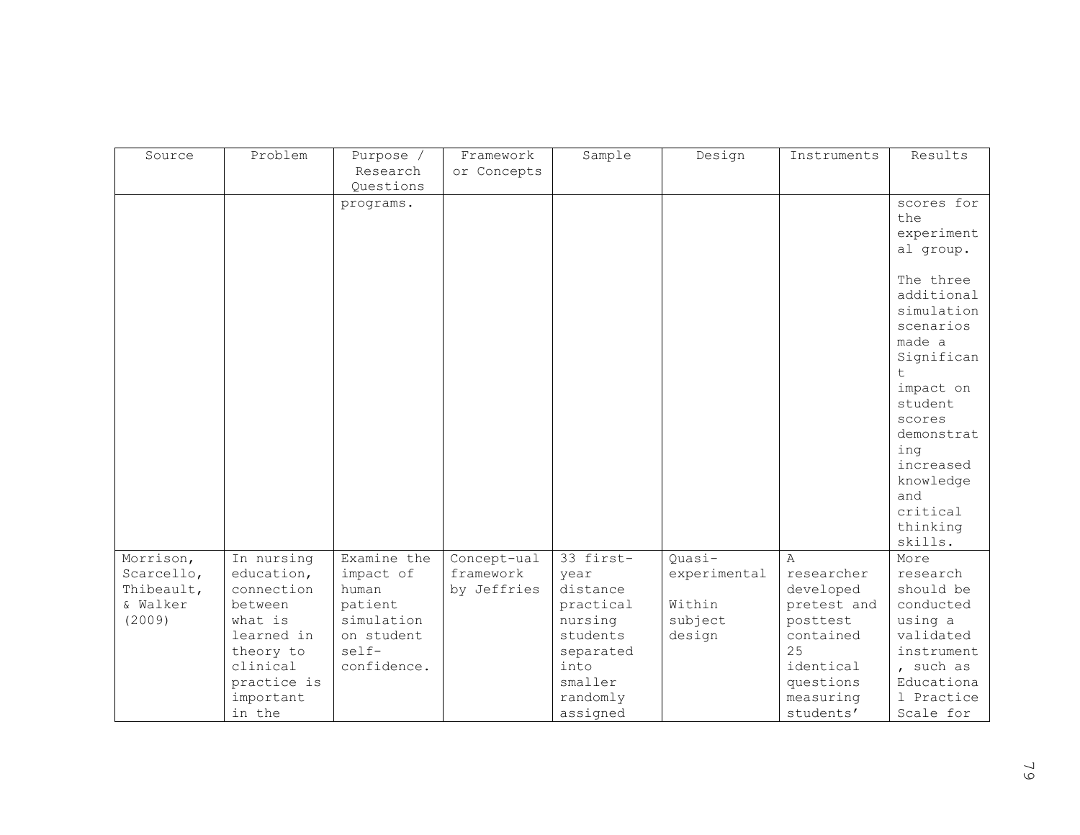| Framework<br>Sample<br>Results<br>Source<br>Purpose /<br>Design<br>Instruments<br>Research<br>or Concepts<br>Questions<br>scores for<br>programs.<br>the<br>experiment<br>al group.<br>The three<br>additional |         |  |  |            |
|----------------------------------------------------------------------------------------------------------------------------------------------------------------------------------------------------------------|---------|--|--|------------|
|                                                                                                                                                                                                                | Problem |  |  |            |
|                                                                                                                                                                                                                |         |  |  |            |
|                                                                                                                                                                                                                |         |  |  |            |
|                                                                                                                                                                                                                |         |  |  |            |
|                                                                                                                                                                                                                |         |  |  |            |
|                                                                                                                                                                                                                |         |  |  |            |
|                                                                                                                                                                                                                |         |  |  |            |
|                                                                                                                                                                                                                |         |  |  |            |
|                                                                                                                                                                                                                |         |  |  |            |
|                                                                                                                                                                                                                |         |  |  |            |
|                                                                                                                                                                                                                |         |  |  | simulation |
| scenarios                                                                                                                                                                                                      |         |  |  |            |
| made a                                                                                                                                                                                                         |         |  |  |            |
|                                                                                                                                                                                                                |         |  |  | Significan |
| $\pm$                                                                                                                                                                                                          |         |  |  |            |
| impact on                                                                                                                                                                                                      |         |  |  |            |
| student                                                                                                                                                                                                        |         |  |  |            |
| scores                                                                                                                                                                                                         |         |  |  |            |
|                                                                                                                                                                                                                |         |  |  |            |
|                                                                                                                                                                                                                |         |  |  | demonstrat |
| ing                                                                                                                                                                                                            |         |  |  |            |
| increased                                                                                                                                                                                                      |         |  |  |            |
| knowledge                                                                                                                                                                                                      |         |  |  |            |
| and                                                                                                                                                                                                            |         |  |  |            |
| critical                                                                                                                                                                                                       |         |  |  |            |
| thinking                                                                                                                                                                                                       |         |  |  |            |
| skills.                                                                                                                                                                                                        |         |  |  |            |
| $33$ first-<br>Morrison,<br>In nursing<br>Examine the<br>Quasi-<br>Concept-ual<br>$\overline{A}$<br>More                                                                                                       |         |  |  |            |
| education,<br>researcher<br>Scarcello,<br>impact of<br>framework<br>experimental<br>research<br>year                                                                                                           |         |  |  |            |
| Thibeault,<br>connection<br>human<br>by Jeffries<br>distance<br>developed<br>should be                                                                                                                         |         |  |  |            |
| & Walker<br>Within<br>conducted<br>between<br>patient<br>practical<br>pretest and                                                                                                                              |         |  |  |            |
| (2009)<br>what is<br>simulation<br>nursing<br>subject<br>using a<br>posttest                                                                                                                                   |         |  |  |            |
| learned in<br>validated<br>on student<br>students<br>design<br>contained                                                                                                                                       |         |  |  |            |
| 25<br>self-<br>theory to<br>separated                                                                                                                                                                          |         |  |  | instrument |
| confidence.<br>clinical<br>into<br>identical<br>, such as                                                                                                                                                      |         |  |  |            |
| practice is<br>smaller<br>questions                                                                                                                                                                            |         |  |  | Educationa |
| randomly<br>important<br>measuring                                                                                                                                                                             |         |  |  | 1 Practice |
| in the<br>assigned<br>Scale for<br>students'                                                                                                                                                                   |         |  |  |            |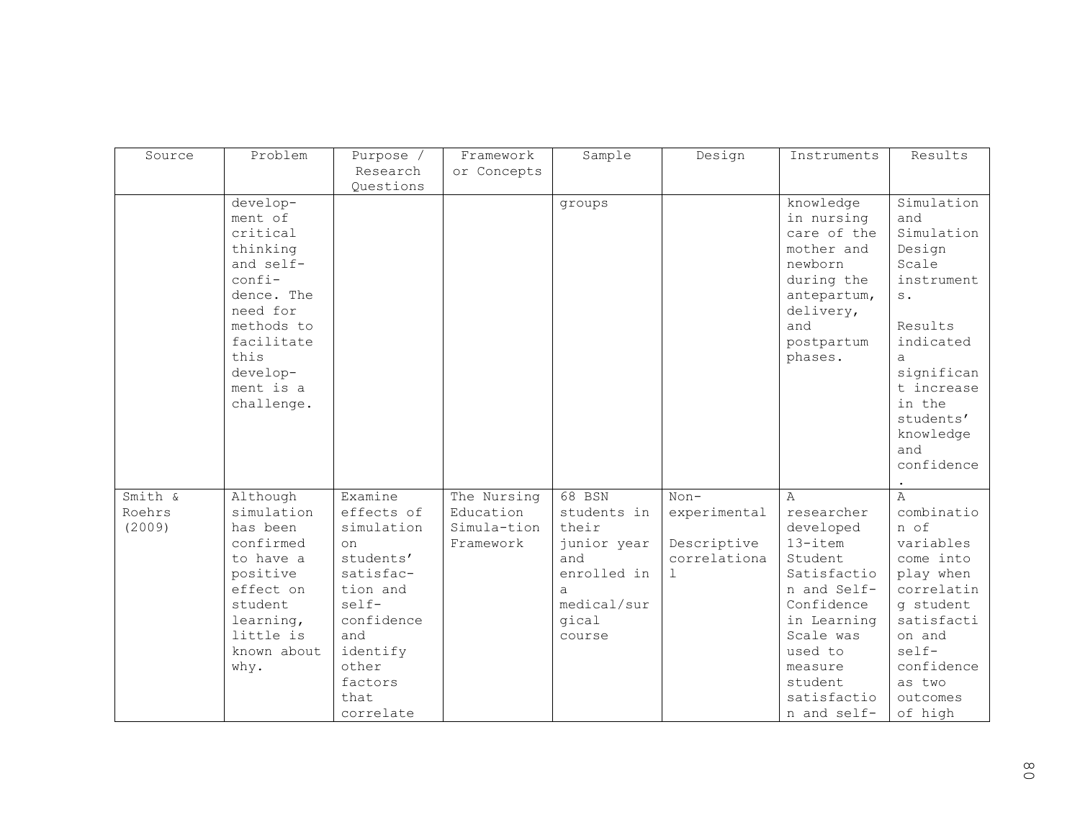| Source                      | Problem                                                                                                                                                                 | Purpose /                                                                                                                                                          | Framework                                            | Sample                                                                                                     | Design                                                     | Instruments                                                                                                                                                                                             | Results                                                                                                                                                                                     |
|-----------------------------|-------------------------------------------------------------------------------------------------------------------------------------------------------------------------|--------------------------------------------------------------------------------------------------------------------------------------------------------------------|------------------------------------------------------|------------------------------------------------------------------------------------------------------------|------------------------------------------------------------|---------------------------------------------------------------------------------------------------------------------------------------------------------------------------------------------------------|---------------------------------------------------------------------------------------------------------------------------------------------------------------------------------------------|
|                             |                                                                                                                                                                         | Research                                                                                                                                                           | or Concepts                                          |                                                                                                            |                                                            |                                                                                                                                                                                                         |                                                                                                                                                                                             |
|                             |                                                                                                                                                                         | Questions                                                                                                                                                          |                                                      |                                                                                                            |                                                            |                                                                                                                                                                                                         |                                                                                                                                                                                             |
|                             | develop-<br>ment of<br>critical<br>thinking<br>and self-<br>confi-<br>dence. The<br>need for<br>methods to<br>facilitate<br>this<br>develop-<br>ment is a<br>challenge. |                                                                                                                                                                    |                                                      | groups                                                                                                     |                                                            | knowledge<br>in nursing<br>care of the<br>mother and<br>newborn<br>during the<br>antepartum,<br>delivery,<br>and<br>postpartum<br>phases.                                                               | Simulation<br>and<br>Simulation<br>Design<br>Scale<br>instrument<br>$S$ .<br>Results<br>indicated<br>a<br>significan<br>t increase<br>in the<br>students'<br>knowledge<br>and<br>confidence |
| Smith &<br>Roehrs<br>(2009) | Although<br>simulation<br>has been<br>confirmed<br>to have a<br>positive<br>effect on<br>student<br>learning,<br>little is<br>known about<br>why.                       | Examine<br>effects of<br>simulation<br>on<br>students'<br>satisfac-<br>tion and<br>self-<br>confidence<br>and<br>identify<br>other<br>factors<br>that<br>correlate | The Nursing<br>Education<br>Simula-tion<br>Framework | 68 BSN<br>students in<br>their<br>junior year<br>and<br>enrolled in<br>a<br>medical/sur<br>gical<br>course | $Non-$<br>experimental<br>Descriptive<br>correlationa<br>1 | $\mathsf{A}$<br>researcher<br>developed<br>$13$ -item<br>Student<br>Satisfactio<br>n and Self-<br>Confidence<br>in Learning<br>Scale was<br>used to<br>measure<br>student<br>satisfactio<br>n and self- | $\overline{A}$<br>combinatio<br>n of<br>variables<br>come into<br>play when<br>correlatin<br>q student<br>satisfacti<br>on and<br>self-<br>confidence<br>as two<br>outcomes<br>of high      |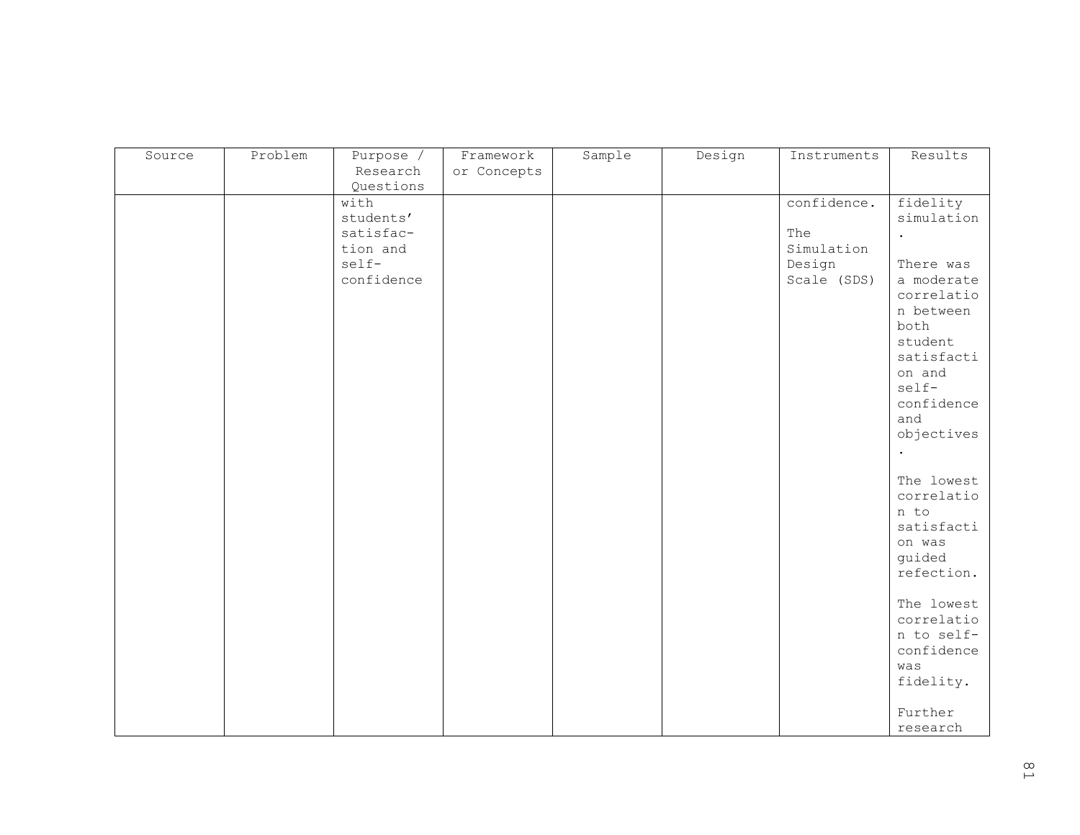| Source | Problem | Purpose /   | Framework   | Sample | Design | Instruments | Results             |
|--------|---------|-------------|-------------|--------|--------|-------------|---------------------|
|        |         | Research    | or Concepts |        |        |             |                     |
|        |         | Questions   |             |        |        |             |                     |
|        |         | with        |             |        |        | confidence. | fidelity            |
|        |         | $students'$ |             |        |        |             | simulation          |
|        |         | satisfac-   |             |        |        | The         | $\bullet$           |
|        |         | tion and    |             |        |        | Simulation  |                     |
|        |         | self-       |             |        |        | Design      | There was           |
|        |         | confidence  |             |        |        | Scale (SDS) | a moderate          |
|        |         |             |             |        |        |             | correlatio          |
|        |         |             |             |        |        |             | n between           |
|        |         |             |             |        |        |             | both                |
|        |         |             |             |        |        |             | student             |
|        |         |             |             |        |        |             | satisfacti          |
|        |         |             |             |        |        |             | on and<br>self-     |
|        |         |             |             |        |        |             | confidence          |
|        |         |             |             |        |        |             | and                 |
|        |         |             |             |        |        |             | objectives          |
|        |         |             |             |        |        |             |                     |
|        |         |             |             |        |        |             |                     |
|        |         |             |             |        |        |             | The lowest          |
|        |         |             |             |        |        |             | correlatio          |
|        |         |             |             |        |        |             | n to                |
|        |         |             |             |        |        |             | satisfacti          |
|        |         |             |             |        |        |             | on was              |
|        |         |             |             |        |        |             | guided              |
|        |         |             |             |        |        |             | refection.          |
|        |         |             |             |        |        |             |                     |
|        |         |             |             |        |        |             | The lowest          |
|        |         |             |             |        |        |             | correlatio          |
|        |         |             |             |        |        |             | n to self-          |
|        |         |             |             |        |        |             | confidence          |
|        |         |             |             |        |        |             | was                 |
|        |         |             |             |        |        |             | fidelity.           |
|        |         |             |             |        |        |             |                     |
|        |         |             |             |        |        |             | Further<br>research |
|        |         |             |             |        |        |             |                     |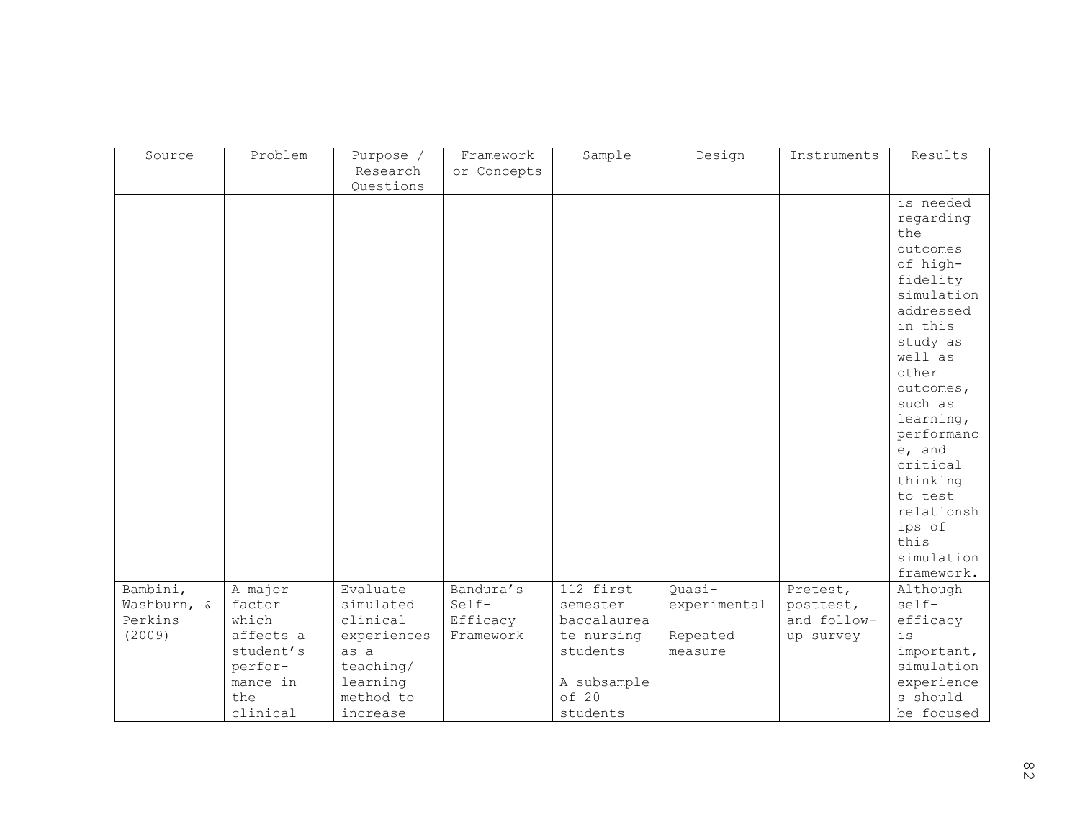| Source      | Problem   | Purpose /   | Framework   | Sample      | Design       | Instruments | Results              |
|-------------|-----------|-------------|-------------|-------------|--------------|-------------|----------------------|
|             |           | Research    |             |             |              |             |                      |
|             |           |             | or Concepts |             |              |             |                      |
|             |           | Questions   |             |             |              |             |                      |
|             |           |             |             |             |              |             | is needed            |
|             |           |             |             |             |              |             | regarding            |
|             |           |             |             |             |              |             | the                  |
|             |           |             |             |             |              |             | outcomes             |
|             |           |             |             |             |              |             | of high-             |
|             |           |             |             |             |              |             | fidelity             |
|             |           |             |             |             |              |             | simulation           |
|             |           |             |             |             |              |             | addressed            |
|             |           |             |             |             |              |             | in this              |
|             |           |             |             |             |              |             | study as             |
|             |           |             |             |             |              |             | well as              |
|             |           |             |             |             |              |             | other                |
|             |           |             |             |             |              |             | outcomes,            |
|             |           |             |             |             |              |             | such as              |
|             |           |             |             |             |              |             | learning,            |
|             |           |             |             |             |              |             | performanc           |
|             |           |             |             |             |              |             | e, and               |
|             |           |             |             |             |              |             | critical             |
|             |           |             |             |             |              |             | thinking             |
|             |           |             |             |             |              |             | to test              |
|             |           |             |             |             |              |             | relationsh           |
|             |           |             |             |             |              |             | ips of               |
|             |           |             |             |             |              |             | this                 |
|             |           |             |             |             |              |             |                      |
|             |           |             |             |             |              |             | simulation           |
|             |           |             |             |             |              |             | framework.           |
| Bambini,    | A major   | Evaluate    | Bandura's   | 112 first   | Quasi-       | Pretest,    | Although             |
| Washburn, & | factor    | simulated   | Self-       | semester    | experimental | posttest,   | self-                |
| Perkins     | which     | clinical    | Efficacy    | baccalaurea |              | and follow- | efficacy             |
| (2009)      | affects a | experiences | Framework   | te nursing  | Repeated     | up survey   | $\rm \dot{1}\,\rm S$ |
|             | student's | as a        |             | students    | measure      |             | important,           |
|             | perfor-   | teaching/   |             |             |              |             | simulation           |
|             | mance in  | learning    |             | A subsample |              |             | experience           |
|             | the       | method to   |             | of 20       |              |             | s should             |
|             | clinical  | increase    |             | students    |              |             | be focused           |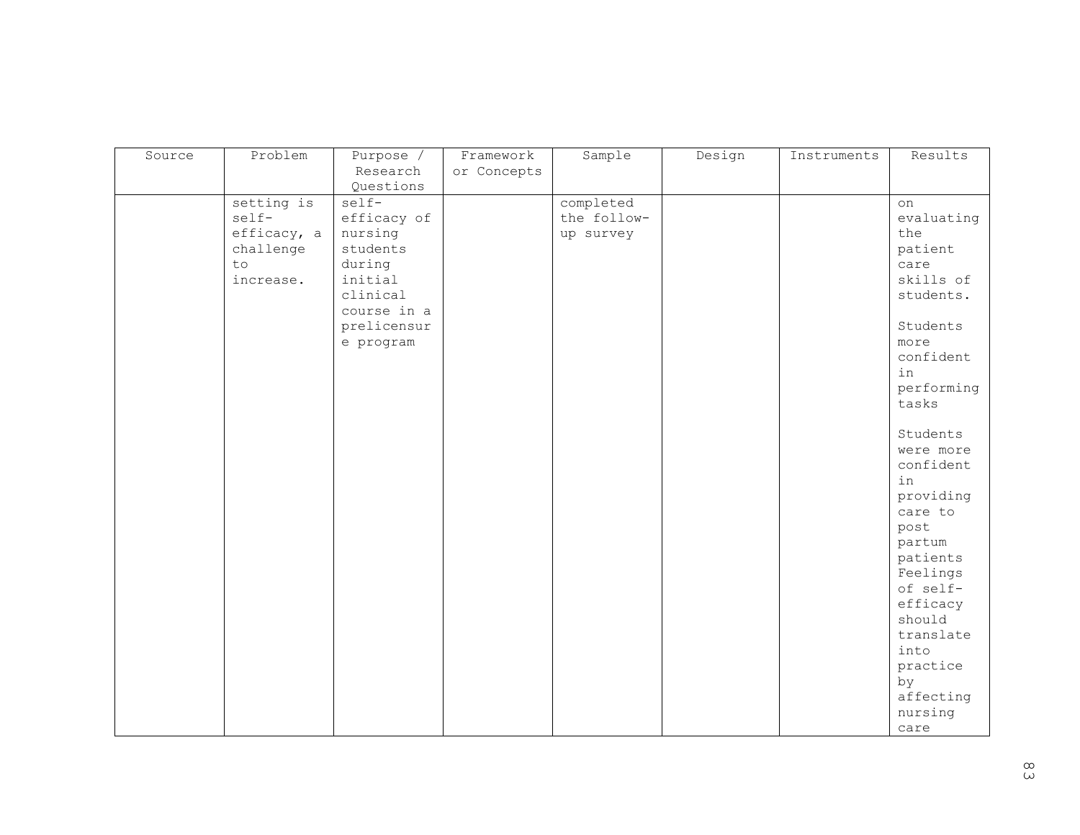| Source | Problem     | Purpose /   | Framework   | Sample      | Design | Instruments | Results    |
|--------|-------------|-------------|-------------|-------------|--------|-------------|------------|
|        |             | Research    | or Concepts |             |        |             |            |
|        |             |             |             |             |        |             |            |
|        |             | Questions   |             |             |        |             |            |
|        | setting is  | self-       |             | completed   |        |             | on         |
|        | self-       | efficacy of |             | the follow- |        |             | evaluating |
|        | efficacy, a | nursing     |             | up survey   |        |             | the        |
|        | challenge   | students    |             |             |        |             | patient    |
|        | to          | during      |             |             |        |             | care       |
|        | increase.   | initial     |             |             |        |             | skills of  |
|        |             | clinical    |             |             |        |             | students.  |
|        |             | course in a |             |             |        |             |            |
|        |             | prelicensur |             |             |        |             | Students   |
|        |             | e program   |             |             |        |             | more       |
|        |             |             |             |             |        |             | confident  |
|        |             |             |             |             |        |             | in         |
|        |             |             |             |             |        |             | performing |
|        |             |             |             |             |        |             | tasks      |
|        |             |             |             |             |        |             |            |
|        |             |             |             |             |        |             | Students   |
|        |             |             |             |             |        |             | were more  |
|        |             |             |             |             |        |             | confident  |
|        |             |             |             |             |        |             | in         |
|        |             |             |             |             |        |             |            |
|        |             |             |             |             |        |             | providing  |
|        |             |             |             |             |        |             | care to    |
|        |             |             |             |             |        |             | post       |
|        |             |             |             |             |        |             | partum     |
|        |             |             |             |             |        |             | patients   |
|        |             |             |             |             |        |             | Feelings   |
|        |             |             |             |             |        |             | of self-   |
|        |             |             |             |             |        |             | efficacy   |
|        |             |             |             |             |        |             | should     |
|        |             |             |             |             |        |             | translate  |
|        |             |             |             |             |        |             | into       |
|        |             |             |             |             |        |             | practice   |
|        |             |             |             |             |        |             | by         |
|        |             |             |             |             |        |             | affecting  |
|        |             |             |             |             |        |             | nursing    |
|        |             |             |             |             |        |             | care       |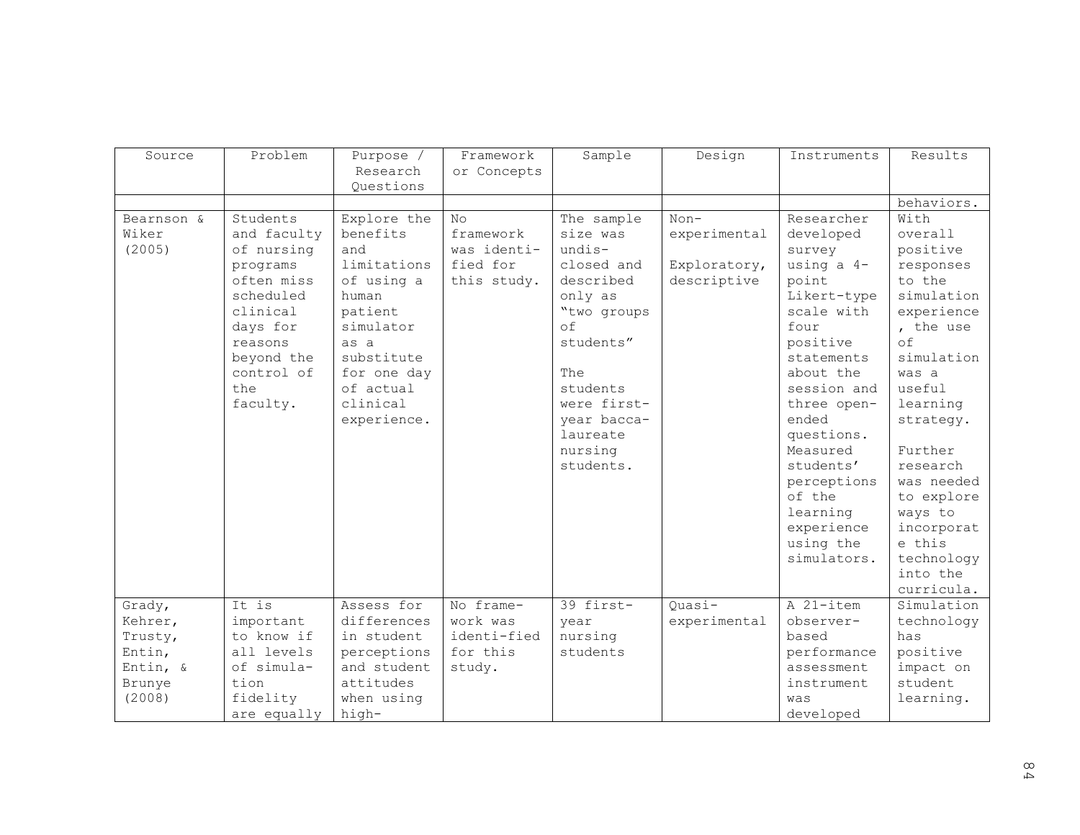| Source                        | Problem                                                                                                                                                        | Purpose /<br>Research<br>Questions                                                                                                                                        | Framework<br>or Concepts                                  | Sample                                                                                                                                                                                                 | Design                                                | Instruments                                                                                                                                                                                                                                                                                       | Results                                                                                                                                                                                                                                                                                          |
|-------------------------------|----------------------------------------------------------------------------------------------------------------------------------------------------------------|---------------------------------------------------------------------------------------------------------------------------------------------------------------------------|-----------------------------------------------------------|--------------------------------------------------------------------------------------------------------------------------------------------------------------------------------------------------------|-------------------------------------------------------|---------------------------------------------------------------------------------------------------------------------------------------------------------------------------------------------------------------------------------------------------------------------------------------------------|--------------------------------------------------------------------------------------------------------------------------------------------------------------------------------------------------------------------------------------------------------------------------------------------------|
|                               |                                                                                                                                                                |                                                                                                                                                                           |                                                           |                                                                                                                                                                                                        |                                                       |                                                                                                                                                                                                                                                                                                   | behaviors.                                                                                                                                                                                                                                                                                       |
| Bearnson &<br>Wiker<br>(2005) | Students<br>and faculty<br>of nursing<br>programs<br>often miss<br>scheduled<br>clinical<br>days for<br>reasons<br>beyond the<br>control of<br>the<br>faculty. | Explore the<br>benefits<br>and<br>limitations<br>of using a<br>human<br>patient<br>simulator<br>as a<br>substitute<br>for one day<br>of actual<br>clinical<br>experience. | No<br>framework<br>was identi-<br>fied for<br>this study. | The sample<br>size was<br>$undis-$<br>closed and<br>described<br>only as<br>"two groups<br>$\circ$ f<br>students"<br>The<br>students<br>were first-<br>year bacca-<br>laureate<br>nursing<br>students. | $Non-$<br>experimental<br>Exploratory,<br>descriptive | Researcher<br>developed<br>survey<br>using a 4-<br>point<br>Likert-type<br>scale with<br>four<br>positive<br>statements<br>about the<br>session and<br>three open-<br>ended<br>questions.<br>Measured<br>students'<br>perceptions<br>of the<br>learning<br>experience<br>using the<br>simulators. | With<br>overall<br>positive<br>responses<br>to the<br>simulation<br>experience<br>, the use<br>$\circ$ f<br>simulation<br>was a<br>useful<br>learning<br>strategy.<br>Further<br>research<br>was needed<br>to explore<br>ways to<br>incorporat<br>e this<br>technology<br>into the<br>curricula. |
| Grady,                        | It is                                                                                                                                                          | Assess for                                                                                                                                                                | No frame-                                                 | 39 first-                                                                                                                                                                                              | Ouasi-                                                | A 21-item                                                                                                                                                                                                                                                                                         | Simulation                                                                                                                                                                                                                                                                                       |
| Kehrer,<br>Trusty,            | important<br>to know if                                                                                                                                        | differences<br>in student                                                                                                                                                 | work was<br>identi-fied                                   | year<br>nursing                                                                                                                                                                                        | experimental                                          | observer-<br>based                                                                                                                                                                                                                                                                                | technology<br>has                                                                                                                                                                                                                                                                                |
| Entin,                        | all levels                                                                                                                                                     | perceptions                                                                                                                                                               | for this                                                  | students                                                                                                                                                                                               |                                                       | performance                                                                                                                                                                                                                                                                                       | positive                                                                                                                                                                                                                                                                                         |
| Entin, &                      | of simula-                                                                                                                                                     | and student                                                                                                                                                               | study.                                                    |                                                                                                                                                                                                        |                                                       | assessment                                                                                                                                                                                                                                                                                        | impact on                                                                                                                                                                                                                                                                                        |
| Brunye                        | tion                                                                                                                                                           | attitudes                                                                                                                                                                 |                                                           |                                                                                                                                                                                                        |                                                       | instrument                                                                                                                                                                                                                                                                                        | student                                                                                                                                                                                                                                                                                          |
| (2008)                        | fidelity                                                                                                                                                       | when using                                                                                                                                                                |                                                           |                                                                                                                                                                                                        |                                                       | was                                                                                                                                                                                                                                                                                               | learning.                                                                                                                                                                                                                                                                                        |
|                               | are equally                                                                                                                                                    | high-                                                                                                                                                                     |                                                           |                                                                                                                                                                                                        |                                                       | developed                                                                                                                                                                                                                                                                                         |                                                                                                                                                                                                                                                                                                  |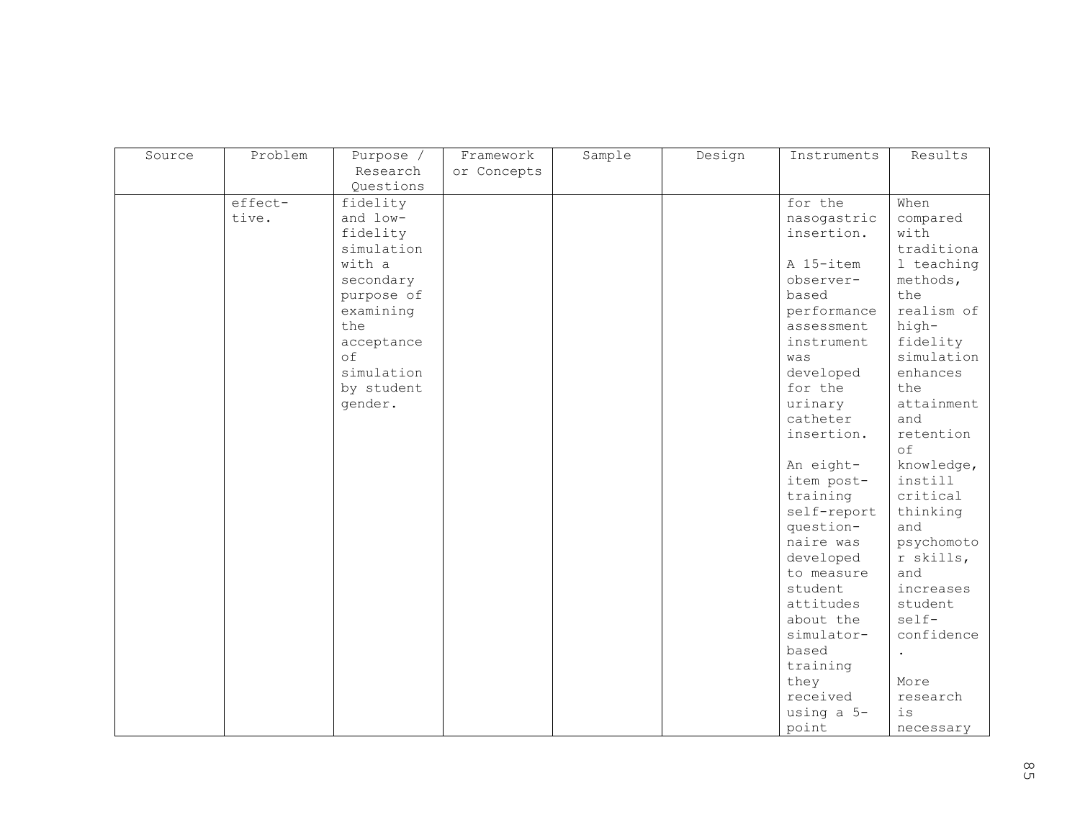| Source | Problem | Purpose /  | Framework   | Sample | Design | Instruments | Results    |
|--------|---------|------------|-------------|--------|--------|-------------|------------|
|        |         | Research   | or Concepts |        |        |             |            |
|        |         | Questions  |             |        |        |             |            |
|        | effect- | fidelity   |             |        |        | for the     | When       |
|        | tive.   | and low-   |             |        |        | nasogastric | compared   |
|        |         | fidelity   |             |        |        | insertion.  | with       |
|        |         | simulation |             |        |        |             | traditiona |
|        |         | with a     |             |        |        | A 15-item   | 1 teaching |
|        |         | secondary  |             |        |        | observer-   | methods,   |
|        |         | purpose of |             |        |        | based       | the        |
|        |         | examining  |             |        |        | performance | realism of |
|        |         | the        |             |        |        | assessment  | high-      |
|        |         | acceptance |             |        |        | instrument  | fidelity   |
|        |         | of         |             |        |        | was         | simulation |
|        |         | simulation |             |        |        | developed   | enhances   |
|        |         | by student |             |        |        | for the     | the        |
|        |         | gender.    |             |        |        | urinary     | attainment |
|        |         |            |             |        |        | catheter    | and        |
|        |         |            |             |        |        | insertion.  | retention  |
|        |         |            |             |        |        |             | of         |
|        |         |            |             |        |        | An eight-   | knowledge, |
|        |         |            |             |        |        | item post-  | instill    |
|        |         |            |             |        |        | training    | critical   |
|        |         |            |             |        |        | self-report | thinking   |
|        |         |            |             |        |        | question-   | and        |
|        |         |            |             |        |        | naire was   | psychomoto |
|        |         |            |             |        |        | developed   | r skills,  |
|        |         |            |             |        |        | to measure  | and        |
|        |         |            |             |        |        | student     | increases  |
|        |         |            |             |        |        | attitudes   | student    |
|        |         |            |             |        |        | about the   | self-      |
|        |         |            |             |        |        | simulator-  | confidence |
|        |         |            |             |        |        | based       |            |
|        |         |            |             |        |        | training    |            |
|        |         |            |             |        |        | they        | More       |
|        |         |            |             |        |        | received    | research   |
|        |         |            |             |        |        | using a 5-  | is         |
|        |         |            |             |        |        | point       | necessary  |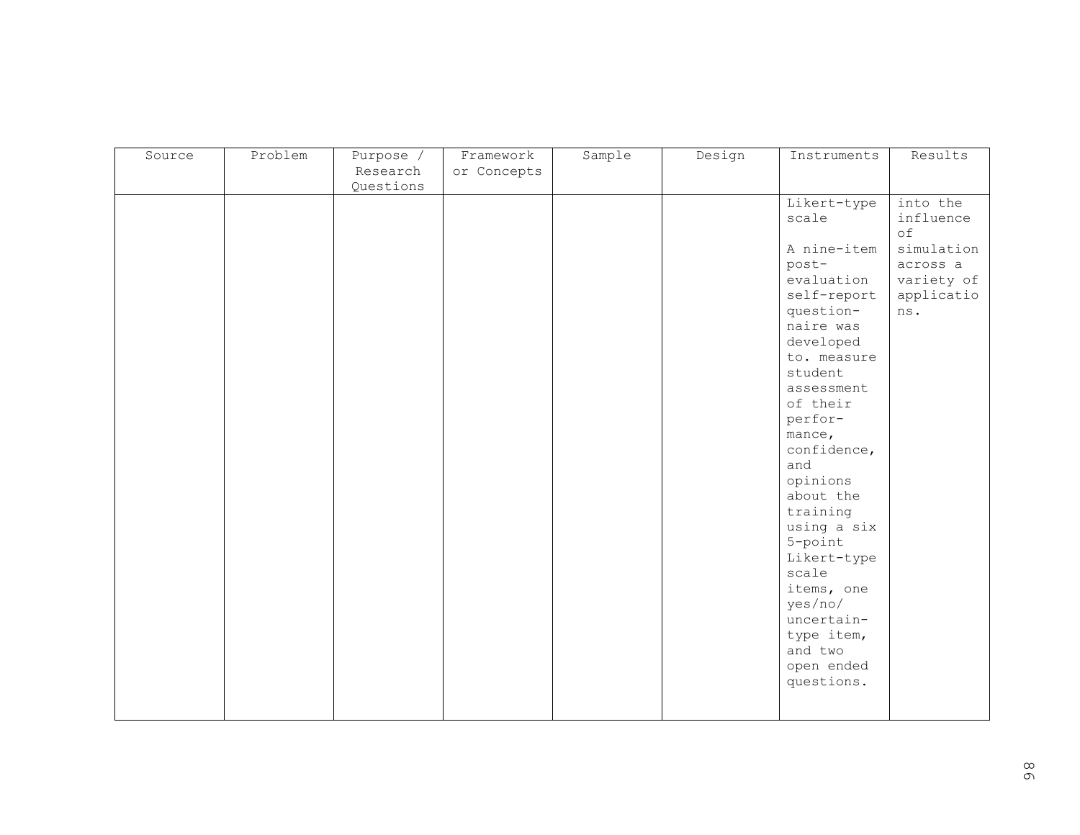| Source | Problem | Purpose / | Framework   | Sample | Design | Instruments           | Results    |
|--------|---------|-----------|-------------|--------|--------|-----------------------|------------|
|        |         | Research  | or Concepts |        |        |                       |            |
|        |         | Questions |             |        |        |                       |            |
|        |         |           |             |        |        | Likert-type           | into the   |
|        |         |           |             |        |        | scale                 | influence  |
|        |         |           |             |        |        |                       | of         |
|        |         |           |             |        |        | A nine-item           | simulation |
|        |         |           |             |        |        | post-                 | across a   |
|        |         |           |             |        |        | evaluation            | variety of |
|        |         |           |             |        |        | self-report           | applicatio |
|        |         |           |             |        |        | question-             | ns.        |
|        |         |           |             |        |        | naire was             |            |
|        |         |           |             |        |        | developed             |            |
|        |         |           |             |        |        | to. measure           |            |
|        |         |           |             |        |        | student               |            |
|        |         |           |             |        |        | assessment            |            |
|        |         |           |             |        |        | of their              |            |
|        |         |           |             |        |        | perfor-               |            |
|        |         |           |             |        |        | mance,                |            |
|        |         |           |             |        |        | confidence,           |            |
|        |         |           |             |        |        | and                   |            |
|        |         |           |             |        |        | opinions              |            |
|        |         |           |             |        |        | about the             |            |
|        |         |           |             |        |        | training              |            |
|        |         |           |             |        |        | using a six           |            |
|        |         |           |             |        |        | 5-point               |            |
|        |         |           |             |        |        | Likert-type           |            |
|        |         |           |             |        |        | scale                 |            |
|        |         |           |             |        |        | items, one            |            |
|        |         |           |             |        |        | yes/no/<br>uncertain- |            |
|        |         |           |             |        |        | type item,            |            |
|        |         |           |             |        |        | and two               |            |
|        |         |           |             |        |        | open ended            |            |
|        |         |           |             |        |        | questions.            |            |
|        |         |           |             |        |        |                       |            |
|        |         |           |             |        |        |                       |            |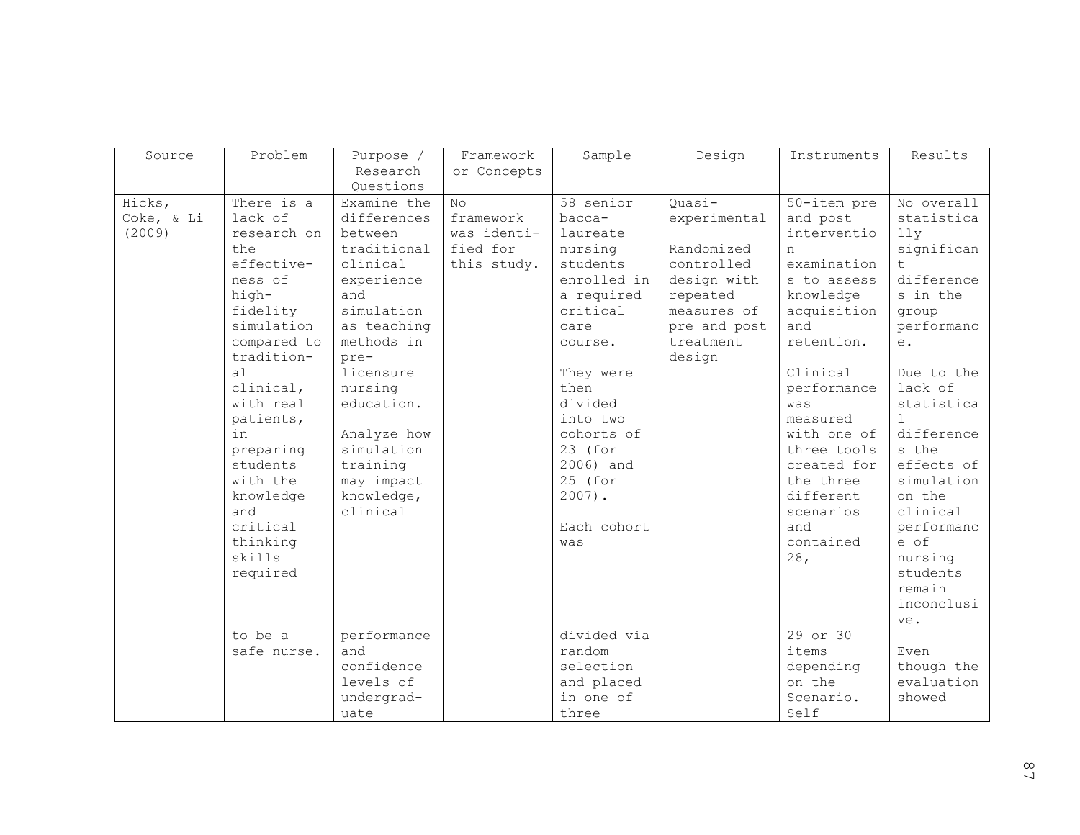| Source     | Problem               | Purpose /                 | Framework      | Sample            | Design       | Instruments        | Results             |
|------------|-----------------------|---------------------------|----------------|-------------------|--------------|--------------------|---------------------|
|            |                       | Research                  | or Concepts    |                   |              |                    |                     |
|            |                       | Questions                 |                |                   |              |                    |                     |
| Hicks,     | There is a            | Examine the               | N <sub>O</sub> | 58 senior         | Quasi-       | 50-item pre        | No overall          |
| Coke, & Li | lack of               | differences               | framework      | bacca-            | experimental | and post           | statistica          |
| (2009)     | research on           | between                   | was identi-    | laureate          |              | interventio        | lly                 |
|            | the                   | traditional               | fied for       | nursing           | Randomized   | n                  | significan          |
|            | effective-            | clinical                  | this study.    | students          | controlled   | examination        |                     |
|            | ness of               | experience                |                | enrolled in       | design with  | s to assess        | difference          |
|            | high-                 | and                       |                | a required        | repeated     | knowledge          | s in the            |
|            | fidelity              | simulation                |                | critical          | measures of  | acquisition        | group               |
|            | simulation            | as teaching               |                | care              | pre and post | and                | performanc          |
|            | compared to           | methods in                |                | course.           | treatment    | retention.         | e.                  |
|            | tradition-<br>a1      | pre-<br>licensure         |                |                   | design       | Clinical           | Due to the          |
|            | clinical,             | nursing                   |                | They were<br>then |              |                    | lack of             |
|            | with real             | education.                |                | divided           |              | performance<br>was | statistica          |
|            |                       |                           |                | into two          |              | measured           |                     |
|            | patients,<br>in       |                           |                | cohorts of        |              | with one of        | difference          |
|            |                       | Analyze how<br>simulation |                | 23 (for           |              | three tools        | s the               |
|            | preparing<br>students |                           |                | 2006) and         |              | created for        | effects of          |
|            | with the              | training                  |                | 25 (for           |              | the three          | simulation          |
|            |                       | may impact                |                | $2007$ ).         |              | different          | on the              |
|            | knowledge             | knowledge,                |                |                   |              |                    |                     |
|            | and                   | clinical                  |                |                   |              | scenarios          | clinical            |
|            | critical              |                           |                | Each cohort       |              | and<br>contained   | performanc<br>e of  |
|            | thinking<br>skills    |                           |                | was               |              |                    |                     |
|            |                       |                           |                |                   |              | 28,                | nursing<br>students |
|            | required              |                           |                |                   |              |                    | remain              |
|            |                       |                           |                |                   |              |                    | inconclusi          |
|            |                       |                           |                |                   |              |                    | ve.                 |
|            | to be a               | performance               |                | divided via       |              | 29 or 30           |                     |
|            | safe nurse.           | and                       |                | random            |              | items              | Even                |
|            |                       | confidence                |                | selection         |              | depending          | though the          |
|            |                       | levels of                 |                | and placed        |              | on the             | evaluation          |
|            |                       | undergrad-                |                | in one of         |              | Scenario.          | showed              |
|            |                       | uate                      |                | three             |              | Self               |                     |
|            |                       |                           |                |                   |              |                    |                     |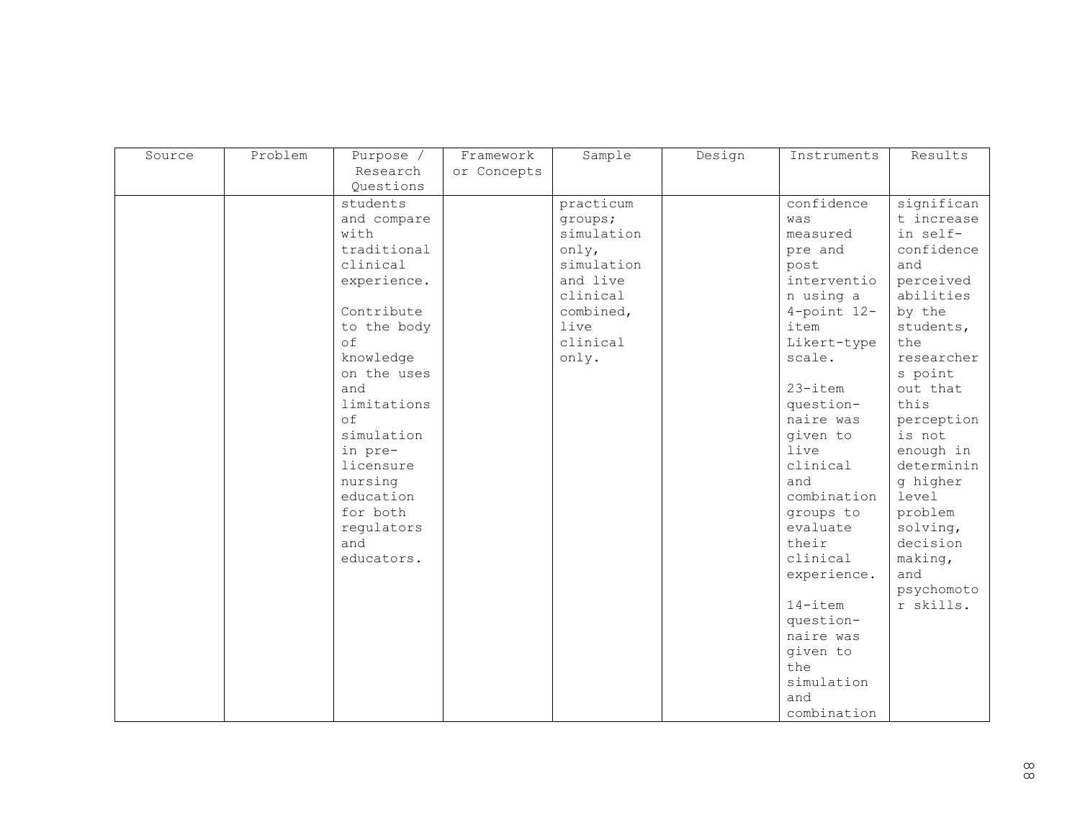| Source | Problem | Purpose /   | Framework   | Sample     | Design | Instruments       | Results    |
|--------|---------|-------------|-------------|------------|--------|-------------------|------------|
|        |         | Research    | or Concepts |            |        |                   |            |
|        |         | Questions   |             |            |        |                   |            |
|        |         | students    |             | practicum  |        | confidence        | significan |
|        |         | and compare |             | groups;    |        | was               | t increase |
|        |         | with        |             | simulation |        | measured          | in self-   |
|        |         | traditional |             | only,      |        | pre and           | confidence |
|        |         | clinical    |             | simulation |        | post              | and        |
|        |         | experience. |             | and live   |        | interventio       | perceived  |
|        |         |             |             | clinical   |        | n using a         | abilities  |
|        |         | Contribute  |             | combined,  |        | $4$ -point $12$ - | by the     |
|        |         | to the body |             | live       |        | item              | students,  |
|        |         | of          |             | clinical   |        | Likert-type       | the        |
|        |         | knowledge   |             | only.      |        | scale.            | researcher |
|        |         | on the uses |             |            |        |                   | s point    |
|        |         | and         |             |            |        | $23 - i$ tem      | out that   |
|        |         | limitations |             |            |        | question-         | this       |
|        |         | of          |             |            |        | naire was         | perception |
|        |         | simulation  |             |            |        | given to          | is not     |
|        |         | in pre-     |             |            |        | live              | enough in  |
|        |         | licensure   |             |            |        | clinical          | determinin |
|        |         | nursing     |             |            |        | and               | g higher   |
|        |         | education   |             |            |        | combination       | level      |
|        |         | for both    |             |            |        | groups to         | problem    |
|        |         | regulators  |             |            |        | evaluate          | solving,   |
|        |         | and         |             |            |        | their             | decision   |
|        |         | educators.  |             |            |        | clinical          | making,    |
|        |         |             |             |            |        | experience.       | and        |
|        |         |             |             |            |        |                   | psychomoto |
|        |         |             |             |            |        | 14-item           | r skills.  |
|        |         |             |             |            |        | question-         |            |
|        |         |             |             |            |        | naire was         |            |
|        |         |             |             |            |        | given to          |            |
|        |         |             |             |            |        | the               |            |
|        |         |             |             |            |        | simulation        |            |
|        |         |             |             |            |        | and               |            |
|        |         |             |             |            |        | combination       |            |